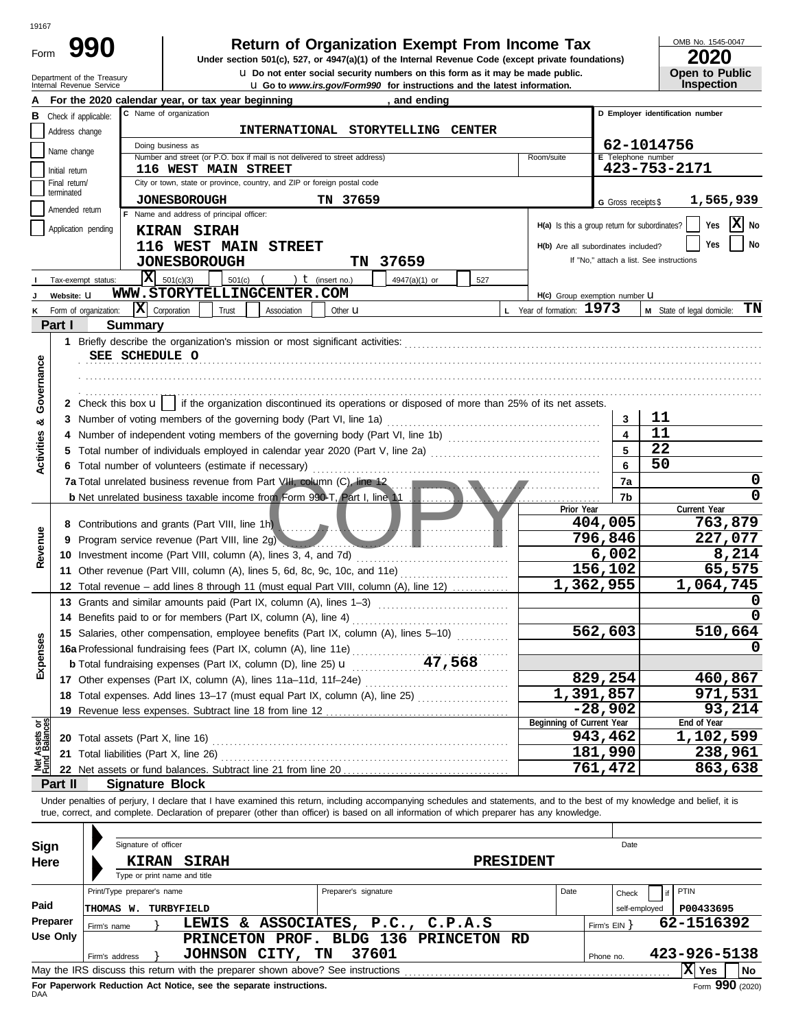| ×<br>۰, | ٧ |
|---------|---|

Form

# **Return of Organization Exempt From Income Tax**  $\frac{\text{OMB NO. 1545-00}}{2020}$

La Go to *www.irs.gov/Form990* for instructions and the latest information. **u** Do not enter social security numbers on this form as it may be made public. **Under section 501(c), 527, or 4947(a)(1) of the Internal Revenue Code (except private foundations)** OMB No. 1545-0047

| ZUZU                  |  |
|-----------------------|--|
| <b>Open to Public</b> |  |
| <b>Inspection</b>     |  |

|                                |                                                                                                                                                      | Department of the Treasury<br>Internal Revenue Service | <b>U.</b> Do not enter social security numbers on this form as it may be made public.                                                                                                                                                                                                |                                                                                                                        |                                               |                     | <b>Open to Public</b><br>Inspection      |  |  |  |  |  |  |
|--------------------------------|------------------------------------------------------------------------------------------------------------------------------------------------------|--------------------------------------------------------|--------------------------------------------------------------------------------------------------------------------------------------------------------------------------------------------------------------------------------------------------------------------------------------|------------------------------------------------------------------------------------------------------------------------|-----------------------------------------------|---------------------|------------------------------------------|--|--|--|--|--|--|
|                                | <b>u</b> Go to www.irs.gov/Form990 for instructions and the latest information.<br>For the 2020 calendar year, or tax year beginning<br>, and ending |                                                        |                                                                                                                                                                                                                                                                                      |                                                                                                                        |                                               |                     |                                          |  |  |  |  |  |  |
| в                              | C Name of organization<br>D Employer identification number<br>Check if applicable:                                                                   |                                                        |                                                                                                                                                                                                                                                                                      |                                                                                                                        |                                               |                     |                                          |  |  |  |  |  |  |
|                                | Address change                                                                                                                                       |                                                        | INTERNATIONAL STORYTELLING CENTER                                                                                                                                                                                                                                                    |                                                                                                                        |                                               |                     |                                          |  |  |  |  |  |  |
|                                | Name change                                                                                                                                          |                                                        | Doing business as                                                                                                                                                                                                                                                                    |                                                                                                                        |                                               |                     | 62-1014756                               |  |  |  |  |  |  |
|                                | Initial return                                                                                                                                       |                                                        | Number and street (or P.O. box if mail is not delivered to street address)<br><b>116 WEST MAIN STREET</b>                                                                                                                                                                            |                                                                                                                        | Room/suite                                    | E Telephone number  | 423-753-2171                             |  |  |  |  |  |  |
|                                | Final return/                                                                                                                                        |                                                        | City or town, state or province, country, and ZIP or foreign postal code                                                                                                                                                                                                             |                                                                                                                        |                                               |                     |                                          |  |  |  |  |  |  |
|                                | terminated                                                                                                                                           |                                                        | <b>JONESBOROUGH</b><br>TN 37659                                                                                                                                                                                                                                                      |                                                                                                                        |                                               | G Gross receipts \$ | 1,565,939                                |  |  |  |  |  |  |
|                                | Amended return                                                                                                                                       |                                                        | F Name and address of principal officer:                                                                                                                                                                                                                                             |                                                                                                                        |                                               |                     |                                          |  |  |  |  |  |  |
|                                | Application pending                                                                                                                                  |                                                        | <b>KIRAN SIRAH</b>                                                                                                                                                                                                                                                                   |                                                                                                                        | H(a) Is this a group return for subordinates? |                     | X No<br>Yes                              |  |  |  |  |  |  |
|                                |                                                                                                                                                      |                                                        | 116 WEST MAIN STREET                                                                                                                                                                                                                                                                 |                                                                                                                        | H(b) Are all subordinates included?           |                     | No<br>Yes                                |  |  |  |  |  |  |
|                                |                                                                                                                                                      |                                                        | <b>JONESBOROUGH</b><br>TN 37659                                                                                                                                                                                                                                                      |                                                                                                                        |                                               |                     | If "No," attach a list. See instructions |  |  |  |  |  |  |
|                                | Tax-exempt status:                                                                                                                                   |                                                        | x <br>501(c)(3)<br>$501(c)$ (<br>) $t$ (insert no.)                                                                                                                                                                                                                                  | 4947(a)(1) or<br>527                                                                                                   |                                               |                     |                                          |  |  |  |  |  |  |
|                                | Website: U                                                                                                                                           |                                                        | WWW.STORYTELLINGCENTER.COM                                                                                                                                                                                                                                                           |                                                                                                                        | H(c) Group exemption number U                 |                     |                                          |  |  |  |  |  |  |
|                                |                                                                                                                                                      | Form of organization:                                  | $ \mathbf{\bar{X}} $ Corporation<br>Trust<br>Association<br>Other <b>u</b>                                                                                                                                                                                                           |                                                                                                                        | L Year of formation: 1973                     |                     | ТN<br>M State of legal domicile:         |  |  |  |  |  |  |
|                                | Part I                                                                                                                                               | <b>Summary</b>                                         |                                                                                                                                                                                                                                                                                      |                                                                                                                        |                                               |                     |                                          |  |  |  |  |  |  |
|                                |                                                                                                                                                      |                                                        |                                                                                                                                                                                                                                                                                      |                                                                                                                        |                                               |                     |                                          |  |  |  |  |  |  |
|                                |                                                                                                                                                      |                                                        | SEE SCHEDULE O                                                                                                                                                                                                                                                                       |                                                                                                                        |                                               |                     |                                          |  |  |  |  |  |  |
|                                |                                                                                                                                                      |                                                        |                                                                                                                                                                                                                                                                                      |                                                                                                                        |                                               |                     |                                          |  |  |  |  |  |  |
| Governance                     |                                                                                                                                                      |                                                        |                                                                                                                                                                                                                                                                                      |                                                                                                                        |                                               |                     |                                          |  |  |  |  |  |  |
|                                |                                                                                                                                                      |                                                        | 2 Check this box $\mathbf{u}$   if the organization discontinued its operations or disposed of more than 25% of its net assets.                                                                                                                                                      |                                                                                                                        |                                               |                     |                                          |  |  |  |  |  |  |
| න්                             |                                                                                                                                                      |                                                        | 3 Number of voting members of the governing body (Part VI, line 1a)                                                                                                                                                                                                                  |                                                                                                                        |                                               | 3                   | 11                                       |  |  |  |  |  |  |
|                                |                                                                                                                                                      |                                                        |                                                                                                                                                                                                                                                                                      |                                                                                                                        |                                               |                     | 11                                       |  |  |  |  |  |  |
| Activities                     | 5.                                                                                                                                                   |                                                        |                                                                                                                                                                                                                                                                                      |                                                                                                                        |                                               | 5                   | 22                                       |  |  |  |  |  |  |
|                                |                                                                                                                                                      |                                                        | 6 Total number of volunteers (estimate if necessary)                                                                                                                                                                                                                                 |                                                                                                                        |                                               | 6                   | 50                                       |  |  |  |  |  |  |
|                                |                                                                                                                                                      |                                                        | 7a Total unrelated business revenue from Part VIII, column (C), line 12                                                                                                                                                                                                              | <u> 1989 - Jan James James Jan James James James James James James James James James James James James James James</u> |                                               | 7a                  | 0<br>0                                   |  |  |  |  |  |  |
|                                |                                                                                                                                                      |                                                        | <b>b</b> Net unrelated business taxable income from Form 990-T, Part I, line 11                                                                                                                                                                                                      |                                                                                                                        | Prior Year                                    | 7b                  | Current Year                             |  |  |  |  |  |  |
|                                |                                                                                                                                                      |                                                        | 8 Contributions and grants (Part VIII, line 1h) <b>All and Science All and Science All and Science All and Science All and Science All and Science All and Science All and Science All and Science All and Science All and Scien</b>                                                 |                                                                                                                        |                                               | 404,005             | 763,879                                  |  |  |  |  |  |  |
| Revenue                        | 9                                                                                                                                                    |                                                        | Program service revenue (Part VIII, line 2g)<br><u> The Common State Common State Common State Common State Common State Common State Common State Common State Common State Common State Common State Common State Common State Common State Common State Common State Common S</u> |                                                                                                                        | 796,846                                       | 227,077             |                                          |  |  |  |  |  |  |
|                                |                                                                                                                                                      |                                                        | 10 Investment income (Part VIII, column (A), lines 3, 4, and 7d)                                                                                                                                                                                                                     |                                                                                                                        | 6,002                                         | 8,214               |                                          |  |  |  |  |  |  |
|                                |                                                                                                                                                      |                                                        | 11 Other revenue (Part VIII, column (A), lines 5, 6d, 8c, 9c, 10c, and 11e)                                                                                                                                                                                                          |                                                                                                                        |                                               | 156,102             | 65,575                                   |  |  |  |  |  |  |
|                                |                                                                                                                                                      |                                                        | 12 Total revenue – add lines 8 through 11 (must equal Part VIII, column (A), line 12)                                                                                                                                                                                                |                                                                                                                        |                                               | 1,362,955           | 1,064,745                                |  |  |  |  |  |  |
|                                |                                                                                                                                                      |                                                        | 13 Grants and similar amounts paid (Part IX, column (A), lines 1-3)                                                                                                                                                                                                                  |                                                                                                                        |                                               |                     | 0                                        |  |  |  |  |  |  |
|                                |                                                                                                                                                      |                                                        | 14 Benefits paid to or for members (Part IX, column (A), line 4)                                                                                                                                                                                                                     |                                                                                                                        |                                               |                     |                                          |  |  |  |  |  |  |
|                                |                                                                                                                                                      |                                                        | 15 Salaries, other compensation, employee benefits (Part IX, column (A), lines 5-10)                                                                                                                                                                                                 |                                                                                                                        |                                               | 562,603             | 510,664                                  |  |  |  |  |  |  |
| nses                           |                                                                                                                                                      |                                                        | 16a Professional fundraising fees (Part IX, column (A), line 11e)                                                                                                                                                                                                                    |                                                                                                                        |                                               | 0                   |                                          |  |  |  |  |  |  |
| Exper                          |                                                                                                                                                      |                                                        |                                                                                                                                                                                                                                                                                      |                                                                                                                        |                                               |                     |                                          |  |  |  |  |  |  |
|                                |                                                                                                                                                      |                                                        |                                                                                                                                                                                                                                                                                      |                                                                                                                        |                                               | 829,254             | 460,867                                  |  |  |  |  |  |  |
|                                |                                                                                                                                                      |                                                        | 18 Total expenses. Add lines 13-17 (must equal Part IX, column (A), line 25)                                                                                                                                                                                                         |                                                                                                                        |                                               | 1,391,857           | 971,531                                  |  |  |  |  |  |  |
|                                |                                                                                                                                                      |                                                        |                                                                                                                                                                                                                                                                                      |                                                                                                                        | Beginning of Current Year                     | $-28,902$           | 93,214<br>End of Year                    |  |  |  |  |  |  |
| Net Assets or<br>Fund Balances |                                                                                                                                                      |                                                        |                                                                                                                                                                                                                                                                                      |                                                                                                                        |                                               | 943,462             | 1,102,599                                |  |  |  |  |  |  |
|                                |                                                                                                                                                      |                                                        |                                                                                                                                                                                                                                                                                      |                                                                                                                        |                                               | 181,990             | 238,961                                  |  |  |  |  |  |  |
|                                |                                                                                                                                                      |                                                        |                                                                                                                                                                                                                                                                                      |                                                                                                                        |                                               | 761,472             | 863,638                                  |  |  |  |  |  |  |
|                                | Part II                                                                                                                                              |                                                        | <b>Signature Block</b>                                                                                                                                                                                                                                                               |                                                                                                                        |                                               |                     |                                          |  |  |  |  |  |  |
|                                |                                                                                                                                                      |                                                        | Under penalties of perjury, I declare that I have examined this return, including accompanying schedules and statements, and to the best of my knowledge and belief, it is                                                                                                           |                                                                                                                        |                                               |                     |                                          |  |  |  |  |  |  |
|                                |                                                                                                                                                      |                                                        | true, correct, and complete. Declaration of preparer (other than officer) is based on all information of which preparer has any knowledge.                                                                                                                                           |                                                                                                                        |                                               |                     |                                          |  |  |  |  |  |  |
|                                |                                                                                                                                                      |                                                        |                                                                                                                                                                                                                                                                                      |                                                                                                                        |                                               |                     |                                          |  |  |  |  |  |  |
| Sign                           |                                                                                                                                                      |                                                        | Signature of officer                                                                                                                                                                                                                                                                 |                                                                                                                        |                                               | Date                |                                          |  |  |  |  |  |  |
| Here                           |                                                                                                                                                      |                                                        | <b>KIRAN SIRAH</b>                                                                                                                                                                                                                                                                   | <b>PRESIDENT</b>                                                                                                       |                                               |                     |                                          |  |  |  |  |  |  |
|                                |                                                                                                                                                      |                                                        | Type or print name and title                                                                                                                                                                                                                                                         |                                                                                                                        |                                               |                     |                                          |  |  |  |  |  |  |
|                                |                                                                                                                                                      | Print/Type preparer's name                             | Preparer's signature                                                                                                                                                                                                                                                                 |                                                                                                                        | Date                                          | Check               | PTIN<br>if                               |  |  |  |  |  |  |
| Paid                           |                                                                                                                                                      |                                                        | <b>THOMAS W. TURBYFIELD</b>                                                                                                                                                                                                                                                          |                                                                                                                        |                                               | self-employed       | P00433695                                |  |  |  |  |  |  |
|                                | Preparer                                                                                                                                             | Firm's name                                            | LEWIS & ASSOCIATES, P.C., C.P.A.S                                                                                                                                                                                                                                                    |                                                                                                                        |                                               | Firm's $EIN$ }      | 62-1516392                               |  |  |  |  |  |  |
|                                | <b>Use Only</b>                                                                                                                                      |                                                        | PRINCETON PROF. BLDG 136 PRINCETON RD                                                                                                                                                                                                                                                |                                                                                                                        |                                               |                     |                                          |  |  |  |  |  |  |
|                                |                                                                                                                                                      | Firm's address                                         | 37601<br>JOHNSON CITY, TN                                                                                                                                                                                                                                                            |                                                                                                                        |                                               | Phone no.           | 423-926-5138                             |  |  |  |  |  |  |
|                                |                                                                                                                                                      |                                                        | May the IRS discuss this return with the preparer shown above? See instructions                                                                                                                                                                                                      |                                                                                                                        |                                               |                     | $ X $ Yes<br>No                          |  |  |  |  |  |  |

| Sign            | Signature of officer                                                                                  |                           |              | Date                       |  |  |  |  |  |  |  |
|-----------------|-------------------------------------------------------------------------------------------------------|---------------------------|--------------|----------------------------|--|--|--|--|--|--|--|
| Here            | <b>SIRAH</b><br><b>KIRAN</b><br>Type or print name and title                                          | <b>PRESIDENT</b>          |              |                            |  |  |  |  |  |  |  |
|                 | Print/Type preparer's name                                                                            | Preparer's signature      | Date         | <b>PTIN</b><br>Check       |  |  |  |  |  |  |  |
| Paid            | THOMAS W.<br>TURBYFIELD                                                                               |                           |              | P00433695<br>self-employed |  |  |  |  |  |  |  |
| Preparer        | LEWIS<br>&.<br>Firm's name                                                                            | ASSOCIATES, P.C., C.P.A.S | Firm's $EIN$ | 62-1516392                 |  |  |  |  |  |  |  |
| <b>Use Only</b> | PRINCETON PROF.                                                                                       | BLDG 136 PRINCETON<br>RD  |              |                            |  |  |  |  |  |  |  |
|                 | JOHNSON CITY,<br>Firm's address                                                                       | 37601<br>TN               | Phone no.    | 423-926-5138               |  |  |  |  |  |  |  |
|                 | IХI<br>  No<br>May the IRS discuss this return with the preparer shown above? See instructions<br>Yes |                           |              |                            |  |  |  |  |  |  |  |
|                 | For Paperwork Reduction Act Notice, see the separate instructions.                                    |                           |              | Form 990 (2020)            |  |  |  |  |  |  |  |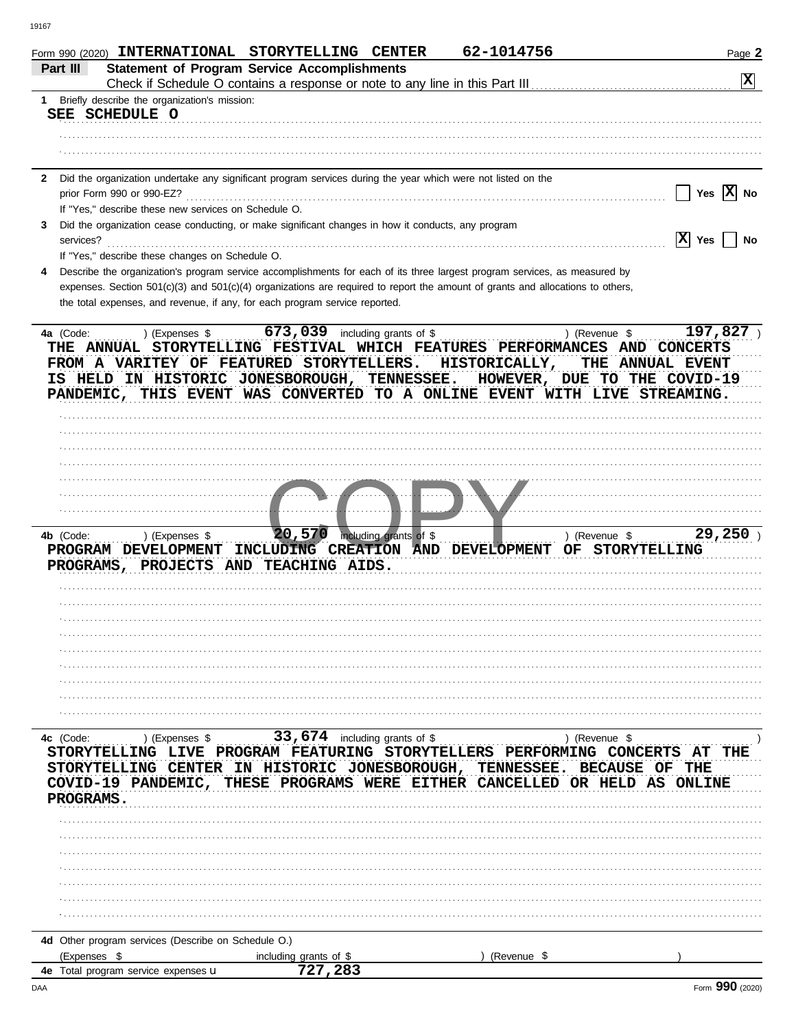|              |                                                      | Form 990 (2020) INTERNATIONAL STORYTELLING CENTER                                                            | 62-1014756                                                                                                                                             | Page 2                             |
|--------------|------------------------------------------------------|--------------------------------------------------------------------------------------------------------------|--------------------------------------------------------------------------------------------------------------------------------------------------------|------------------------------------|
| Part III     |                                                      | <b>Statement of Program Service Accomplishments</b>                                                          |                                                                                                                                                        | $\mathbf{x}$                       |
|              | 1 Briefly describe the organization's mission:       |                                                                                                              |                                                                                                                                                        |                                    |
|              | SEE SCHEDULE O                                       |                                                                                                              |                                                                                                                                                        |                                    |
|              |                                                      |                                                                                                              |                                                                                                                                                        |                                    |
|              |                                                      |                                                                                                              |                                                                                                                                                        |                                    |
| $\mathbf{2}$ |                                                      | Did the organization undertake any significant program services during the year which were not listed on the |                                                                                                                                                        |                                    |
|              | prior Form 990 or 990-EZ?                            |                                                                                                              |                                                                                                                                                        | Yes $\overline{X}$ No              |
|              | If "Yes," describe these new services on Schedule O. |                                                                                                              |                                                                                                                                                        |                                    |
| 3            |                                                      | Did the organization cease conducting, or make significant changes in how it conducts, any program           |                                                                                                                                                        |                                    |
| services?    |                                                      |                                                                                                              |                                                                                                                                                        | $ X $ Yes<br><b>No</b>             |
|              | If "Yes," describe these changes on Schedule O.      |                                                                                                              | Describe the organization's program service accomplishments for each of its three largest program services, as measured by                             |                                    |
|              |                                                      |                                                                                                              | expenses. Section $501(c)(3)$ and $501(c)(4)$ organizations are required to report the amount of grants and allocations to others,                     |                                    |
|              |                                                      | the total expenses, and revenue, if any, for each program service reported.                                  |                                                                                                                                                        |                                    |
|              |                                                      |                                                                                                              |                                                                                                                                                        |                                    |
| 4a (Code:    | ) (Expenses \$                                       |                                                                                                              | ) (Revenue \$<br>THE ANNUAL STORYTELLING FESTIVAL WHICH FEATURES PERFORMANCES AND CONCERTS                                                             | 197,827                            |
|              |                                                      | FROM A VARITEY OF FEATURED STORYTELLERS. HISTORICALLY,                                                       | IS HELD IN HISTORIC JONESBOROUGH, TENNESSEE. HOWEVER, DUE TO THE COVID-19<br>PANDEMIC, THIS EVENT WAS CONVERTED TO A ONLINE EVENT WITH LIVE STREAMING. | THE ANNUAL EVENT                   |
|              |                                                      |                                                                                                              |                                                                                                                                                        |                                    |
|              |                                                      |                                                                                                              |                                                                                                                                                        |                                    |
|              |                                                      |                                                                                                              |                                                                                                                                                        |                                    |
|              |                                                      |                                                                                                              |                                                                                                                                                        |                                    |
|              |                                                      | .                                                                                                            |                                                                                                                                                        |                                    |
|              |                                                      |                                                                                                              |                                                                                                                                                        |                                    |
|              |                                                      |                                                                                                              |                                                                                                                                                        |                                    |
| 4b (Code:    | ) (Expenses \$                                       | 20,570 including grants of \$                                                                                | PROGRAM DEVELOPMENT INCLUDING CREATION AND DEVELOPMENT OF STORYTELLING                                                                                 | 29,250<br>) (Revenue $\frac{1}{2}$ |
|              |                                                      | PROGRAMS, PROJECTS AND TEACHING AIDS.                                                                        |                                                                                                                                                        |                                    |
|              |                                                      |                                                                                                              |                                                                                                                                                        |                                    |
|              |                                                      |                                                                                                              |                                                                                                                                                        |                                    |
|              |                                                      |                                                                                                              |                                                                                                                                                        |                                    |
|              |                                                      |                                                                                                              |                                                                                                                                                        |                                    |
|              |                                                      |                                                                                                              |                                                                                                                                                        |                                    |
|              |                                                      |                                                                                                              |                                                                                                                                                        |                                    |
|              |                                                      |                                                                                                              |                                                                                                                                                        |                                    |
|              |                                                      |                                                                                                              |                                                                                                                                                        |                                    |
|              |                                                      |                                                                                                              |                                                                                                                                                        |                                    |
| 4c (Code:    | ) (Expenses \$                                       | 33,674 including grants of \$                                                                                | ) (Revenue \$                                                                                                                                          |                                    |
|              |                                                      |                                                                                                              | STORYTELLING LIVE PROGRAM FEATURING STORYTELLERS PERFORMING CONCERTS AT THE                                                                            |                                    |
|              |                                                      |                                                                                                              | STORYTELLING CENTER IN HISTORIC JONESBOROUGH, TENNESSEE. BECAUSE OF THE                                                                                |                                    |
| PROGRAMS.    |                                                      |                                                                                                              | COVID-19 PANDEMIC, THESE PROGRAMS WERE EITHER CANCELLED OR HELD AS ONLINE                                                                              |                                    |
|              |                                                      |                                                                                                              |                                                                                                                                                        |                                    |
|              |                                                      |                                                                                                              |                                                                                                                                                        |                                    |
|              |                                                      |                                                                                                              |                                                                                                                                                        |                                    |
|              |                                                      |                                                                                                              |                                                                                                                                                        |                                    |
|              |                                                      |                                                                                                              |                                                                                                                                                        |                                    |
|              |                                                      |                                                                                                              |                                                                                                                                                        |                                    |
|              |                                                      |                                                                                                              |                                                                                                                                                        |                                    |
|              | 4d Other program services (Describe on Schedule O.)  |                                                                                                              |                                                                                                                                                        |                                    |
| (Expenses \$ |                                                      | including grants of \$                                                                                       | (Revenue \$                                                                                                                                            |                                    |
|              | 4e Total program service expenses u                  | 727.283                                                                                                      |                                                                                                                                                        |                                    |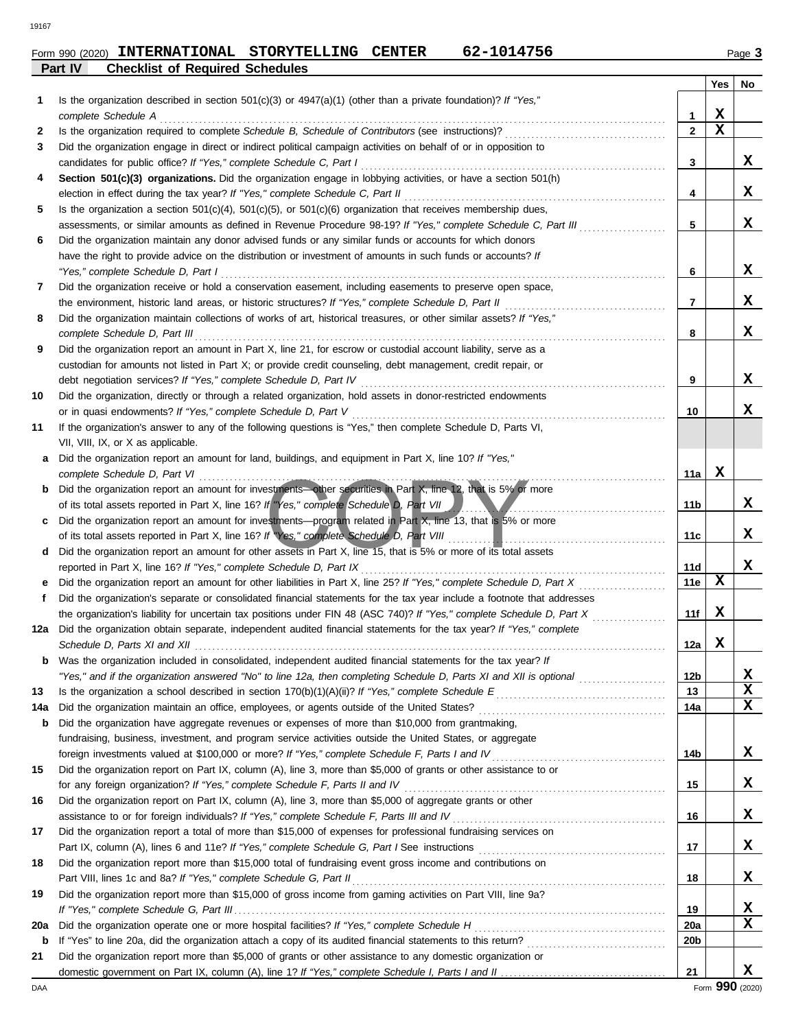**Part IV Checklist of Required Schedules**

|     |                                                                                                                                                                                                                             |                 | Yes | No |
|-----|-----------------------------------------------------------------------------------------------------------------------------------------------------------------------------------------------------------------------------|-----------------|-----|----|
| 1   | Is the organization described in section $501(c)(3)$ or $4947(a)(1)$ (other than a private foundation)? If "Yes,"                                                                                                           |                 |     |    |
|     | complete Schedule A                                                                                                                                                                                                         | 1               | X   |    |
| 2   |                                                                                                                                                                                                                             | $\mathbf{2}$    | X   |    |
| 3   | Did the organization engage in direct or indirect political campaign activities on behalf of or in opposition to                                                                                                            |                 |     |    |
|     | candidates for public office? If "Yes," complete Schedule C, Part I                                                                                                                                                         | 3               |     | X  |
| 4   | Section 501(c)(3) organizations. Did the organization engage in lobbying activities, or have a section 501(h)                                                                                                               |                 |     |    |
|     | election in effect during the tax year? If "Yes," complete Schedule C, Part II                                                                                                                                              | 4               |     | x  |
| 5   | Is the organization a section $501(c)(4)$ , $501(c)(5)$ , or $501(c)(6)$ organization that receives membership dues,                                                                                                        | 5               |     | x  |
| 6   | assessments, or similar amounts as defined in Revenue Procedure 98-19? If "Yes," complete Schedule C, Part III<br>Did the organization maintain any donor advised funds or any similar funds or accounts for which donors   |                 |     |    |
|     | have the right to provide advice on the distribution or investment of amounts in such funds or accounts? If                                                                                                                 |                 |     |    |
|     | "Yes," complete Schedule D, Part I                                                                                                                                                                                          | 6               |     | x  |
| 7   | Did the organization receive or hold a conservation easement, including easements to preserve open space,                                                                                                                   |                 |     |    |
|     | the environment, historic land areas, or historic structures? If "Yes," complete Schedule D, Part II                                                                                                                        | 7               |     | x  |
| 8   | Did the organization maintain collections of works of art, historical treasures, or other similar assets? If "Yes,"                                                                                                         |                 |     |    |
|     | complete Schedule D, Part III et al. (2008) and the set of the schedule D and Schedule D, Part III et al. (200                                                                                                              | 8               |     | X  |
| 9   | Did the organization report an amount in Part X, line 21, for escrow or custodial account liability, serve as a                                                                                                             |                 |     |    |
|     | custodian for amounts not listed in Part X; or provide credit counseling, debt management, credit repair, or                                                                                                                |                 |     |    |
|     |                                                                                                                                                                                                                             | 9               |     | x  |
| 10  | Did the organization, directly or through a related organization, hold assets in donor-restricted endowments                                                                                                                |                 |     |    |
|     | or in quasi endowments? If "Yes," complete Schedule D, Part V                                                                                                                                                               | 10              |     | x  |
| 11  | If the organization's answer to any of the following questions is "Yes," then complete Schedule D, Parts VI,                                                                                                                |                 |     |    |
|     | VII, VIII, IX, or X as applicable.                                                                                                                                                                                          |                 |     |    |
| a   | Did the organization report an amount for land, buildings, and equipment in Part X, line 10? If "Yes,"                                                                                                                      |                 |     |    |
|     |                                                                                                                                                                                                                             | 11a             | X   |    |
|     | b Did the organization report an amount for investments other securities in Part X, line 12, that is 5% or more                                                                                                             |                 |     |    |
|     | of its total assets reported in Part X, line 16? If "Yes," complete Schedule D, Part VII                                                                                                                                    | 11b             |     | x  |
| C   | Did the organization report an amount for investments—program related in Part X, line 13, that is 5% or more<br>of its total assets reported in Part X, line 16? If "Yes," complete Schedule D, Part VIII                   | 11c             |     | x  |
| d   | Did the organization report an amount for other assets in Part X, line 15, that is 5% or more of its total assets                                                                                                           |                 |     |    |
|     | reported in Part X, line 16? If "Yes," complete Schedule D, Part IX [[CONDERGANDIDIDED] in Part IX [[CONDERGAN                                                                                                              | 11d             |     | x  |
|     |                                                                                                                                                                                                                             | 11e             | X   |    |
| f   | Did the organization's separate or consolidated financial statements for the tax year include a footnote that addresses                                                                                                     |                 |     |    |
|     | the organization's liability for uncertain tax positions under FIN 48 (ASC 740)? If "Yes," complete Schedule D, Part X                                                                                                      | 11f             | x   |    |
| 12a | Did the organization obtain separate, independent audited financial statements for the tax year? If "Yes," complete                                                                                                         |                 |     |    |
|     |                                                                                                                                                                                                                             | 12a             | x   |    |
| b   | Was the organization included in consolidated, independent audited financial statements for the tax year? If                                                                                                                |                 |     |    |
|     | "Yes," and if the organization answered "No" to line 12a, then completing Schedule D, Parts XI and XII is optional <i>merranoming</i>                                                                                       | 12 <sub>b</sub> |     | X  |
| 13  |                                                                                                                                                                                                                             | 13              |     | X  |
| 14a |                                                                                                                                                                                                                             | 14a             |     | x  |
| b   | Did the organization have aggregate revenues or expenses of more than \$10,000 from grantmaking,                                                                                                                            |                 |     |    |
|     | fundraising, business, investment, and program service activities outside the United States, or aggregate                                                                                                                   |                 |     |    |
|     |                                                                                                                                                                                                                             | 14b             |     | X  |
| 15  | Did the organization report on Part IX, column (A), line 3, more than \$5,000 of grants or other assistance to or                                                                                                           |                 |     | X  |
|     |                                                                                                                                                                                                                             | 15              |     |    |
| 16  | Did the organization report on Part IX, column (A), line 3, more than \$5,000 of aggregate grants or other<br>assistance to or for foreign individuals? If "Yes," complete Schedule F, Parts III and IV [[[[[[[[[[[[[[[[[[[ | 16              |     | X  |
| 17  | Did the organization report a total of more than \$15,000 of expenses for professional fundraising services on                                                                                                              |                 |     |    |
|     |                                                                                                                                                                                                                             | 17              |     | X  |
| 18  | Did the organization report more than \$15,000 total of fundraising event gross income and contributions on                                                                                                                 |                 |     |    |
|     | Part VIII, lines 1c and 8a? If "Yes," complete Schedule G, Part II [11] [12] [2] [2] [2] [2] [3] [3] [3] [3] [                                                                                                              | 18              |     | x  |
| 19  | Did the organization report more than \$15,000 of gross income from gaming activities on Part VIII, line 9a?                                                                                                                |                 |     |    |
|     |                                                                                                                                                                                                                             | 19              |     | X  |
| 20a |                                                                                                                                                                                                                             | <b>20a</b>      |     | x  |
| b   |                                                                                                                                                                                                                             | 20 <sub>b</sub> |     |    |
| 21  | Did the organization report more than \$5,000 of grants or other assistance to any domestic organization or                                                                                                                 |                 |     |    |
|     |                                                                                                                                                                                                                             | 21              |     | X  |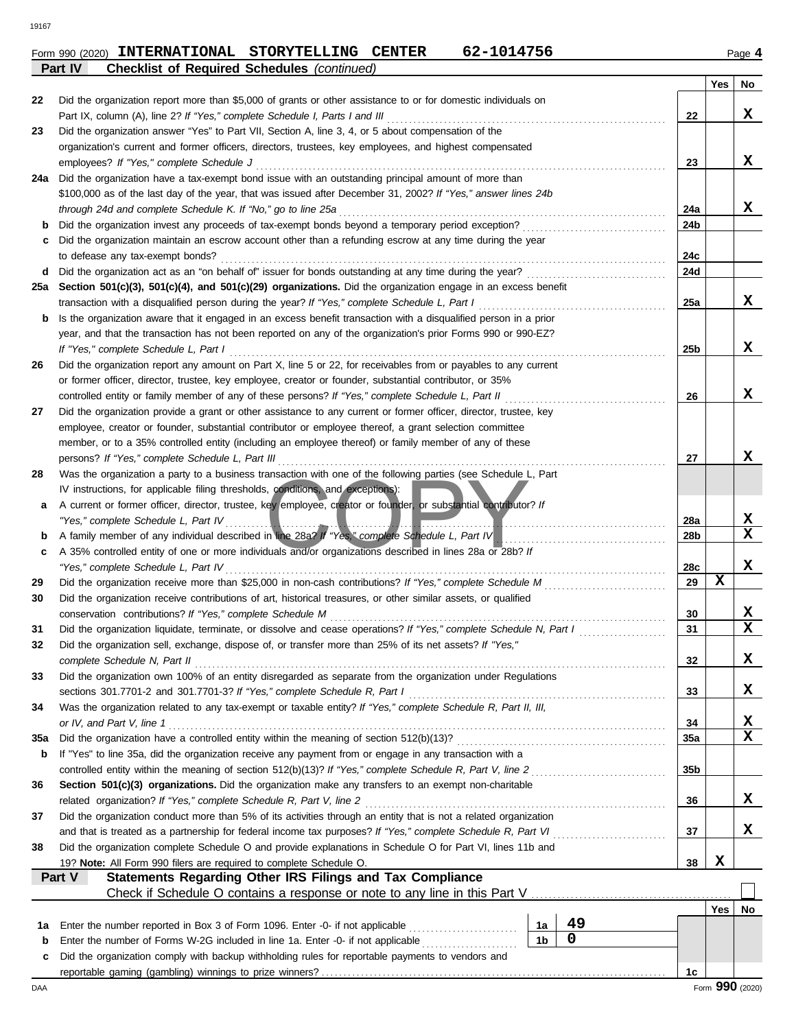|     |                                                                                                                                                                                                                         |                 | Yes | No              |  |  |  |  |  |
|-----|-------------------------------------------------------------------------------------------------------------------------------------------------------------------------------------------------------------------------|-----------------|-----|-----------------|--|--|--|--|--|
| 22  | Did the organization report more than \$5,000 of grants or other assistance to or for domestic individuals on                                                                                                           |                 |     |                 |  |  |  |  |  |
|     | Part IX, column (A), line 2? If "Yes," complete Schedule I, Parts I and III                                                                                                                                             | 22              |     | x               |  |  |  |  |  |
| 23  | Did the organization answer "Yes" to Part VII, Section A, line 3, 4, or 5 about compensation of the                                                                                                                     |                 |     |                 |  |  |  |  |  |
|     | organization's current and former officers, directors, trustees, key employees, and highest compensated                                                                                                                 |                 |     |                 |  |  |  |  |  |
|     | employees? If "Yes," complete Schedule J                                                                                                                                                                                |                 |     |                 |  |  |  |  |  |
| 24a | Did the organization have a tax-exempt bond issue with an outstanding principal amount of more than                                                                                                                     |                 |     |                 |  |  |  |  |  |
|     | \$100,000 as of the last day of the year, that was issued after December 31, 2002? If "Yes," answer lines 24b                                                                                                           |                 |     |                 |  |  |  |  |  |
|     | through 24d and complete Schedule K. If "No," go to line 25a                                                                                                                                                            | 24a             |     | x               |  |  |  |  |  |
| b   | Did the organization invest any proceeds of tax-exempt bonds beyond a temporary period exception?                                                                                                                       | 24b             |     |                 |  |  |  |  |  |
| c   | Did the organization maintain an escrow account other than a refunding escrow at any time during the year<br>to defease any tax-exempt bonds?                                                                           | 24c             |     |                 |  |  |  |  |  |
| d   |                                                                                                                                                                                                                         | 24d             |     |                 |  |  |  |  |  |
| 25a | Section 501(c)(3), 501(c)(4), and 501(c)(29) organizations. Did the organization engage in an excess benefit                                                                                                            |                 |     |                 |  |  |  |  |  |
|     | transaction with a disqualified person during the year? If "Yes," complete Schedule L, Part I consumed and the disqualitied person during the year? If "Yes," complete Schedule L, Part I consumed and the disqualities | 25a             |     | x               |  |  |  |  |  |
| b   | Is the organization aware that it engaged in an excess benefit transaction with a disqualified person in a prior                                                                                                        |                 |     |                 |  |  |  |  |  |
|     | year, and that the transaction has not been reported on any of the organization's prior Forms 990 or 990-EZ?                                                                                                            |                 |     |                 |  |  |  |  |  |
|     |                                                                                                                                                                                                                         | 25 <sub>b</sub> |     | x               |  |  |  |  |  |
| 26  | Did the organization report any amount on Part X, line 5 or 22, for receivables from or payables to any current                                                                                                         |                 |     |                 |  |  |  |  |  |
|     | or former officer, director, trustee, key employee, creator or founder, substantial contributor, or 35%                                                                                                                 |                 |     |                 |  |  |  |  |  |
|     | controlled entity or family member of any of these persons? If "Yes," complete Schedule L, Part II                                                                                                                      | 26              |     | x               |  |  |  |  |  |
| 27  | Did the organization provide a grant or other assistance to any current or former officer, director, trustee, key                                                                                                       |                 |     |                 |  |  |  |  |  |
|     | employee, creator or founder, substantial contributor or employee thereof, a grant selection committee                                                                                                                  |                 |     |                 |  |  |  |  |  |
|     | member, or to a 35% controlled entity (including an employee thereof) or family member of any of these                                                                                                                  |                 |     |                 |  |  |  |  |  |
|     |                                                                                                                                                                                                                         | 27              |     | x               |  |  |  |  |  |
| 28  | Was the organization a party to a business transaction with one of the following parties (see Schedule L, Part                                                                                                          |                 |     |                 |  |  |  |  |  |
|     | IV instructions, for applicable filing thresholds, conditions, and exceptions):                                                                                                                                         |                 |     |                 |  |  |  |  |  |
| a   | A current or former officer, director, trustee, key employee, creator or founder, or substantial contributor? If<br>"Yes," complete Schedule L, Part IV                                                                 | 28a             |     | X               |  |  |  |  |  |
| b   | A family member of any individual described in line 28a? If "Yes," complete Schedule L, Part IV                                                                                                                         | 28b             |     | $\mathbf x$     |  |  |  |  |  |
| c   | A 35% controlled entity of one or more individuals and/or organizations described in lines 28a or 28b? If                                                                                                               |                 |     |                 |  |  |  |  |  |
|     |                                                                                                                                                                                                                         | 28c             |     | X               |  |  |  |  |  |
| 29  |                                                                                                                                                                                                                         | 29              | x   |                 |  |  |  |  |  |
| 30  | Did the organization receive contributions of art, historical treasures, or other similar assets, or qualified                                                                                                          |                 |     |                 |  |  |  |  |  |
|     |                                                                                                                                                                                                                         | 30              |     | X               |  |  |  |  |  |
| 31  | Did the organization liquidate, terminate, or dissolve and cease operations? If "Yes," complete Schedule N, Part I                                                                                                      | 31              |     | $\mathbf x$     |  |  |  |  |  |
| 32  | Did the organization sell, exchange, dispose of, or transfer more than 25% of its net assets? If "Yes,"                                                                                                                 |                 |     |                 |  |  |  |  |  |
|     | complete Schedule N, Part II                                                                                                                                                                                            | 32              |     | X.              |  |  |  |  |  |
| 33  | Did the organization own 100% of an entity disregarded as separate from the organization under Regulations                                                                                                              |                 |     |                 |  |  |  |  |  |
|     |                                                                                                                                                                                                                         | 33              |     | x               |  |  |  |  |  |
| 34  | Was the organization related to any tax-exempt or taxable entity? If "Yes," complete Schedule R, Part II, III,                                                                                                          |                 |     |                 |  |  |  |  |  |
|     | or IV, and Part V, line 1                                                                                                                                                                                               | 34              |     | X<br>X          |  |  |  |  |  |
| 35a |                                                                                                                                                                                                                         | <b>35a</b>      |     |                 |  |  |  |  |  |
| b   | If "Yes" to line 35a, did the organization receive any payment from or engage in any transaction with a                                                                                                                 | 35 <sub>b</sub> |     |                 |  |  |  |  |  |
| 36  | Section 501(c)(3) organizations. Did the organization make any transfers to an exempt non-charitable                                                                                                                    |                 |     |                 |  |  |  |  |  |
|     | related organization? If "Yes," complete Schedule R, Part V, line 2                                                                                                                                                     | 36              |     | x               |  |  |  |  |  |
| 37  | Did the organization conduct more than 5% of its activities through an entity that is not a related organization                                                                                                        |                 |     |                 |  |  |  |  |  |
|     |                                                                                                                                                                                                                         | 37              |     | X               |  |  |  |  |  |
| 38  | Did the organization complete Schedule O and provide explanations in Schedule O for Part VI, lines 11b and                                                                                                              |                 |     |                 |  |  |  |  |  |
|     | 19? Note: All Form 990 filers are required to complete Schedule O.                                                                                                                                                      | 38              | X   |                 |  |  |  |  |  |
|     | Statements Regarding Other IRS Filings and Tax Compliance<br>Part V                                                                                                                                                     |                 |     |                 |  |  |  |  |  |
|     |                                                                                                                                                                                                                         |                 |     |                 |  |  |  |  |  |
|     |                                                                                                                                                                                                                         |                 | Yes | No              |  |  |  |  |  |
| 1а  | 49<br>Enter the number reported in Box 3 of Form 1096. Enter -0- if not applicable<br>1a                                                                                                                                |                 |     |                 |  |  |  |  |  |
| b   | 0<br>1 <sub>b</sub><br>Enter the number of Forms W-2G included in line 1a. Enter -0- if not applicable <i>minimum</i>                                                                                                   |                 |     |                 |  |  |  |  |  |
| c   | Did the organization comply with backup withholding rules for reportable payments to vendors and                                                                                                                        |                 |     |                 |  |  |  |  |  |
|     |                                                                                                                                                                                                                         | 1c              |     | Form 990 (2020) |  |  |  |  |  |
| DAA |                                                                                                                                                                                                                         |                 |     |                 |  |  |  |  |  |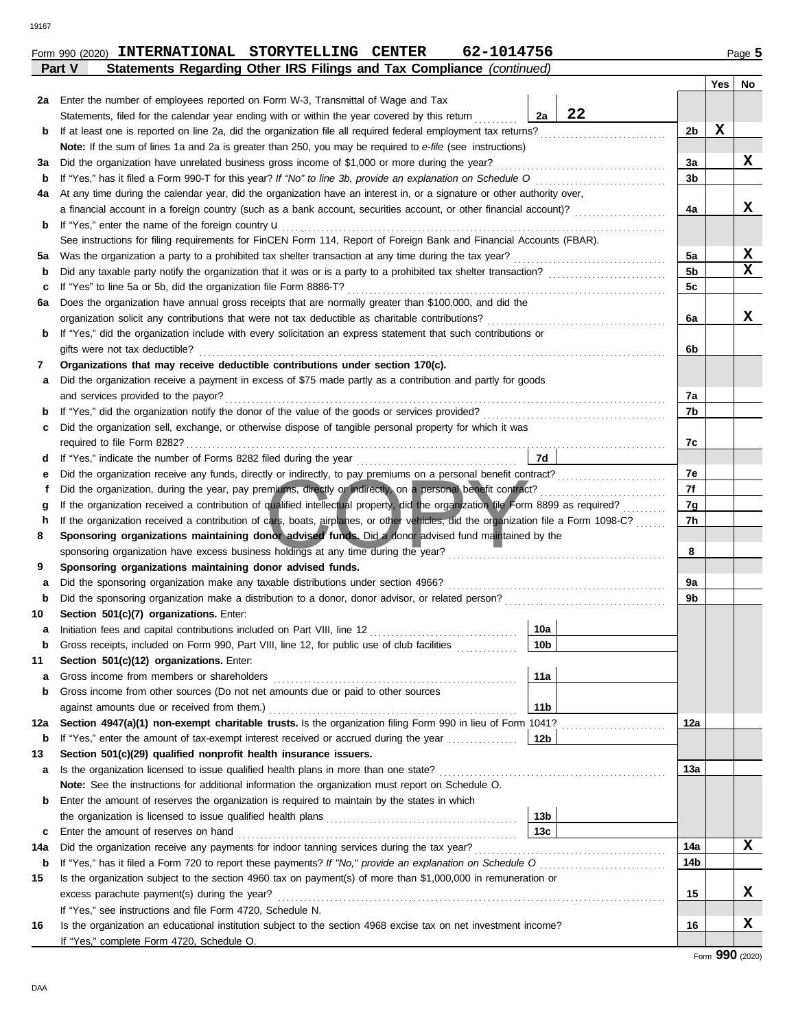| Form 990 (2020) | <b>INTERNATIONAL</b> | STORYTELLING | <b>CENTER</b> | 1014756<br><b>101</b> | Page 5 |
|-----------------|----------------------|--------------|---------------|-----------------------|--------|
|                 |                      |              |               |                       |        |

|         | Statements Regarding Other IRS Filings and Tax Compliance (continued)<br>Part V                                                                                                                                                         |                 |  |                |     |                  |  |  |  |  |
|---------|-----------------------------------------------------------------------------------------------------------------------------------------------------------------------------------------------------------------------------------------|-----------------|--|----------------|-----|------------------|--|--|--|--|
|         |                                                                                                                                                                                                                                         |                 |  |                | Yes | No               |  |  |  |  |
| 2a      | Enter the number of employees reported on Form W-3, Transmittal of Wage and Tax                                                                                                                                                         |                 |  |                |     |                  |  |  |  |  |
|         | 22<br>2a<br>Statements, filed for the calendar year ending with or within the year covered by this return                                                                                                                               |                 |  |                |     |                  |  |  |  |  |
| b       | If at least one is reported on line 2a, did the organization file all required federal employment tax returns?<br><u> 1986 - Johann Stoff, Amerikaansk kanton en beskriuwer om de foarmen it ferskearre om de foarmen it ferskearre</u> |                 |  |                |     |                  |  |  |  |  |
|         | Note: If the sum of lines 1a and 2a is greater than 250, you may be required to e-file (see instructions)                                                                                                                               |                 |  |                |     |                  |  |  |  |  |
| за      | Did the organization have unrelated business gross income of \$1,000 or more during the year?                                                                                                                                           |                 |  | 3a             |     | X                |  |  |  |  |
| b       |                                                                                                                                                                                                                                         |                 |  | 3b             |     |                  |  |  |  |  |
| 4a      | At any time during the calendar year, did the organization have an interest in, or a signature or other authority over,                                                                                                                 |                 |  |                |     |                  |  |  |  |  |
|         |                                                                                                                                                                                                                                         |                 |  | 4a             |     | x                |  |  |  |  |
| b       | If "Yes," enter the name of the foreign country $\mathbf u$                                                                                                                                                                             |                 |  |                |     |                  |  |  |  |  |
|         | See instructions for filing requirements for FinCEN Form 114, Report of Foreign Bank and Financial Accounts (FBAR).                                                                                                                     |                 |  |                |     |                  |  |  |  |  |
| 5а      | Was the organization a party to a prohibited tax shelter transaction at any time during the tax year?                                                                                                                                   |                 |  | 5a             |     | X<br>$\mathbf x$ |  |  |  |  |
| b       |                                                                                                                                                                                                                                         |                 |  | 5 <sub>b</sub> |     |                  |  |  |  |  |
| c       | If "Yes" to line 5a or 5b, did the organization file Form 8886-T?                                                                                                                                                                       |                 |  | 5c             |     |                  |  |  |  |  |
| 6а      | Does the organization have annual gross receipts that are normally greater than \$100,000, and did the                                                                                                                                  |                 |  |                |     | x                |  |  |  |  |
|         | If "Yes," did the organization include with every solicitation an express statement that such contributions or                                                                                                                          |                 |  | 6a             |     |                  |  |  |  |  |
| b       | gifts were not tax deductible?                                                                                                                                                                                                          |                 |  | 6b             |     |                  |  |  |  |  |
| 7       | Organizations that may receive deductible contributions under section 170(c).                                                                                                                                                           |                 |  |                |     |                  |  |  |  |  |
| а       | Did the organization receive a payment in excess of \$75 made partly as a contribution and partly for goods                                                                                                                             |                 |  |                |     |                  |  |  |  |  |
|         | and services provided to the payor?                                                                                                                                                                                                     |                 |  | 7a             |     |                  |  |  |  |  |
| b       | If "Yes," did the organization notify the donor of the value of the goods or services provided?                                                                                                                                         |                 |  | 7b             |     |                  |  |  |  |  |
| c       | Did the organization sell, exchange, or otherwise dispose of tangible personal property for which it was                                                                                                                                |                 |  |                |     |                  |  |  |  |  |
|         |                                                                                                                                                                                                                                         |                 |  | 7c             |     |                  |  |  |  |  |
| d       | 7d                                                                                                                                                                                                                                      |                 |  |                |     |                  |  |  |  |  |
| е       |                                                                                                                                                                                                                                         |                 |  |                |     |                  |  |  |  |  |
| f       | Did the organization, during the year, pay premiums, directly or indirectly, on a personal benefit contract?                                                                                                                            |                 |  |                |     |                  |  |  |  |  |
| g       | If the organization received a contribution of qualified intellectual property, did the organization file Form 8899 as required?                                                                                                        |                 |  |                |     |                  |  |  |  |  |
| h       | If the organization received a contribution of cars, boats, airplanes, or other vehicles, did the organization file a Form 1098-C?                                                                                                      |                 |  |                |     |                  |  |  |  |  |
| 8       | Sponsoring organizations maintaining donor advised funds. Did a donor advised fund maintained by the                                                                                                                                    |                 |  |                |     |                  |  |  |  |  |
|         | sponsoring organization have excess business holdings at any time during the year?                                                                                                                                                      |                 |  | 8              |     |                  |  |  |  |  |
| 9       | Sponsoring organizations maintaining donor advised funds.                                                                                                                                                                               |                 |  |                |     |                  |  |  |  |  |
| а       | Did the sponsoring organization make any taxable distributions under section 4966?                                                                                                                                                      |                 |  | 9a             |     |                  |  |  |  |  |
| b       |                                                                                                                                                                                                                                         |                 |  | 9b             |     |                  |  |  |  |  |
| 10      | Section 501(c)(7) organizations. Enter:                                                                                                                                                                                                 |                 |  |                |     |                  |  |  |  |  |
| а       |                                                                                                                                                                                                                                         | 10a             |  |                |     |                  |  |  |  |  |
|         | Gross receipts, included on Form 990, Part VIII, line 12, for public use of club facilities                                                                                                                                             | 10 <sub>b</sub> |  |                |     |                  |  |  |  |  |
| 11      | Section 501(c)(12) organizations. Enter:                                                                                                                                                                                                |                 |  |                |     |                  |  |  |  |  |
| а       | Gross income from members or shareholders                                                                                                                                                                                               | 11a             |  |                |     |                  |  |  |  |  |
| b       | Gross income from other sources (Do not net amounts due or paid to other sources                                                                                                                                                        |                 |  |                |     |                  |  |  |  |  |
|         | against amounts due or received from them.)                                                                                                                                                                                             | 11 <sub>b</sub> |  |                |     |                  |  |  |  |  |
| 12a     | Section 4947(a)(1) non-exempt charitable trusts. Is the organization filing Form 990 in lieu of Form 1041?                                                                                                                              |                 |  | 12a            |     |                  |  |  |  |  |
| b<br>13 | If "Yes," enter the amount of tax-exempt interest received or accrued during the year<br>Section 501(c)(29) qualified nonprofit health insurance issuers.                                                                               | 12 <sub>b</sub> |  |                |     |                  |  |  |  |  |
| а       | Is the organization licensed to issue qualified health plans in more than one state?                                                                                                                                                    |                 |  | 13а            |     |                  |  |  |  |  |
|         | Note: See the instructions for additional information the organization must report on Schedule O.                                                                                                                                       |                 |  |                |     |                  |  |  |  |  |
|         | Enter the amount of reserves the organization is required to maintain by the states in which                                                                                                                                            |                 |  |                |     |                  |  |  |  |  |
|         | b<br>13 <sub>b</sub>                                                                                                                                                                                                                    |                 |  |                |     |                  |  |  |  |  |
| c       | Enter the amount of reserves on hand                                                                                                                                                                                                    | 13 <sub>c</sub> |  |                |     |                  |  |  |  |  |
| 14a     |                                                                                                                                                                                                                                         |                 |  |                |     |                  |  |  |  |  |
| b       |                                                                                                                                                                                                                                         |                 |  | 14b            |     | x                |  |  |  |  |
| 15      | Is the organization subject to the section 4960 tax on payment(s) of more than \$1,000,000 in remuneration or                                                                                                                           |                 |  |                |     |                  |  |  |  |  |
|         | excess parachute payment(s) during the year?                                                                                                                                                                                            |                 |  | 15             |     | X                |  |  |  |  |
|         | If "Yes," see instructions and file Form 4720, Schedule N.                                                                                                                                                                              |                 |  |                |     |                  |  |  |  |  |
| 16      | Is the organization an educational institution subject to the section 4968 excise tax on net investment income?                                                                                                                         |                 |  | 16             |     | x                |  |  |  |  |
|         | If "Yes," complete Form 4720, Schedule O.                                                                                                                                                                                               |                 |  |                |     |                  |  |  |  |  |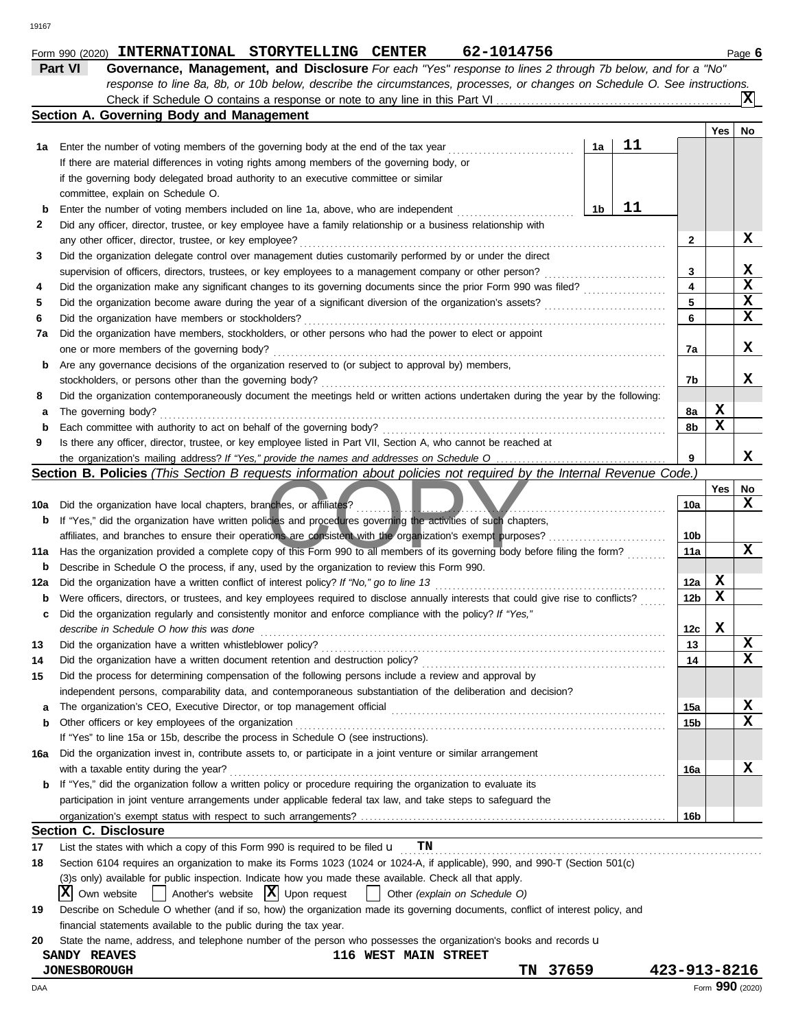|     | Check if Schedule O contains a response or note to any line in this Part VI                                                                                                                                                     |    |    |                         |     | ΙX              |  |  |  |  |  |
|-----|---------------------------------------------------------------------------------------------------------------------------------------------------------------------------------------------------------------------------------|----|----|-------------------------|-----|-----------------|--|--|--|--|--|
|     | Section A. Governing Body and Management                                                                                                                                                                                        |    |    |                         |     |                 |  |  |  |  |  |
|     |                                                                                                                                                                                                                                 |    |    |                         | Yes | No              |  |  |  |  |  |
| 1а  | Enter the number of voting members of the governing body at the end of the tax year                                                                                                                                             | 1a | 11 |                         |     |                 |  |  |  |  |  |
|     | If there are material differences in voting rights among members of the governing body, or                                                                                                                                      |    |    |                         |     |                 |  |  |  |  |  |
|     | if the governing body delegated broad authority to an executive committee or similar                                                                                                                                            |    |    |                         |     |                 |  |  |  |  |  |
|     | committee, explain on Schedule O.                                                                                                                                                                                               |    |    |                         |     |                 |  |  |  |  |  |
| b   | 11<br>1b<br>Enter the number of voting members included on line 1a, above, who are independent                                                                                                                                  |    |    |                         |     |                 |  |  |  |  |  |
| 2   | Did any officer, director, trustee, or key employee have a family relationship or a business relationship with                                                                                                                  |    |    |                         |     |                 |  |  |  |  |  |
|     | any other officer, director, trustee, or key employee?                                                                                                                                                                          |    |    | 2                       |     | X               |  |  |  |  |  |
| 3   | Did the organization delegate control over management duties customarily performed by or under the direct                                                                                                                       |    |    |                         |     |                 |  |  |  |  |  |
|     | supervision of officers, directors, trustees, or key employees to a management company or other person?                                                                                                                         |    |    | 3                       |     | x               |  |  |  |  |  |
| 4   | Did the organization make any significant changes to its governing documents since the prior Form 990 was filed?                                                                                                                |    |    | $\overline{\mathbf{4}}$ |     | $\mathbf x$     |  |  |  |  |  |
| 5   | Did the organization become aware during the year of a significant diversion of the organization's assets?                                                                                                                      |    |    | 5                       |     | $\mathbf x$     |  |  |  |  |  |
| 6   | Did the organization have members or stockholders?                                                                                                                                                                              |    |    | 6                       |     | x               |  |  |  |  |  |
| 7a  | Did the organization have members, stockholders, or other persons who had the power to elect or appoint                                                                                                                         |    |    |                         |     |                 |  |  |  |  |  |
|     | one or more members of the governing body?                                                                                                                                                                                      |    |    | 7а                      |     | x               |  |  |  |  |  |
| b   | Are any governance decisions of the organization reserved to (or subject to approval by) members,                                                                                                                               |    |    |                         |     |                 |  |  |  |  |  |
|     | stockholders, or persons other than the governing body?                                                                                                                                                                         |    |    | 7b                      |     | x               |  |  |  |  |  |
| 8   | Did the organization contemporaneously document the meetings held or written actions undertaken during the year by the following:                                                                                               |    |    |                         |     |                 |  |  |  |  |  |
| а   | The governing body?                                                                                                                                                                                                             |    |    | 8a                      | X   |                 |  |  |  |  |  |
| b   | Each committee with authority to act on behalf of the governing body?                                                                                                                                                           |    |    | 8b                      | X   |                 |  |  |  |  |  |
| 9   | Is there any officer, director, trustee, or key employee listed in Part VII, Section A, who cannot be reached at                                                                                                                |    |    |                         |     |                 |  |  |  |  |  |
|     |                                                                                                                                                                                                                                 |    |    | 9                       |     | x               |  |  |  |  |  |
|     | Section B. Policies (This Section B requests information about policies not required by the Internal Revenue Code.)                                                                                                             |    |    |                         |     |                 |  |  |  |  |  |
|     |                                                                                                                                                                                                                                 |    |    |                         | Yes | No              |  |  |  |  |  |
| 10a | Did the organization have local chapters, branches, or affiliates?                                                                                                                                                              |    |    | 10a                     |     | X               |  |  |  |  |  |
| b   | If "Yes," did the organization have written policies and procedures governing the activities of such chapters,                                                                                                                  |    |    |                         |     |                 |  |  |  |  |  |
|     | affiliates, and branches to ensure their operations are consistent with the organization's exempt purposes?                                                                                                                     |    |    | 10 <sub>b</sub>         |     |                 |  |  |  |  |  |
| 11a | Has the organization provided a complete copy of this Form 990 to all members of its governing body before filing the form?                                                                                                     |    |    | 11a                     |     | x               |  |  |  |  |  |
| b   | Describe in Schedule O the process, if any, used by the organization to review this Form 990.                                                                                                                                   |    |    |                         |     |                 |  |  |  |  |  |
| 12a | Did the organization have a written conflict of interest policy? If "No," go to line 13                                                                                                                                         |    |    | 12a                     | X   |                 |  |  |  |  |  |
| b   | Were officers, directors, or trustees, and key employees required to disclose annually interests that could give rise to conflicts?                                                                                             |    |    | 12b                     | х   |                 |  |  |  |  |  |
| c   | Did the organization regularly and consistently monitor and enforce compliance with the policy? If "Yes,"                                                                                                                       |    |    |                         |     |                 |  |  |  |  |  |
|     | describe in Schedule O how this was done                                                                                                                                                                                        |    |    | 12c                     | X   |                 |  |  |  |  |  |
| 13  | Did the organization have a written whistleblower policy?                                                                                                                                                                       |    |    | 13                      |     | X               |  |  |  |  |  |
| 14  |                                                                                                                                                                                                                                 |    |    | 14                      |     | x               |  |  |  |  |  |
| 15  | Did the process for determining compensation of the following persons include a review and approval by                                                                                                                          |    |    |                         |     |                 |  |  |  |  |  |
|     | independent persons, comparability data, and contemporaneous substantiation of the deliberation and decision?                                                                                                                   |    |    |                         |     |                 |  |  |  |  |  |
| a   |                                                                                                                                                                                                                                 |    |    | 15a                     |     | X               |  |  |  |  |  |
| b   | Other officers or key employees of the organization                                                                                                                                                                             |    |    | 15b                     |     | x               |  |  |  |  |  |
|     | If "Yes" to line 15a or 15b, describe the process in Schedule O (see instructions).                                                                                                                                             |    |    |                         |     |                 |  |  |  |  |  |
| 16a | Did the organization invest in, contribute assets to, or participate in a joint venture or similar arrangement                                                                                                                  |    |    |                         |     |                 |  |  |  |  |  |
|     | with a taxable entity during the year?                                                                                                                                                                                          |    |    | 16a                     |     | X               |  |  |  |  |  |
| b   | If "Yes," did the organization follow a written policy or procedure requiring the organization to evaluate its<br>participation in joint venture arrangements under applicable federal tax law, and take steps to safeguard the |    |    |                         |     |                 |  |  |  |  |  |
|     |                                                                                                                                                                                                                                 |    |    |                         |     |                 |  |  |  |  |  |
|     |                                                                                                                                                                                                                                 |    |    | 16b                     |     |                 |  |  |  |  |  |
|     | <b>Section C. Disclosure</b>                                                                                                                                                                                                    |    |    |                         |     |                 |  |  |  |  |  |
| 17  | TN<br>List the states with which a copy of this Form 990 is required to be filed $\mathbf u$                                                                                                                                    |    |    |                         |     |                 |  |  |  |  |  |
| 18  | Section 6104 requires an organization to make its Forms 1023 (1024 or 1024-A, if applicable), 990, and 990-T (Section 501(c)                                                                                                    |    |    |                         |     |                 |  |  |  |  |  |
|     | (3)s only) available for public inspection. Indicate how you made these available. Check all that apply.                                                                                                                        |    |    |                         |     |                 |  |  |  |  |  |
|     | Another's website $ \mathbf{X} $ Upon request<br>$ X $ Own website<br>Other (explain on Schedule O)<br>$\mathbf{1}$                                                                                                             |    |    |                         |     |                 |  |  |  |  |  |
| 19  | Describe on Schedule O whether (and if so, how) the organization made its governing documents, conflict of interest policy, and                                                                                                 |    |    |                         |     |                 |  |  |  |  |  |
|     | financial statements available to the public during the tax year.                                                                                                                                                               |    |    |                         |     |                 |  |  |  |  |  |
| 20  | State the name, address, and telephone number of the person who possesses the organization's books and records u                                                                                                                |    |    |                         |     |                 |  |  |  |  |  |
|     | 116 WEST MAIN STREET<br><b>SANDY REAVES</b>                                                                                                                                                                                     |    |    |                         |     |                 |  |  |  |  |  |
|     | 37659<br>TN<br><b>JONESBOROUGH</b>                                                                                                                                                                                              |    |    | 423-913-8216            |     |                 |  |  |  |  |  |
| DAA |                                                                                                                                                                                                                                 |    |    |                         |     | Form 990 (2020) |  |  |  |  |  |

**Part VI Governance, Management, and Disclosure** *For each "Yes" response to lines 2 through 7b below, and for a "No"*

*response to line 8a, 8b, or 10b below, describe the circumstances, processes, or changes on Schedule O. See instructions.*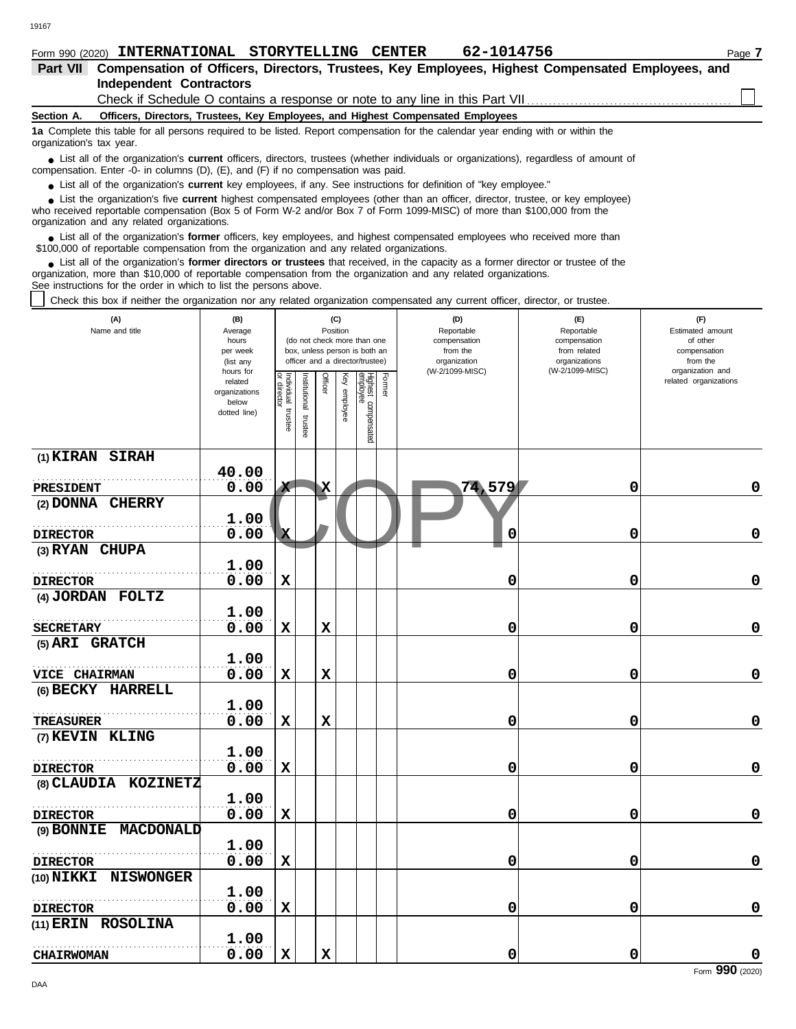|  | Form 990 (2020) | <b>INTERNATIONAL</b> | <b>STORYTELLING</b> | <b>CENTER</b> | 62-1014756<br>$04-$ | Page |
|--|-----------------|----------------------|---------------------|---------------|---------------------|------|
|--|-----------------|----------------------|---------------------|---------------|---------------------|------|

| Part VII Compensation of Officers, Directors, Trustees, Key Employees, Highest Compensated Employees, and                                                                                                                                                                                                                     |                                                                |                       |                         |              |                 |                                                                                                 |        |                                                                                 |                                                                    |                                                                 |  |  |
|-------------------------------------------------------------------------------------------------------------------------------------------------------------------------------------------------------------------------------------------------------------------------------------------------------------------------------|----------------------------------------------------------------|-----------------------|-------------------------|--------------|-----------------|-------------------------------------------------------------------------------------------------|--------|---------------------------------------------------------------------------------|--------------------------------------------------------------------|-----------------------------------------------------------------|--|--|
| <b>Independent Contractors</b>                                                                                                                                                                                                                                                                                                |                                                                |                       |                         |              |                 |                                                                                                 |        |                                                                                 |                                                                    |                                                                 |  |  |
| Check if Schedule O contains a response or note to any line in this Part VII                                                                                                                                                                                                                                                  |                                                                |                       |                         |              |                 |                                                                                                 |        |                                                                                 |                                                                    |                                                                 |  |  |
| Section A.                                                                                                                                                                                                                                                                                                                    |                                                                |                       |                         |              |                 |                                                                                                 |        | Officers, Directors, Trustees, Key Employees, and Highest Compensated Employees |                                                                    |                                                                 |  |  |
| 1a Complete this table for all persons required to be listed. Report compensation for the calendar year ending with or within the<br>organization's tax year.                                                                                                                                                                 |                                                                |                       |                         |              |                 |                                                                                                 |        |                                                                                 |                                                                    |                                                                 |  |  |
| List all of the organization's <b>current</b> officers, directors, trustees (whether individuals or organizations), regardless of amount of<br>compensation. Enter -0- in columns (D), (E), and (F) if no compensation was paid.                                                                                              |                                                                |                       |                         |              |                 |                                                                                                 |        |                                                                                 |                                                                    |                                                                 |  |  |
| • List all of the organization's current key employees, if any. See instructions for definition of "key employee."                                                                                                                                                                                                            |                                                                |                       |                         |              |                 |                                                                                                 |        |                                                                                 |                                                                    |                                                                 |  |  |
| • List the organization's five current highest compensated employees (other than an officer, director, trustee, or key employee)<br>who received reportable compensation (Box 5 of Form W-2 and/or Box 7 of Form 1099-MISC) of more than \$100,000 from the<br>organization and any related organizations.                    |                                                                |                       |                         |              |                 |                                                                                                 |        |                                                                                 |                                                                    |                                                                 |  |  |
| • List all of the organization's former officers, key employees, and highest compensated employees who received more than<br>\$100,000 of reportable compensation from the organization and any related organizations.                                                                                                        |                                                                |                       |                         |              |                 |                                                                                                 |        |                                                                                 |                                                                    |                                                                 |  |  |
| • List all of the organization's former directors or trustees that received, in the capacity as a former director or trustee of the<br>organization, more than \$10,000 of reportable compensation from the organization and any related organizations.<br>See instructions for the order in which to list the persons above. |                                                                |                       |                         |              |                 |                                                                                                 |        |                                                                                 |                                                                    |                                                                 |  |  |
| Check this box if neither the organization nor any related organization compensated any current officer, director, or trustee.                                                                                                                                                                                                |                                                                |                       |                         |              |                 |                                                                                                 |        |                                                                                 |                                                                    |                                                                 |  |  |
| (A)<br>Name and title                                                                                                                                                                                                                                                                                                         | (B)<br>Average<br>hours<br>per week<br>(list any               |                       |                         | Position     | (C)             | (do not check more than one<br>box, unless person is both an<br>officer and a director/trustee) |        | (D)<br>Reportable<br>compensation<br>from the<br>organization                   | (E)<br>Reportable<br>compensation<br>from related<br>organizations | (F)<br>Estimated amount<br>of other<br>compensation<br>from the |  |  |
|                                                                                                                                                                                                                                                                                                                               | hours for<br>related<br>organizations<br>below<br>dotted line) | Individual<br>trustee | nstitutional<br>trustee | Officer      | Ķey<br>employee | Highest compensated<br>employee                                                                 | Former | (W-2/1099-MISC)                                                                 | (W-2/1099-MISC)                                                    | organization and<br>related organizations                       |  |  |
| (1) KIRAN SIRAH                                                                                                                                                                                                                                                                                                               |                                                                |                       |                         |              |                 |                                                                                                 |        |                                                                                 |                                                                    |                                                                 |  |  |
| PRESIDENT                                                                                                                                                                                                                                                                                                                     | 40.00<br>0.00                                                  | x                     |                         | $\mathbf{x}$ |                 |                                                                                                 |        | 74,579                                                                          | 0                                                                  | 0                                                               |  |  |
| (2) DONNA CHERRY                                                                                                                                                                                                                                                                                                              |                                                                |                       |                         |              |                 |                                                                                                 |        |                                                                                 |                                                                    |                                                                 |  |  |
| <b>DIRECTOR</b>                                                                                                                                                                                                                                                                                                               | 1.00<br>0.00                                                   | $\mathbf{x}$          |                         |              |                 |                                                                                                 |        | 0                                                                               | 0                                                                  | 0                                                               |  |  |
| (3) RYAN CHUPA                                                                                                                                                                                                                                                                                                                |                                                                |                       |                         |              |                 |                                                                                                 |        |                                                                                 |                                                                    |                                                                 |  |  |
| <b>DIRECTOR</b>                                                                                                                                                                                                                                                                                                               | 1.00<br>0.00                                                   | X                     |                         |              |                 |                                                                                                 |        | 0                                                                               | 0                                                                  | 0                                                               |  |  |
| (4) JORDAN FOLTZ                                                                                                                                                                                                                                                                                                              |                                                                |                       |                         |              |                 |                                                                                                 |        |                                                                                 |                                                                    |                                                                 |  |  |
|                                                                                                                                                                                                                                                                                                                               | 1.00                                                           |                       |                         |              |                 |                                                                                                 |        |                                                                                 |                                                                    |                                                                 |  |  |
| <b>SECRETARY</b>                                                                                                                                                                                                                                                                                                              | 0.00                                                           | X                     |                         | х            |                 |                                                                                                 |        | 0                                                                               | 0                                                                  | $\mathbf 0$                                                     |  |  |
| (5) ARI GRATCH                                                                                                                                                                                                                                                                                                                |                                                                |                       |                         |              |                 |                                                                                                 |        |                                                                                 |                                                                    |                                                                 |  |  |
|                                                                                                                                                                                                                                                                                                                               | 1.00                                                           |                       |                         |              |                 |                                                                                                 |        |                                                                                 |                                                                    |                                                                 |  |  |
| VICE CHAIRMAN                                                                                                                                                                                                                                                                                                                 | 0.00                                                           | X                     |                         | X            |                 |                                                                                                 |        | 0                                                                               | 0                                                                  | $\mathbf 0$                                                     |  |  |
| (6) BECKY HARRELL                                                                                                                                                                                                                                                                                                             |                                                                |                       |                         |              |                 |                                                                                                 |        |                                                                                 |                                                                    |                                                                 |  |  |
|                                                                                                                                                                                                                                                                                                                               | 1.00                                                           |                       |                         |              |                 |                                                                                                 |        |                                                                                 |                                                                    |                                                                 |  |  |
| <b>TREASURER</b>                                                                                                                                                                                                                                                                                                              | 0.00                                                           | X                     |                         | $\mathbf x$  |                 |                                                                                                 |        | 0                                                                               | 0                                                                  | $\mathbf 0$                                                     |  |  |
| (7) KEVIN KLING                                                                                                                                                                                                                                                                                                               |                                                                |                       |                         |              |                 |                                                                                                 |        |                                                                                 |                                                                    |                                                                 |  |  |
|                                                                                                                                                                                                                                                                                                                               | 1.00                                                           |                       |                         |              |                 |                                                                                                 |        |                                                                                 |                                                                    |                                                                 |  |  |

|                      |       | œ            | க |              | page |        |   |                 |
|----------------------|-------|--------------|---|--------------|------|--------|---|-----------------|
| (1) KIRAN SIRAH      |       |              |   |              |      |        |   |                 |
|                      | 40.00 |              |   |              |      |        |   |                 |
| PRESIDENT            | 0.00  | $\mathbf{x}$ |   | $\mathbf{x}$ |      | 74,579 | 0 | $\mathbf 0$     |
| (2) DONNA CHERRY     |       |              |   |              |      |        |   |                 |
|                      | 1.00  |              |   |              |      |        |   |                 |
| <b>DIRECTOR</b>      | 0.00  | $\mathbf{x}$ |   |              |      | 0      | 0 | $\mathbf 0$     |
| (3) RYAN CHUPA       |       |              |   |              |      |        |   |                 |
|                      | 1.00  |              |   |              |      |        |   |                 |
| <b>DIRECTOR</b>      | 0.00  | $\mathbf x$  |   |              |      | 0      | 0 | $\mathbf 0$     |
| (4) JORDAN FOLTZ     |       |              |   |              |      |        |   |                 |
|                      | 1.00  |              |   |              |      |        |   |                 |
| <b>SECRETARY</b>     | 0.00  | $\mathbf X$  |   | $\mathbf x$  |      | 0      | 0 | $\mathbf 0$     |
| (5) ARI GRATCH       |       |              |   |              |      |        |   |                 |
|                      | 1.00  |              |   |              |      |        |   |                 |
| VICE CHAIRMAN        | 0.00  | $\mathbf x$  |   | $\mathbf x$  |      | 0      | 0 | $\mathbf 0$     |
| (6) BECKY HARRELL    |       |              |   |              |      |        |   |                 |
|                      | 1.00  |              |   |              |      |        |   |                 |
| <b>TREASURER</b>     | 0.00  | $\mathbf x$  |   | $\mathbf x$  |      | 0      | 0 | $\mathbf 0$     |
| (7) KEVIN KLING      |       |              |   |              |      |        |   |                 |
|                      | 1.00  |              |   |              |      |        |   |                 |
| <b>DIRECTOR</b>      | 0.00  | $\mathbf X$  |   |              |      | 0      | 0 | $\mathbf 0$     |
| (8) CLAUDIA KOZINETZ |       |              |   |              |      |        |   |                 |
|                      | 1.00  |              |   |              |      |        |   |                 |
| <b>DIRECTOR</b>      | 0.00  | $\mathbf X$  |   |              |      | 0      | 0 | 0               |
| (9) BONNIE MACDONALD |       |              |   |              |      |        |   |                 |
|                      | 1.00  |              |   |              |      |        |   |                 |
| <b>DIRECTOR</b>      | 0.00  | $\mathbf x$  |   |              |      | 0      | 0 | 0               |
| (10) NIKKI NISWONGER |       |              |   |              |      |        |   |                 |
|                      | 1.00  |              |   |              |      |        |   |                 |
| <b>DIRECTOR</b>      | 0.00  | $\mathbf x$  |   |              |      | 0      | 0 | $\mathbf 0$     |
| (11) ERIN ROSOLINA   |       |              |   |              |      |        |   |                 |
|                      | 1.00  |              |   |              |      |        |   |                 |
| <b>CHAIRWOMAN</b>    | 0.00  | $\mathbf x$  |   | $\mathbf x$  |      | 0      | 0 |                 |
|                      |       |              |   |              |      |        |   | Form 990 (2020) |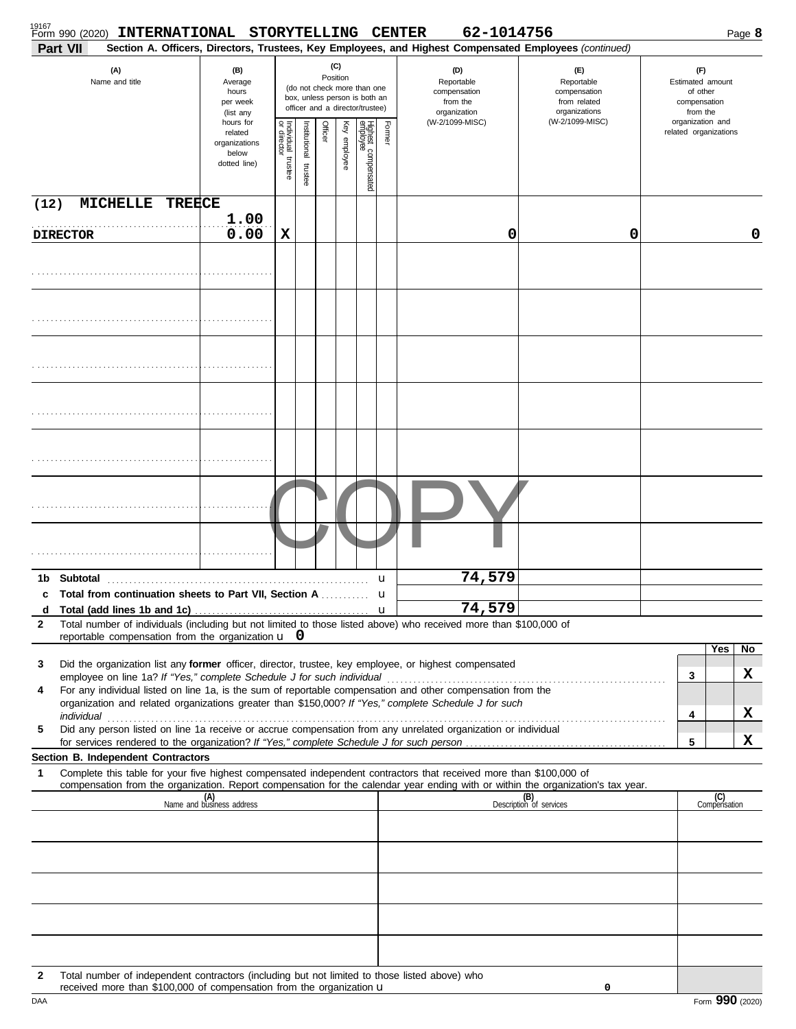|                   | 19167<br>Form 990 (2020) | INTERNATIONAL STORYTELLING CENTER                                                                                                                                                                                    |                                                               |                                   |                         |         |                 |                                                                                                 |        |                                                                                  | 62-1014756 |                                                                                                                                                                    |                                                                                     |                     | Page 8 |
|-------------------|--------------------------|----------------------------------------------------------------------------------------------------------------------------------------------------------------------------------------------------------------------|---------------------------------------------------------------|-----------------------------------|-------------------------|---------|-----------------|-------------------------------------------------------------------------------------------------|--------|----------------------------------------------------------------------------------|------------|--------------------------------------------------------------------------------------------------------------------------------------------------------------------|-------------------------------------------------------------------------------------|---------------------|--------|
|                   | Part VII                 |                                                                                                                                                                                                                      |                                                               |                                   |                         |         |                 |                                                                                                 |        |                                                                                  |            | Section A. Officers, Directors, Trustees, Key Employees, and Highest Compensated Employees (continued)                                                             |                                                                                     |                     |        |
|                   |                          | (A)<br>Name and title                                                                                                                                                                                                | (B)<br>Average<br>hours<br>per week<br>(list any<br>hours for |                                   |                         |         | (C)<br>Position | (do not check more than one<br>box, unless person is both an<br>officer and a director/trustee) |        | (D)<br>Reportable<br>compensation<br>from the<br>organization<br>(W-2/1099-MISC) |            | (E)<br>Reportable<br>compensation<br>from related<br>organizations<br>(W-2/1099-MISC)                                                                              | (F)<br>Estimated amount<br>of other<br>compensation<br>from the<br>organization and |                     |        |
|                   |                          |                                                                                                                                                                                                                      | related<br>organizations<br>below<br>dotted line)             | Individual trustee<br>or director | nstitutional<br>trustee | Officer | Key employee    | Highest compensated<br>employee                                                                 | Former |                                                                                  |            |                                                                                                                                                                    | related organizations                                                               |                     |        |
| (12)              |                          | <b>MICHELLE</b><br><b>TREECE</b>                                                                                                                                                                                     |                                                               |                                   |                         |         |                 |                                                                                                 |        |                                                                                  |            |                                                                                                                                                                    |                                                                                     |                     |        |
|                   | <b>DIRECTOR</b>          |                                                                                                                                                                                                                      | 1.00<br>0.00                                                  | X                                 |                         |         |                 |                                                                                                 |        |                                                                                  | 0          | 0                                                                                                                                                                  |                                                                                     |                     | 0      |
|                   |                          |                                                                                                                                                                                                                      |                                                               |                                   |                         |         |                 |                                                                                                 |        |                                                                                  |            |                                                                                                                                                                    |                                                                                     |                     |        |
|                   |                          |                                                                                                                                                                                                                      |                                                               |                                   |                         |         |                 |                                                                                                 |        |                                                                                  |            |                                                                                                                                                                    |                                                                                     |                     |        |
|                   |                          |                                                                                                                                                                                                                      |                                                               |                                   |                         |         |                 |                                                                                                 |        |                                                                                  |            |                                                                                                                                                                    |                                                                                     |                     |        |
|                   |                          |                                                                                                                                                                                                                      |                                                               |                                   |                         |         |                 |                                                                                                 |        |                                                                                  |            |                                                                                                                                                                    |                                                                                     |                     |        |
|                   |                          |                                                                                                                                                                                                                      |                                                               |                                   |                         |         |                 |                                                                                                 |        |                                                                                  |            |                                                                                                                                                                    |                                                                                     |                     |        |
|                   |                          |                                                                                                                                                                                                                      |                                                               |                                   |                         |         |                 |                                                                                                 |        |                                                                                  |            |                                                                                                                                                                    |                                                                                     |                     |        |
|                   |                          |                                                                                                                                                                                                                      |                                                               |                                   |                         |         |                 |                                                                                                 |        |                                                                                  |            |                                                                                                                                                                    |                                                                                     |                     |        |
| 1b<br>c           |                          | Total from continuation sheets to Part VII, Section A                                                                                                                                                                |                                                               |                                   |                         |         |                 |                                                                                                 | u<br>u |                                                                                  | 74,579     |                                                                                                                                                                    |                                                                                     |                     |        |
| d<br>$\mathbf{2}$ |                          | Total number of individuals (including but not limited to those listed above) who received more than \$100,000 of<br>reportable compensation from the organization $\mathbf{u} \cdot \mathbf{0}$                     |                                                               |                                   |                         |         |                 |                                                                                                 |        |                                                                                  | 74,579     |                                                                                                                                                                    |                                                                                     |                     |        |
| 3                 |                          | Did the organization list any former officer, director, trustee, key employee, or highest compensated                                                                                                                |                                                               |                                   |                         |         |                 |                                                                                                 |        |                                                                                  |            |                                                                                                                                                                    |                                                                                     | Yes                 | No     |
|                   |                          |                                                                                                                                                                                                                      |                                                               |                                   |                         |         |                 |                                                                                                 |        |                                                                                  |            |                                                                                                                                                                    | 3                                                                                   |                     | x      |
| 4                 |                          | For any individual listed on line 1a, is the sum of reportable compensation and other compensation from the<br>organization and related organizations greater than \$150,000? If "Yes," complete Schedule J for such |                                                               |                                   |                         |         |                 |                                                                                                 |        |                                                                                  |            |                                                                                                                                                                    |                                                                                     |                     |        |
| 5                 |                          | Did any person listed on line 1a receive or accrue compensation from any unrelated organization or individual                                                                                                        |                                                               |                                   |                         |         |                 |                                                                                                 |        |                                                                                  |            |                                                                                                                                                                    | 4                                                                                   |                     | X      |
|                   |                          |                                                                                                                                                                                                                      |                                                               |                                   |                         |         |                 |                                                                                                 |        |                                                                                  |            |                                                                                                                                                                    | 5                                                                                   |                     | x      |
| 1                 |                          | Section B. Independent Contractors<br>Complete this table for your five highest compensated independent contractors that received more than \$100,000 of                                                             |                                                               |                                   |                         |         |                 |                                                                                                 |        |                                                                                  |            |                                                                                                                                                                    |                                                                                     |                     |        |
|                   |                          |                                                                                                                                                                                                                      | (A)<br>Name and business address                              |                                   |                         |         |                 |                                                                                                 |        |                                                                                  |            | compensation from the organization. Report compensation for the calendar year ending with or within the organization's tax year.<br>(B)<br>Description of services |                                                                                     | (C)<br>Compensation |        |
|                   |                          |                                                                                                                                                                                                                      |                                                               |                                   |                         |         |                 |                                                                                                 |        |                                                                                  |            |                                                                                                                                                                    |                                                                                     |                     |        |
|                   |                          |                                                                                                                                                                                                                      |                                                               |                                   |                         |         |                 |                                                                                                 |        |                                                                                  |            |                                                                                                                                                                    |                                                                                     |                     |        |
|                   |                          |                                                                                                                                                                                                                      |                                                               |                                   |                         |         |                 |                                                                                                 |        |                                                                                  |            |                                                                                                                                                                    |                                                                                     |                     |        |
|                   |                          |                                                                                                                                                                                                                      |                                                               |                                   |                         |         |                 |                                                                                                 |        |                                                                                  |            |                                                                                                                                                                    |                                                                                     |                     |        |
|                   |                          |                                                                                                                                                                                                                      |                                                               |                                   |                         |         |                 |                                                                                                 |        |                                                                                  |            |                                                                                                                                                                    |                                                                                     |                     |        |
| 2                 |                          | Total number of independent contractors (including but not limited to those listed above) who<br>received more than \$100,000 of compensation from the organization u                                                |                                                               |                                   |                         |         |                 |                                                                                                 |        |                                                                                  |            | 0                                                                                                                                                                  |                                                                                     |                     |        |

| . \$100.000 of<br>received<br>more<br>⊧than | f compensation from the organization <b>u</b> |                    |
|---------------------------------------------|-----------------------------------------------|--------------------|
| DAA                                         |                                               | aar<br>2020<br>orm |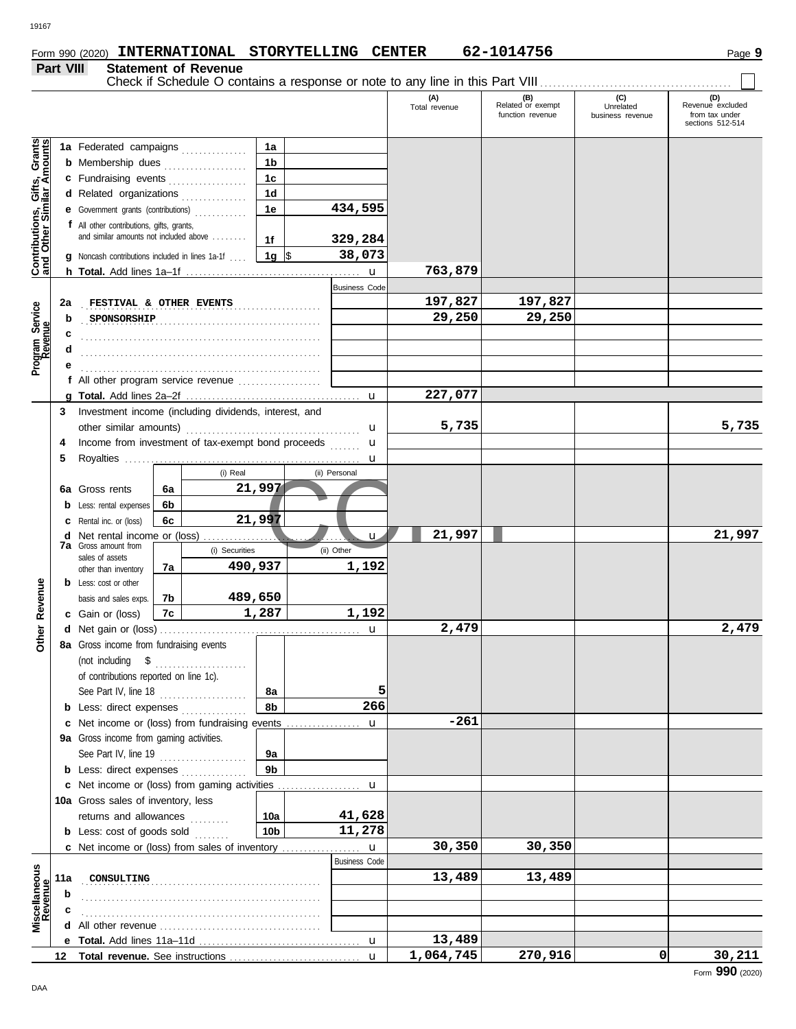**Part VIII Statement of Revenue**

### sections 512-514 Gifts, Grants<br>illar Amounts **Contributions, Gifts, Grants and Other Similar Amounts 1a 1a** Federated campaigns **. . . . . . . . . . . . 1b b** Membership dues **. . . . . . . . . . . . . . .** . . . **1c c** Fundraising events **. . . . . . . . . . . . . .** . . **1d d** Related organizations . . . . . . . . . . . . . Contributions,<br>and Other Sim **1e 434,595 e** Government grants (contributions) . . . . . . . . . . . . **f** All other contributions, gifts, grants, and similar amounts not included above ........ **1f 329,284** 1g  $\vert$ \$ \$ . . . . . . . . . . . . . . . . . . . . . **38,073 g** Noncash contributions included in lines 1a-1f . . . . u **763,879 h Total.** Add lines 1a–1f . . . . . . . . . . . . . . . . . . . . . . . . . . . . . . . . . . . . . . . . Business Code **FESTIVAL & OTHER EVENTS 197,827 197,827 2a** Program Service<br>Revenue **Program Service** . . . . . . . . . . . . . . . . . . . . . . . . . . . . . . . . . . . . . . . . . . . . . . . . . . . . . . . **SPONSORSHIP 29,250 29,250 b c d** . . . . . . . . . . . . . . . . . . . . . . . . . . . . . . . . . . . . . . . . . . . . . . . . . . . . . . . **e** . . . . . . . . . . . . . . . . . . . . . . . . . . . . . . . . . . . . . . . . . . . . . . . . . . . . . . . **f** All other program service revenue . . . . . . . . . . . . . . . . . . . **227,077 g Total.** Add lines 2a–2f . . . . . . . . . . . . . . . . . . . . . . . . . . . . . . . . . . . . . . . . u **3** Investment income (including dividends, interest, and **5,735 5,735** other similar amounts) . . . . . . . . . . . . . . . . . . . . . . . . . . . . . . . . . . . . . . . . u Income from investment of tax-exempt bond proceeds u **4 5** Royalties ...... u (i) Real (ii) Personal 97<br>97<br>(ii) Other<br>1, 192<br>1, 192 **21,997 6a 6a** Gross rents **6b b** Less: rental expenses **21,997 6c c** Rental inc. or (loss) **21,997 21,997 d** Net rental income or (loss) . . . . . . . . . . . . . . . . . . . . . . . . . . . . . . . . . . . . u **7a** Gross amount from (i) Securities (ii) Other sales of assets **490,937 1,192 7a** other than inventory Revenue **Other Revenue b** Less: cost or other **489,650 7b** basis and sales exps. **1,287 1,192 7c c** Gain or (loss) **Other 2,479 2,479 d** u Net gain or (loss) . . . . . . . . . . . . . . . . . . . . . . . . . . . . . . . . . . . . . . . . . . . . . . **8a** Gross income from fundraising events (not including \$ . . . . . . . . . . . . . . . . . . . . . of contributions reported on line 1c). See Part IV, line 18 . . . . . . . . . . . . . . . . . . . . **8a 5 8b 266 b** Less: direct expenses . . . . . . . . . . . . . **-261 c** Net income or (loss) from fundraising events . . . . . . . . . . . . . . u Gross income from gaming activities. **9a** See Part IV, line 19 . . . . . . . . . . . . . . . . . . . . **9a 9b b** Less: direct expenses ............... u Net income or (loss) from gaming activities . . . . . . . . . . . . . . . . . . . **c** 10a Gross sales of inventory, less returns and allowances **10a 41,628 10b 11,278 b** Less:  $\cosh$  of goods  $\sinh$ u **30,350 30,350 c** Net income or (loss) from sales of inventory ................. Business Code *Miscellaneous*<br>Revenue **Miscellaneous** . . . . . . . . . . . . . . . . . . . . . . . . . . . . . . . . . . . . . . . . . . . . . . . . . . . . . . . **CONSULTING 13,489 13,489 11a b c d** All other revenue . . . . . . . . . . . . . . . . . . . . . . . . . . . . . . . . . . . . . **Total.** Add lines 11a-11d u **13,489 e 1,064,745 270,916 0 30,211 12** Total revenue. See instructions u

Check if Schedule O contains a response or note to any line in this Part VIII ................................

**(A) (B) (C) C**)<br>Total revenue Related or exempt Unrelated

Total revenue (B)<br>Total revenue Revenue Political Revenue excluded<br>Tradition revenue business revenue from tax under husiness revenue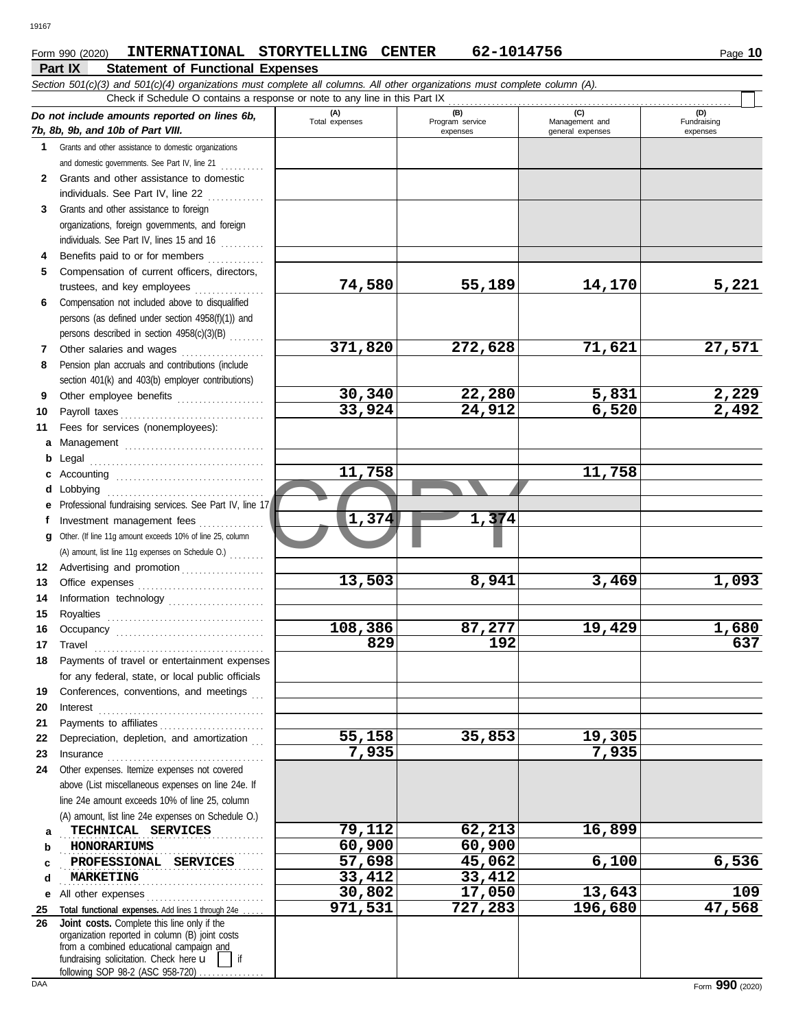### **Form 990 (2020) INTERNATIONAL STORYTELLING CENTER 62-1014756** Page 10

|          | Part IX<br><b>Statement of Functional Expenses</b>                                                                                                                                                                                                                                  |                       |                                    |                                           |                                |
|----------|-------------------------------------------------------------------------------------------------------------------------------------------------------------------------------------------------------------------------------------------------------------------------------------|-----------------------|------------------------------------|-------------------------------------------|--------------------------------|
|          | Section 501(c)(3) and 501(c)(4) organizations must complete all columns. All other organizations must complete column (A).                                                                                                                                                          |                       |                                    |                                           |                                |
|          | Check if Schedule O contains a response or note to any line in this Part IX                                                                                                                                                                                                         |                       |                                    |                                           |                                |
|          | Do not include amounts reported on lines 6b,<br>7b, 8b, 9b, and 10b of Part VIII.                                                                                                                                                                                                   | (A)<br>Total expenses | (B)<br>Program service<br>expenses | (C)<br>Management and<br>general expenses | (D)<br>Fundraising<br>expenses |
|          | 1 Grants and other assistance to domestic organizations                                                                                                                                                                                                                             |                       |                                    |                                           |                                |
|          | and domestic governments. See Part IV, line 21                                                                                                                                                                                                                                      |                       |                                    |                                           |                                |
| 2        | Grants and other assistance to domestic                                                                                                                                                                                                                                             |                       |                                    |                                           |                                |
|          | individuals. See Part IV, line 22                                                                                                                                                                                                                                                   |                       |                                    |                                           |                                |
| 3        | Grants and other assistance to foreign                                                                                                                                                                                                                                              |                       |                                    |                                           |                                |
|          | organizations, foreign governments, and foreign                                                                                                                                                                                                                                     |                       |                                    |                                           |                                |
|          | individuals. See Part IV, lines 15 and 16                                                                                                                                                                                                                                           |                       |                                    |                                           |                                |
| 4<br>5   | Benefits paid to or for members<br>Compensation of current officers, directors,                                                                                                                                                                                                     |                       |                                    |                                           |                                |
|          | trustees, and key employees                                                                                                                                                                                                                                                         | 74,580                | 55,189                             | 14,170                                    | 5,221                          |
| 6        | Compensation not included above to disqualified                                                                                                                                                                                                                                     |                       |                                    |                                           |                                |
|          | persons (as defined under section 4958(f)(1)) and                                                                                                                                                                                                                                   |                       |                                    |                                           |                                |
|          | persons described in section 4958(c)(3)(B)                                                                                                                                                                                                                                          |                       |                                    |                                           |                                |
| 7        | Other salaries and wages                                                                                                                                                                                                                                                            | 371,820               | 272,628                            | 71,621                                    | 27,571                         |
| 8        | Pension plan accruals and contributions (include                                                                                                                                                                                                                                    |                       |                                    |                                           |                                |
|          | section 401(k) and 403(b) employer contributions)                                                                                                                                                                                                                                   |                       |                                    |                                           |                                |
| 9        | Other employee benefits                                                                                                                                                                                                                                                             | 30,340                | 22,280                             | 5,831                                     | $\frac{2,229}{2,492}$          |
| 10       |                                                                                                                                                                                                                                                                                     | 33,924                | 24,912                             | 6,520                                     |                                |
| 11       | Fees for services (nonemployees):                                                                                                                                                                                                                                                   |                       |                                    |                                           |                                |
| a        |                                                                                                                                                                                                                                                                                     |                       |                                    |                                           |                                |
| b        |                                                                                                                                                                                                                                                                                     |                       |                                    |                                           |                                |
|          |                                                                                                                                                                                                                                                                                     | 11,758                |                                    | 11,758                                    |                                |
|          | Lobbying                                                                                                                                                                                                                                                                            |                       |                                    |                                           |                                |
|          | Professional fundraising services. See Part IV, line 17                                                                                                                                                                                                                             | 1,374                 | 1,374                              |                                           |                                |
|          | Investment management fees                                                                                                                                                                                                                                                          |                       |                                    |                                           |                                |
| g        | Other. (If line 11g amount exceeds 10% of line 25, column<br>(A) amount, list line 11g expenses on Schedule O.)                                                                                                                                                                     |                       |                                    |                                           |                                |
| 12       | Advertising and promotion                                                                                                                                                                                                                                                           |                       |                                    |                                           |                                |
| 13       |                                                                                                                                                                                                                                                                                     | 13,503                | 8,941                              | 3,469                                     | 1,093                          |
| 14       | Information technology                                                                                                                                                                                                                                                              |                       |                                    |                                           |                                |
| 15       |                                                                                                                                                                                                                                                                                     |                       |                                    |                                           |                                |
| 16       |                                                                                                                                                                                                                                                                                     | 108,386               | 87,277                             | 19,429                                    | 1,680                          |
| 17       | I ravel                                                                                                                                                                                                                                                                             | 829                   | $\overline{192}$                   |                                           | 637                            |
| 18       | Payments of travel or entertainment expenses                                                                                                                                                                                                                                        |                       |                                    |                                           |                                |
|          | for any federal, state, or local public officials                                                                                                                                                                                                                                   |                       |                                    |                                           |                                |
| 19       | Conferences, conventions, and meetings                                                                                                                                                                                                                                              |                       |                                    |                                           |                                |
| 20       | Interest                                                                                                                                                                                                                                                                            |                       |                                    |                                           |                                |
| 21       |                                                                                                                                                                                                                                                                                     |                       |                                    |                                           |                                |
| 22       | Depreciation, depletion, and amortization                                                                                                                                                                                                                                           | 55,158<br>7,935       | 35,853                             | 19,305<br>7,935                           |                                |
| 23<br>24 | Insurance <b>continuous</b> contains a series of the series of the series of the series of the series of the series of the series of the series of the series of the series of the series of the series of the series of the series<br>Other expenses. Itemize expenses not covered |                       |                                    |                                           |                                |
|          | above (List miscellaneous expenses on line 24e. If                                                                                                                                                                                                                                  |                       |                                    |                                           |                                |
|          | line 24e amount exceeds 10% of line 25, column                                                                                                                                                                                                                                      |                       |                                    |                                           |                                |
|          | (A) amount, list line 24e expenses on Schedule O.)                                                                                                                                                                                                                                  |                       |                                    |                                           |                                |
| а        | TECHNICAL SERVICES                                                                                                                                                                                                                                                                  | 79,112                | 62,213                             | 16,899                                    |                                |
| b        | HONORARIUMS                                                                                                                                                                                                                                                                         | 60,900                | 60,900                             |                                           |                                |
| с        | PROFESSIONAL SERVICES                                                                                                                                                                                                                                                               | 57,698                | 45,062                             | 6,100                                     | 6,536                          |
| d        | <b>MARKETING</b>                                                                                                                                                                                                                                                                    | 33,412                | 33,412                             |                                           |                                |
| е        | All other expenses                                                                                                                                                                                                                                                                  | 30,802                | 17,050                             | 13,643                                    | 109                            |
| 25       | Total functional expenses. Add lines 1 through 24e                                                                                                                                                                                                                                  | 971,531               | 727,283                            | 196,680                                   | 47,568                         |
| 26       | Joint costs. Complete this line only if the<br>organization reported in column (B) joint costs                                                                                                                                                                                      |                       |                                    |                                           |                                |
|          | from a combined educational campaign and                                                                                                                                                                                                                                            |                       |                                    |                                           |                                |
|          | fundraising solicitation. Check here u<br>if<br>following SOP 98-2 (ASC 958-720)                                                                                                                                                                                                    |                       |                                    |                                           |                                |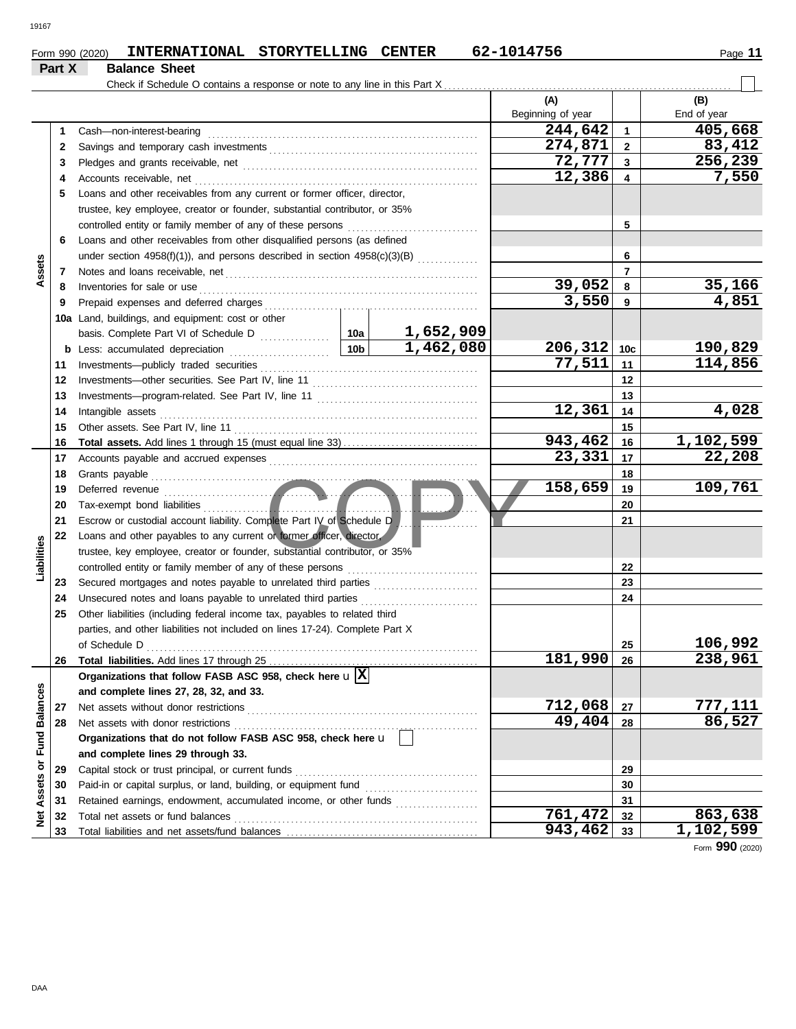| Form 990 (2020) | <b>INTERNATIONAL</b> | <b>STORYTELLING</b> | <b>CENTER</b> | 62-1014756 | Page |
|-----------------|----------------------|---------------------|---------------|------------|------|
| Part X          | <b>Balance Sheet</b> |                     |               |            |      |

|                      |          | Check if Schedule O contains a response or note to any line in this Part X   |                 |           |                   |                 |             |
|----------------------|----------|------------------------------------------------------------------------------|-----------------|-----------|-------------------|-----------------|-------------|
|                      |          |                                                                              |                 |           | (A)               |                 | (B)         |
|                      |          |                                                                              |                 |           | Beginning of year |                 | End of year |
|                      | 1        | Cash-non-interest-bearing                                                    |                 |           | 244,642           | $\mathbf{1}$    | 405,668     |
|                      | 2        |                                                                              |                 |           | 274,871           | $\overline{2}$  | 83,412      |
|                      | 3        |                                                                              |                 |           | 72,777            | $\mathbf{3}$    | 256,239     |
|                      | 4        | Accounts receivable, net                                                     |                 |           | 12,386            | 4               | 7,550       |
|                      | 5        | Loans and other receivables from any current or former officer, director,    |                 |           |                   |                 |             |
|                      |          | trustee, key employee, creator or founder, substantial contributor, or 35%   |                 |           |                   |                 |             |
|                      |          | controlled entity or family member of any of these persons                   |                 |           |                   | 5               |             |
|                      | 6        | Loans and other receivables from other disqualified persons (as defined      |                 |           |                   |                 |             |
|                      |          | under section 4958(f)(1)), and persons described in section 4958(c)(3)(B)    |                 |           |                   | 6               |             |
| Assets               | 7        | Notes and loans receivable, net                                              |                 |           |                   | $\overline{7}$  |             |
|                      | 8        | Inventories for sale or use                                                  |                 |           | 39,052            | 8               | 35,166      |
|                      | 9        | Prepaid expenses and deferred charges                                        |                 |           | 3,550             | 9               | 4,851       |
|                      |          | 10a Land, buildings, and equipment: cost or other                            |                 |           |                   |                 |             |
|                      |          |                                                                              |                 | 1,652,909 |                   |                 |             |
|                      | b        | Less: accumulated depreciation                                               | 10 <sub>b</sub> | 1,462,080 | 206, 312          | 10 <sub>c</sub> | 190,829     |
|                      | 11       | Investments-publicly traded securities                                       |                 |           | 77,511            | 11              | 114,856     |
|                      | 12       | Investments-other securities. See Part IV, line 11                           |                 |           |                   | 12              |             |
|                      | 13       |                                                                              |                 |           |                   | 13              |             |
|                      | 14       | Intangible assets                                                            |                 |           | 12,361            | 14              | 4,028       |
|                      | 15       | Other assets. See Part IV, line 11                                           |                 |           |                   | 15              |             |
|                      | 16       |                                                                              |                 |           | 943,462           | 16              | 1,102,599   |
|                      | 17       |                                                                              |                 |           | 23,331            | 17              | 22,208      |
|                      | 18       | Grants payable                                                               |                 |           |                   | 18              |             |
|                      | 19       | Deferred revenue                                                             |                 |           | 158,659           | 19              | 109,761     |
|                      | 20       | Tax-exempt bond liabilities                                                  |                 |           |                   | 20              |             |
|                      | 21       | Escrow or custodial account liability. Complete Part IV of Schedule D        |                 |           |                   | 21              |             |
|                      | 22       | Loans and other payables to any current or former officer, director,         |                 |           |                   |                 |             |
| Liabilities          |          | trustee, key employee, creator or founder, substantial contributor, or 35%   |                 |           |                   |                 |             |
|                      |          |                                                                              |                 |           |                   | 22              |             |
|                      | 23       | Secured mortgages and notes payable to unrelated third parties               |                 |           |                   | 23              |             |
|                      | 24       | Unsecured notes and loans payable to unrelated third parties                 |                 |           |                   | 24              |             |
|                      | 25       | Other liabilities (including federal income tax, payables to related third   |                 |           |                   |                 |             |
|                      |          | parties, and other liabilities not included on lines 17-24). Complete Part X |                 |           |                   |                 |             |
|                      |          |                                                                              |                 |           |                   | 25              | 106,992     |
|                      |          | 26 Total liabilities. Add lines 17 through 25                                |                 |           | 181,990           | 26              | 238,961     |
|                      |          | Organizations that follow FASB ASC 958, check here $\mathbf{u} \mathbf{X} $  |                 |           |                   |                 |             |
|                      |          | and complete lines 27, 28, 32, and 33.                                       |                 |           |                   |                 |             |
| <b>Fund Balances</b> | 27       | Net assets without donor restrictions                                        |                 |           | 712,068<br>49,404 | 27              | 777,111     |
|                      | 28       | Net assets with donor restrictions                                           |                 |           |                   | 28              | 86,527      |
|                      |          | Organizations that do not follow FASB ASC 958, check here u                  |                 |           |                   |                 |             |
|                      |          | and complete lines 29 through 33.                                            |                 |           |                   |                 |             |
| Assets or            | 29       | Capital stock or trust principal, or current funds                           |                 |           | 29                |                 |             |
|                      | 30       | Paid-in or capital surplus, or land, building, or equipment fund             |                 |           |                   | 30              |             |
|                      | 31       |                                                                              |                 |           | 761,472           | 31              | 863,638     |
| ğ                    | 32<br>33 | Total net assets or fund balances                                            |                 |           | 943,462           | 32<br>33        | 1,102,599   |
|                      |          |                                                                              |                 |           |                   |                 |             |

Form **990** (2020)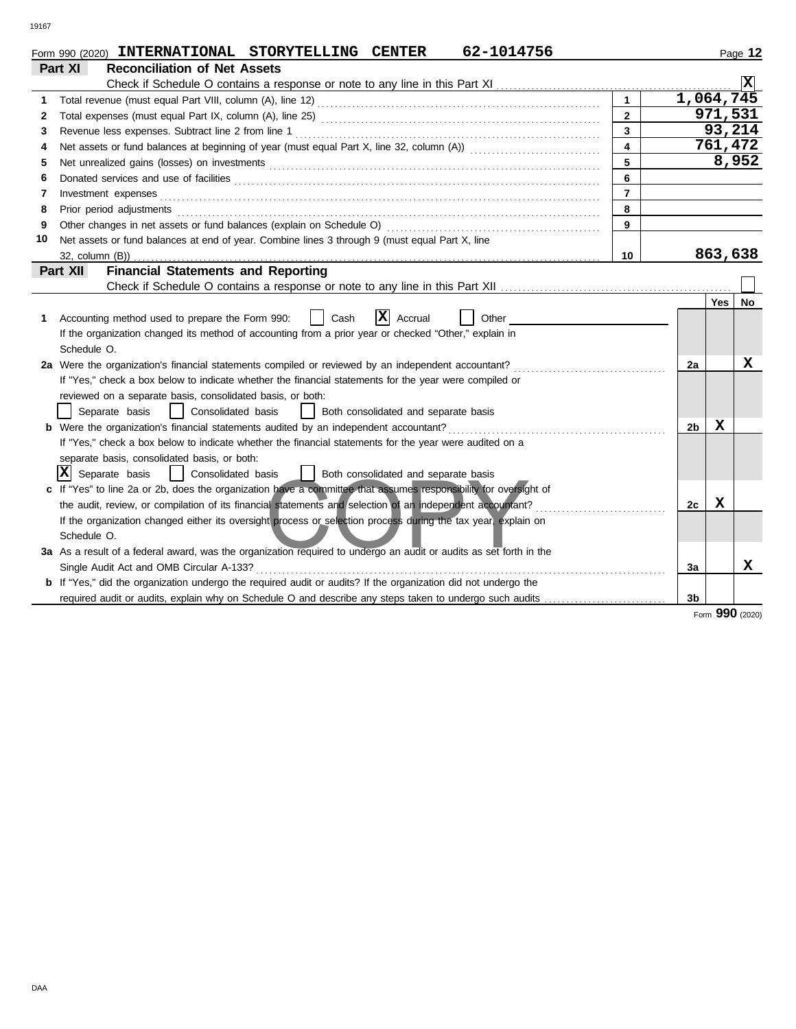|    | 62-1014756<br>Form 990 (2020) INTERNATIONAL STORYTELLING CENTER                                                       |                         |                |       | Page 12 |
|----|-----------------------------------------------------------------------------------------------------------------------|-------------------------|----------------|-------|---------|
|    | Part XI<br><b>Reconciliation of Net Assets</b>                                                                        |                         |                |       |         |
|    |                                                                                                                       |                         |                |       |         |
| 1  |                                                                                                                       | $\mathbf{1}$            | 1,064,745      |       |         |
| 2  |                                                                                                                       | $\overline{2}$          |                |       | 971,531 |
| 3  |                                                                                                                       | $\overline{\mathbf{3}}$ |                |       | 93,214  |
| 4  |                                                                                                                       | $\overline{\mathbf{4}}$ |                |       | 761,472 |
| 5  |                                                                                                                       |                         |                |       | 8,952   |
| 6  |                                                                                                                       | 6                       |                |       |         |
| 7  | Investment expenses                                                                                                   | $\overline{7}$          |                |       |         |
| 8  | Prior period adjustments                                                                                              | 8                       |                |       |         |
| 9  | Other changes in net assets or fund balances (explain on Schedule O)                                                  | 9                       |                |       |         |
| 10 | Net assets or fund balances at end of year. Combine lines 3 through 9 (must equal Part X, line                        |                         |                |       |         |
|    |                                                                                                                       | 10                      |                |       | 863,638 |
|    | <b>Financial Statements and Reporting</b><br>Part XII                                                                 |                         |                |       |         |
|    |                                                                                                                       |                         |                |       |         |
|    |                                                                                                                       |                         |                | Yes l | No      |
| 1. | X <br>Accounting method used to prepare the Form 990:<br>Cash<br>Accrual<br>Other                                     |                         |                |       |         |
|    | If the organization changed its method of accounting from a prior year or checked "Other," explain in                 |                         |                |       |         |
|    | Schedule O.                                                                                                           |                         |                |       |         |
|    | 2a Were the organization's financial statements compiled or reviewed by an independent accountant?                    |                         | 2a             |       | x       |
|    | If "Yes," check a box below to indicate whether the financial statements for the year were compiled or                |                         |                |       |         |
|    | reviewed on a separate basis, consolidated basis, or both:                                                            |                         |                |       |         |
|    | Separate basis<br>Consolidated basis<br>Both consolidated and separate basis                                          |                         |                |       |         |
|    | <b>b</b> Were the organization's financial statements audited by an independent accountant?                           |                         | 2 <sub>b</sub> | x     |         |
|    | If "Yes," check a box below to indicate whether the financial statements for the year were audited on a               |                         |                |       |         |
|    | separate basis, consolidated basis, or both:                                                                          |                         |                |       |         |
|    | X <br>  Consolidated basis<br>Both consolidated and separate basis<br>Separate basis<br>$\mathbf{1}$                  |                         |                |       |         |
|    | c If "Yes" to line 2a or 2b, does the organization have a committee that assumes responsibility for oversight of      |                         |                |       |         |
|    | the audit, review, or compilation of its financial statements and selection of an independent accountant?             |                         | 2c             | x     |         |
|    | If the organization changed either its oversight process or selection process during the tax year, explain on         |                         |                |       |         |
|    | Schedule O.                                                                                                           |                         |                |       |         |
|    | 3a As a result of a federal award, was the organization required to undergo an audit or audits as set forth in the    |                         |                |       |         |
|    | Single Audit Act and OMB Circular A-133?                                                                              |                         | 3a             |       | X       |
|    | <b>b</b> If "Yes," did the organization undergo the required audit or audits? If the organization did not undergo the |                         |                |       |         |
|    | required audit or audits, explain why on Schedule O and describe any steps taken to undergo such audits               |                         | 3 <sub>b</sub> |       |         |

Form **990** (2020)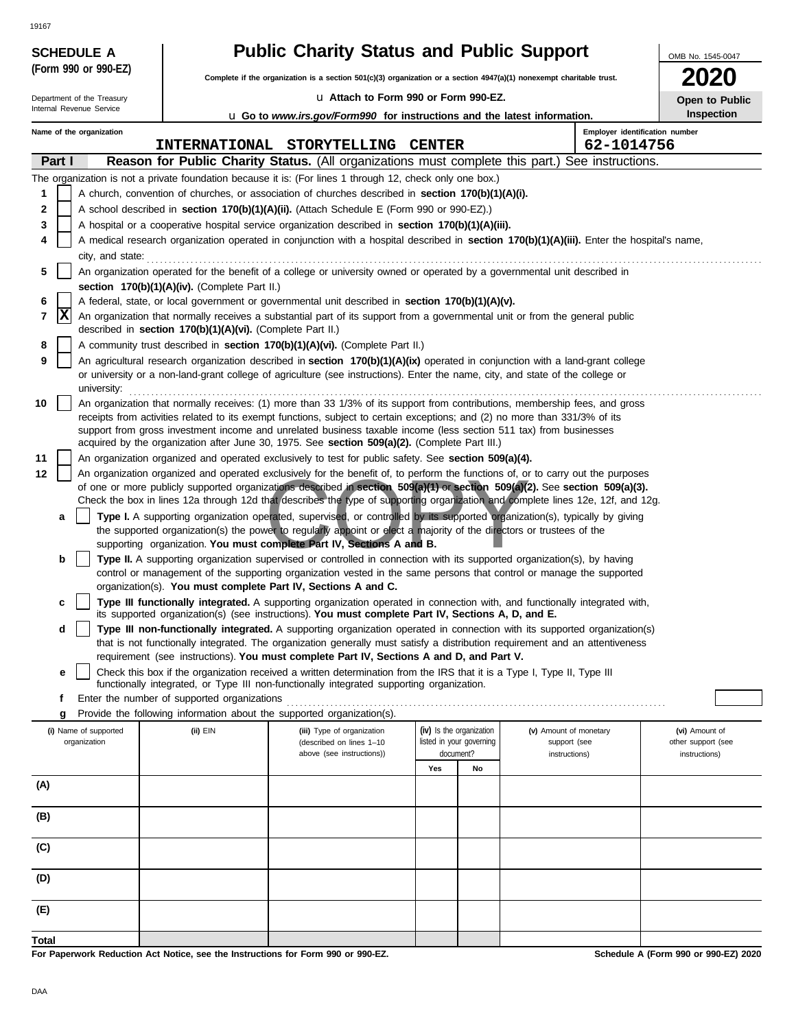|        |        | <b>SCHEDULE A</b>          |                                                            | <b>Public Charity Status and Public Support</b>                                                                                                                                                                                                                 |               |                                       |                                              | OMB No. 1545-0047                   |
|--------|--------|----------------------------|------------------------------------------------------------|-----------------------------------------------------------------------------------------------------------------------------------------------------------------------------------------------------------------------------------------------------------------|---------------|---------------------------------------|----------------------------------------------|-------------------------------------|
|        |        | (Form 990 or 990-EZ)       |                                                            | Complete if the organization is a section 501(c)(3) organization or a section 4947(a)(1) nonexempt charitable trust.                                                                                                                                            |               |                                       |                                              |                                     |
|        |        | Department of the Treasury |                                                            | La Attach to Form 990 or Form 990-EZ.                                                                                                                                                                                                                           |               |                                       |                                              | Open to Public                      |
|        |        | Internal Revenue Service   |                                                            | <b>u</b> Go to www.irs.gov/Form990 for instructions and the latest information.                                                                                                                                                                                 |               |                                       |                                              | Inspection                          |
|        |        | Name of the organization   | <b>INTERNATIONAL</b>                                       | <b>STORYTELLING</b>                                                                                                                                                                                                                                             | <b>CENTER</b> |                                       | Employer identification number<br>62-1014756 |                                     |
|        | Part I |                            |                                                            | Reason for Public Charity Status. (All organizations must complete this part.) See instructions.                                                                                                                                                                |               |                                       |                                              |                                     |
|        |        |                            |                                                            | The organization is not a private foundation because it is: (For lines 1 through 12, check only one box.)                                                                                                                                                       |               |                                       |                                              |                                     |
| 1      |        |                            |                                                            | A church, convention of churches, or association of churches described in section 170(b)(1)(A)(i).                                                                                                                                                              |               |                                       |                                              |                                     |
| 2      |        |                            |                                                            | A school described in section 170(b)(1)(A)(ii). (Attach Schedule E (Form 990 or 990-EZ).)                                                                                                                                                                       |               |                                       |                                              |                                     |
| 3<br>4 |        |                            |                                                            | A hospital or a cooperative hospital service organization described in section 170(b)(1)(A)(iii).<br>A medical research organization operated in conjunction with a hospital described in section 170(b)(1)(A)(iii). Enter the hospital's name,                 |               |                                       |                                              |                                     |
|        |        | city, and state:           |                                                            |                                                                                                                                                                                                                                                                 |               |                                       |                                              |                                     |
| 5      |        |                            |                                                            | An organization operated for the benefit of a college or university owned or operated by a governmental unit described in                                                                                                                                       |               |                                       |                                              |                                     |
|        |        |                            | section 170(b)(1)(A)(iv). (Complete Part II.)              |                                                                                                                                                                                                                                                                 |               |                                       |                                              |                                     |
| 6<br>7 | X      |                            |                                                            | A federal, state, or local government or governmental unit described in section 170(b)(1)(A)(v).<br>An organization that normally receives a substantial part of its support from a governmental unit or from the general public                                |               |                                       |                                              |                                     |
|        |        |                            | described in section 170(b)(1)(A)(vi). (Complete Part II.) |                                                                                                                                                                                                                                                                 |               |                                       |                                              |                                     |
| 8      |        |                            |                                                            | A community trust described in section 170(b)(1)(A)(vi). (Complete Part II.)                                                                                                                                                                                    |               |                                       |                                              |                                     |
| 9      |        | university:                |                                                            | An agricultural research organization described in section 170(b)(1)(A)(ix) operated in conjunction with a land-grant college<br>or university or a non-land-grant college of agriculture (see instructions). Enter the name, city, and state of the college or |               |                                       |                                              |                                     |
| 10     |        |                            |                                                            | An organization that normally receives: (1) more than 33 1/3% of its support from contributions, membership fees, and gross                                                                                                                                     |               |                                       |                                              |                                     |
|        |        |                            |                                                            | receipts from activities related to its exempt functions, subject to certain exceptions; and (2) no more than 331/3% of its<br>support from gross investment income and unrelated business taxable income (less section 511 tax) from businesses                |               |                                       |                                              |                                     |
|        |        |                            |                                                            | acquired by the organization after June 30, 1975. See section 509(a)(2). (Complete Part III.)                                                                                                                                                                   |               |                                       |                                              |                                     |
| 11     |        |                            |                                                            | An organization organized and operated exclusively to test for public safety. See section 509(a)(4).                                                                                                                                                            |               |                                       |                                              |                                     |
| 12     |        |                            |                                                            | An organization organized and operated exclusively for the benefit of, to perform the functions of, or to carry out the purposes<br>of one or more publicly supported organizations described in section 509(a)(1) or section 509(a)(2). See section 509(a)(3). |               |                                       |                                              |                                     |
|        |        |                            |                                                            | Check the box in lines 12a through 12d that describes the type of supporting organization and complete lines 12e, 12f, and 12g.                                                                                                                                 |               |                                       |                                              |                                     |
|        | a      |                            |                                                            | Type I. A supporting organization operated, supervised, or controlled by its supported organization(s), typically by giving                                                                                                                                     |               |                                       |                                              |                                     |
|        |        |                            |                                                            | the supported organization(s) the power to regularly appoint or elect a majority of the directors or trustees of the<br>supporting organization. You must complete Part IV, Sections A and B.                                                                   |               |                                       |                                              |                                     |
|        | b      |                            |                                                            | Type II. A supporting organization supervised or controlled in connection with its supported organization(s), by having                                                                                                                                         |               |                                       |                                              |                                     |
|        |        |                            |                                                            | control or management of the supporting organization vested in the same persons that control or manage the supported                                                                                                                                            |               |                                       |                                              |                                     |
|        | c      |                            |                                                            | organization(s). You must complete Part IV, Sections A and C.<br>Type III functionally integrated. A supporting organization operated in connection with, and functionally integrated with,                                                                     |               |                                       |                                              |                                     |
|        |        |                            |                                                            | its supported organization(s) (see instructions). You must complete Part IV, Sections A, D, and E.                                                                                                                                                              |               |                                       |                                              |                                     |
|        | d      |                            |                                                            | Type III non-functionally integrated. A supporting organization operated in connection with its supported organization(s)                                                                                                                                       |               |                                       |                                              |                                     |
|        |        |                            |                                                            | that is not functionally integrated. The organization generally must satisfy a distribution requirement and an attentiveness<br>requirement (see instructions). You must complete Part IV, Sections A and D, and Part V.                                        |               |                                       |                                              |                                     |
|        | е      |                            |                                                            | Check this box if the organization received a written determination from the IRS that it is a Type I, Type II, Type III                                                                                                                                         |               |                                       |                                              |                                     |
|        | f      |                            | Enter the number of supported organizations                | functionally integrated, or Type III non-functionally integrated supporting organization.                                                                                                                                                                       |               |                                       |                                              |                                     |
|        | g      |                            |                                                            | Provide the following information about the supported organization(s).                                                                                                                                                                                          |               |                                       |                                              |                                     |
|        |        | (i) Name of supported      | (ii) EIN                                                   | (iii) Type of organization                                                                                                                                                                                                                                      |               | (iv) Is the organization              | (v) Amount of monetary                       | (vi) Amount of                      |
|        |        | organization               |                                                            | (described on lines 1-10<br>above (see instructions))                                                                                                                                                                                                           |               | listed in your governing<br>document? | support (see<br>instructions)                | other support (see<br>instructions) |
|        |        |                            |                                                            |                                                                                                                                                                                                                                                                 | Yes           | No                                    |                                              |                                     |
| (A)    |        |                            |                                                            |                                                                                                                                                                                                                                                                 |               |                                       |                                              |                                     |
| (B)    |        |                            |                                                            |                                                                                                                                                                                                                                                                 |               |                                       |                                              |                                     |
|        |        |                            |                                                            |                                                                                                                                                                                                                                                                 |               |                                       |                                              |                                     |
| (C)    |        |                            |                                                            |                                                                                                                                                                                                                                                                 |               |                                       |                                              |                                     |
| (D)    |        |                            |                                                            |                                                                                                                                                                                                                                                                 |               |                                       |                                              |                                     |
| (E)    |        |                            |                                                            |                                                                                                                                                                                                                                                                 |               |                                       |                                              |                                     |
| Total  |        |                            |                                                            |                                                                                                                                                                                                                                                                 |               |                                       |                                              |                                     |

**For Paperwork Reduction Act Notice, see the Instructions for Form 990 or 990-EZ.**

19167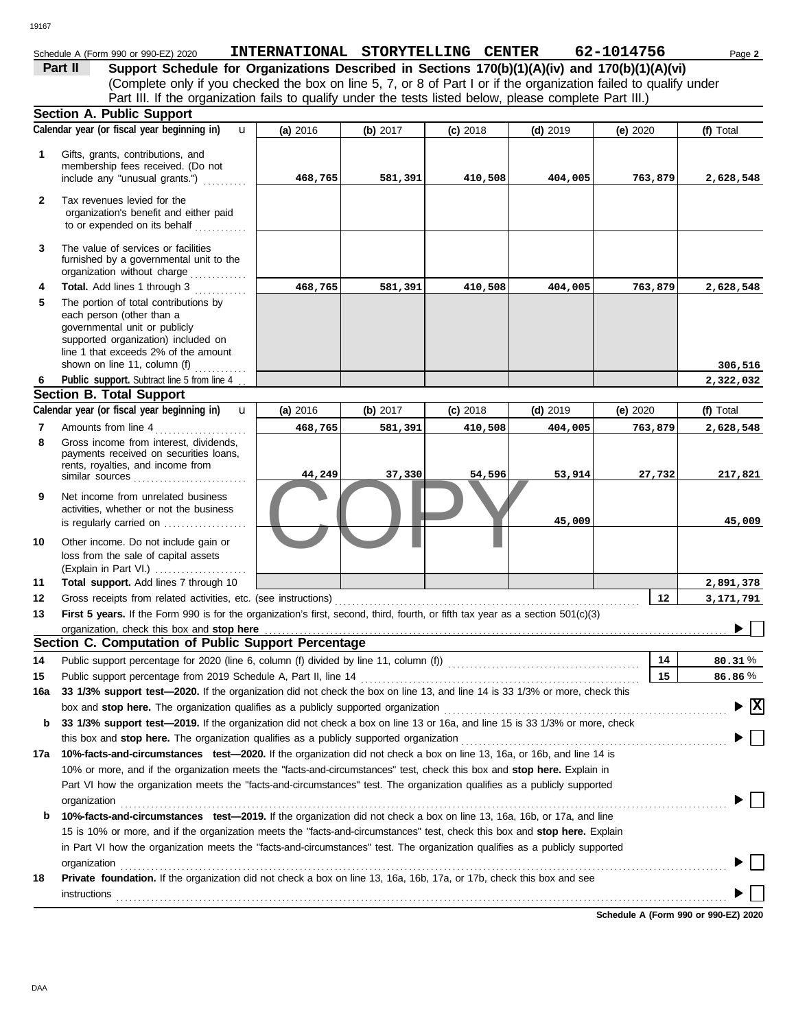## Schedule A (Form 990 or 990-EZ) 2020 **INTERNATIONAL STORYTELLING CENTER** 62-1014756 Page 2

(Complete only if you checked the box on line 5, 7, or 8 of Part I or if the organization failed to qualify under **Part II Support Schedule for Organizations Described in Sections 170(b)(1)(A)(iv) and 170(b)(1)(A)(vi)** Part III. If the organization fails to qualify under the tests listed below, please complete Part III.)

|              | <b>Section A. Public Support</b>                                                                                                                                                                                                                                                                                                                                                    |          |          |            |            |          |                                               |
|--------------|-------------------------------------------------------------------------------------------------------------------------------------------------------------------------------------------------------------------------------------------------------------------------------------------------------------------------------------------------------------------------------------|----------|----------|------------|------------|----------|-----------------------------------------------|
|              | Calendar year (or fiscal year beginning in)<br>$\mathbf{u}$                                                                                                                                                                                                                                                                                                                         | (a) 2016 | (b) 2017 | $(c)$ 2018 | $(d)$ 2019 | (e) 2020 | (f) Total                                     |
| 1            | Gifts, grants, contributions, and<br>membership fees received. (Do not<br>include any "unusual grants.")                                                                                                                                                                                                                                                                            | 468,765  | 581,391  | 410,508    | 404,005    | 763,879  | 2,628,548                                     |
| $\mathbf{2}$ | Tax revenues levied for the<br>organization's benefit and either paid<br>to or expended on its behalf                                                                                                                                                                                                                                                                               |          |          |            |            |          |                                               |
| 3            | The value of services or facilities<br>furnished by a governmental unit to the<br>organization without charge                                                                                                                                                                                                                                                                       |          |          |            |            |          |                                               |
| 4<br>5       | Total. Add lines 1 through 3<br>The portion of total contributions by<br>each person (other than a<br>governmental unit or publicly<br>supported organization) included on<br>line 1 that exceeds 2% of the amount                                                                                                                                                                  | 468,765  | 581,391  | 410,508    | 404,005    | 763,879  | 2,628,548                                     |
|              | shown on line 11, column (f)                                                                                                                                                                                                                                                                                                                                                        |          |          |            |            |          | 306,516                                       |
| 6            | Public support. Subtract line 5 from line 4                                                                                                                                                                                                                                                                                                                                         |          |          |            |            |          | 2,322,032                                     |
|              | <b>Section B. Total Support</b>                                                                                                                                                                                                                                                                                                                                                     |          |          |            |            |          |                                               |
|              | Calendar year (or fiscal year beginning in)<br>$\mathbf{u}$                                                                                                                                                                                                                                                                                                                         | (a) 2016 | (b) 2017 | $(c)$ 2018 | $(d)$ 2019 | (e) 2020 | (f) Total                                     |
| 7<br>8       | Amounts from line 4<br>Gross income from interest, dividends,<br>payments received on securities loans,                                                                                                                                                                                                                                                                             | 468,765  | 581,391  | 410,508    | 404,005    | 763,879  | 2,628,548                                     |
|              | rents, royalties, and income from<br>similar sources                                                                                                                                                                                                                                                                                                                                | 44,249   | 37,330   | 54,596     | 53,914     | 27,732   | 217,821                                       |
| 9            | Net income from unrelated business<br>activities, whether or not the business<br>is regularly carried on $\ldots$ , $\ldots$                                                                                                                                                                                                                                                        |          |          |            | 45,009     |          | 45,009                                        |
| 10           | Other income. Do not include gain or<br>loss from the sale of capital assets<br>(Explain in Part VI.)                                                                                                                                                                                                                                                                               |          |          |            |            |          |                                               |
| 11           | Total support. Add lines 7 through 10                                                                                                                                                                                                                                                                                                                                               |          |          |            |            |          | 2,891,378                                     |
| 12           | Gross receipts from related activities, etc. (see instructions)                                                                                                                                                                                                                                                                                                                     |          |          |            |            | 12       | 3,171,791                                     |
| 13           | First 5 years. If the Form 990 is for the organization's first, second, third, fourth, or fifth tax year as a section 501(c)(3)                                                                                                                                                                                                                                                     |          |          |            |            |          |                                               |
|              | organization, check this box and stop here                                                                                                                                                                                                                                                                                                                                          |          |          |            |            |          |                                               |
|              | Section C. Computation of Public Support Percentage                                                                                                                                                                                                                                                                                                                                 |          |          |            |            |          |                                               |
| 14           | Public support percentage for 2020 (line 6, column (f) divided by line 11, column (f)) [[[[[[[[[[[[[[[[[[[[[[                                                                                                                                                                                                                                                                       |          |          |            |            | 14       | 80.31%                                        |
| 15           | Public support percentage from 2019 Schedule A, Part II, line 14                                                                                                                                                                                                                                                                                                                    |          |          |            |            | 15       | 86.86%                                        |
| 16a          | 33 1/3% support test-2020. If the organization did not check the box on line 13, and line 14 is 33 1/3% or more, check this                                                                                                                                                                                                                                                         |          |          |            |            |          |                                               |
|              | box and stop here. The organization qualifies as a publicly supported organization                                                                                                                                                                                                                                                                                                  |          |          |            |            |          | $\blacktriangleright$ $\overline{\mathbf{X}}$ |
| b            | 33 1/3% support test-2019. If the organization did not check a box on line 13 or 16a, and line 15 is 33 1/3% or more, check                                                                                                                                                                                                                                                         |          |          |            |            |          |                                               |
|              |                                                                                                                                                                                                                                                                                                                                                                                     |          |          |            |            |          |                                               |
|              | 17a 10%-facts-and-circumstances test-2020. If the organization did not check a box on line 13, 16a, or 16b, and line 14 is                                                                                                                                                                                                                                                          |          |          |            |            |          |                                               |
|              | 10% or more, and if the organization meets the "facts-and-circumstances" test, check this box and stop here. Explain in                                                                                                                                                                                                                                                             |          |          |            |            |          |                                               |
|              | Part VI how the organization meets the "facts-and-circumstances" test. The organization qualifies as a publicly supported<br>organization<br><u>expanization</u>                                                                                                                                                                                                                    |          |          |            |            |          |                                               |
| b            | 10%-facts-and-circumstances test-2019. If the organization did not check a box on line 13, 16a, 16b, or 17a, and line<br>15 is 10% or more, and if the organization meets the "facts-and-circumstances" test, check this box and stop here. Explain<br>in Part VI how the organization meets the "facts-and-circumstances" test. The organization qualifies as a publicly supported |          |          |            |            |          |                                               |
| 18           | Private foundation. If the organization did not check a box on line 13, 16a, 16b, 17a, or 17b, check this box and see                                                                                                                                                                                                                                                               |          |          |            |            |          |                                               |
|              | $instructions$ [100] $\ldots$ [100] $\ldots$ [100] $\ldots$ [100] $\ldots$ [100] $\ldots$ [100] $\ldots$ [100] $\ldots$ [100] $\ldots$ [100] $\ldots$ [100] $\ldots$ [100] $\ldots$ [100] $\ldots$ [100] $\ldots$ [100] $\ldots$ [100] $\ldots$ [100] $\ldots$ [100] $\ldots$ [100] $\ldots$                                                                                        |          |          |            |            |          |                                               |
|              |                                                                                                                                                                                                                                                                                                                                                                                     |          |          |            |            |          |                                               |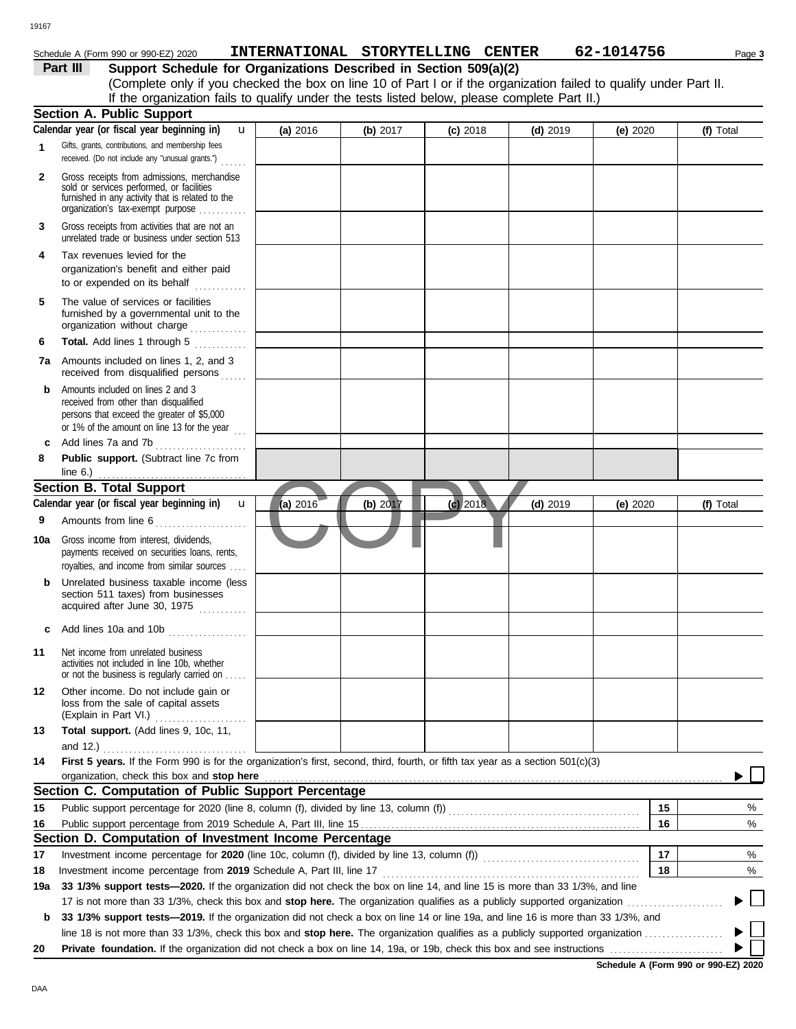### 19167

## Schedule A (Form 990 or 990-EZ) 2020 **INTERNATIONAL STORYTELLING CENTER** 62-1014756 Page 3

**Part III Support Schedule for Organizations Described in Section 509(a)(2)** (Complete only if you checked the box on line 10 of Part I or if the organization failed to qualify under Part II. If the organization fails to qualify under the tests listed below, please complete Part II.)

|              | <b>Section A. Public Support</b>                                                                                                                                                  |            |          |            |            |            |    |           |
|--------------|-----------------------------------------------------------------------------------------------------------------------------------------------------------------------------------|------------|----------|------------|------------|------------|----|-----------|
|              | Calendar year (or fiscal year beginning in)<br>$\mathbf{u}$                                                                                                                       | (a) 2016   | (b) 2017 | $(c)$ 2018 | $(d)$ 2019 | (e) 2020   |    | (f) Total |
| 1            | Gifts, grants, contributions, and membership fees<br>received. (Do not include any "unusual grants.")                                                                             |            |          |            |            |            |    |           |
| $\mathbf{2}$ | Gross receipts from admissions, merchandise<br>sold or services performed, or facilities<br>furnished in any activity that is related to the<br>organization's tax-exempt purpose |            |          |            |            |            |    |           |
| 3            | Gross receipts from activities that are not an<br>unrelated trade or business under section 513                                                                                   |            |          |            |            |            |    |           |
| 4            | Tax revenues levied for the<br>organization's benefit and either paid<br>to or expended on its behalf<br>.                                                                        |            |          |            |            |            |    |           |
| 5            | The value of services or facilities<br>furnished by a governmental unit to the<br>organization without charge                                                                     |            |          |            |            |            |    |           |
| 6            | Total. Add lines 1 through 5                                                                                                                                                      |            |          |            |            |            |    |           |
| 7a           | Amounts included on lines 1, 2, and 3<br>received from disqualified persons                                                                                                       |            |          |            |            |            |    |           |
| b            | Amounts included on lines 2 and 3<br>received from other than disqualified<br>persons that exceed the greater of \$5,000<br>or 1% of the amount on line 13 for the year $\ldots$  |            |          |            |            |            |    |           |
| c            | Add lines 7a and 7b<br>.                                                                                                                                                          |            |          |            |            |            |    |           |
| 8            | Public support. (Subtract line 7c from<br>line $6.$ )                                                                                                                             |            |          |            |            |            |    |           |
|              | <b>Section B. Total Support</b>                                                                                                                                                   |            |          |            |            |            |    |           |
|              | Calendar year (or fiscal year beginning in)<br>$\mathbf{u}$                                                                                                                       | (a) $2016$ | (b) 2017 | $(c)$ 2018 | $(d)$ 2019 | (e) $2020$ |    | (f) Total |
| 9            | Amounts from line 6                                                                                                                                                               |            |          |            |            |            |    |           |
| 10a          | Gross income from interest, dividends,<br>payments received on securities loans, rents,<br>royalties, and income from similar sources                                             |            |          |            |            |            |    |           |
| b            | Unrelated business taxable income (less<br>section 511 taxes) from businesses<br>acquired after June 30, 1975                                                                     |            |          |            |            |            |    |           |
| c            | Add lines 10a and 10b                                                                                                                                                             |            |          |            |            |            |    |           |
| 11           | Net income from unrelated business<br>activities not included in line 10b, whether<br>or not the business is regularly carried on                                                 |            |          |            |            |            |    |           |
| 12           | Other income. Do not include gain or<br>loss from the sale of capital assets<br>(Explain in Part VI.)                                                                             |            |          |            |            |            |    |           |
| 13           | Total support. (Add lines 9, 10c, 11,<br>and 12.)                                                                                                                                 |            |          |            |            |            |    |           |
| 14           | First 5 years. If the Form 990 is for the organization's first, second, third, fourth, or fifth tax year as a section 501(c)(3)                                                   |            |          |            |            |            |    |           |
|              | organization, check this box and stop here                                                                                                                                        |            |          |            |            |            |    |           |
|              | Section C. Computation of Public Support Percentage                                                                                                                               |            |          |            |            |            |    |           |
| 15           |                                                                                                                                                                                   |            |          |            |            |            | 15 | %         |
| 16           |                                                                                                                                                                                   |            |          |            |            |            | 16 | %         |
|              | Section D. Computation of Investment Income Percentage                                                                                                                            |            |          |            |            |            |    |           |
| 17           |                                                                                                                                                                                   |            |          |            |            |            | 17 | %         |
| 18           |                                                                                                                                                                                   |            |          |            |            |            | 18 | %         |
| 19a          | 33 1/3% support tests-2020. If the organization did not check the box on line 14, and line 15 is more than 33 1/3%, and line                                                      |            |          |            |            |            |    |           |
|              |                                                                                                                                                                                   |            |          |            |            |            |    |           |
| b            | 33 1/3% support tests—2019. If the organization did not check a box on line 14 or line 19a, and line 16 is more than 33 1/3%, and                                                 |            |          |            |            |            |    |           |
|              |                                                                                                                                                                                   |            |          |            |            |            |    |           |
| 20           |                                                                                                                                                                                   |            |          |            |            |            |    |           |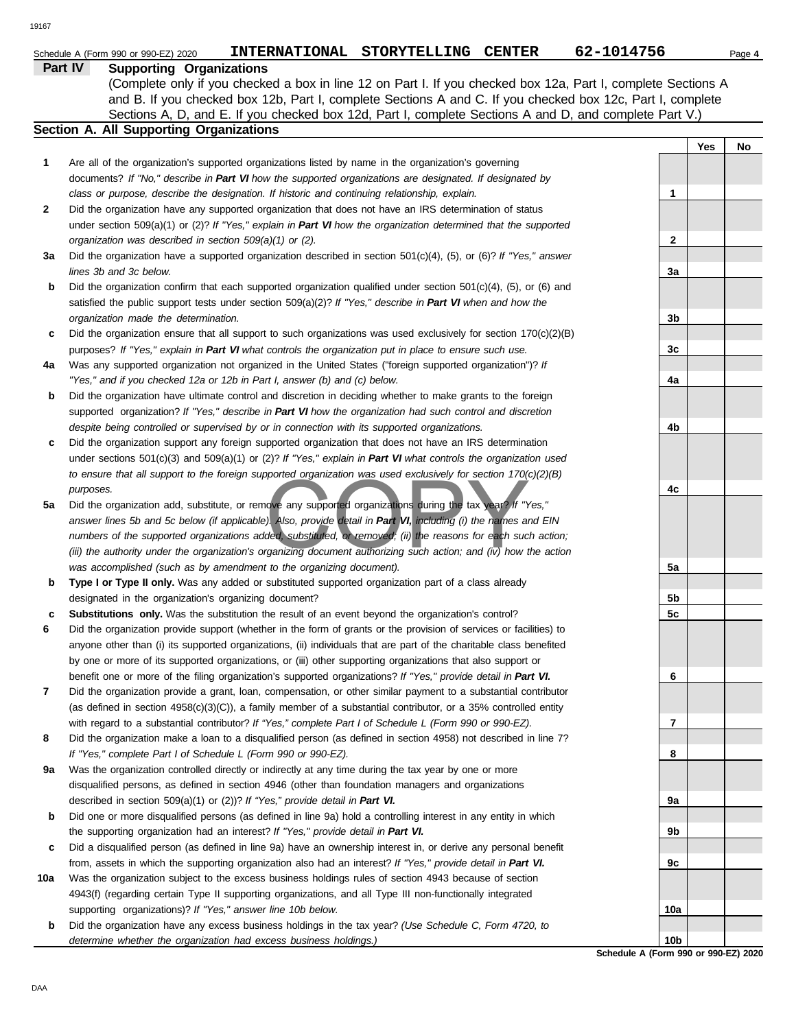|     | Part IV<br><b>Supporting Organizations</b>                                                                                                                                                                 |                 |     |    |
|-----|------------------------------------------------------------------------------------------------------------------------------------------------------------------------------------------------------------|-----------------|-----|----|
|     | (Complete only if you checked a box in line 12 on Part I. If you checked box 12a, Part I, complete Sections A                                                                                              |                 |     |    |
|     | and B. If you checked box 12b, Part I, complete Sections A and C. If you checked box 12c, Part I, complete                                                                                                 |                 |     |    |
|     | Sections A, D, and E. If you checked box 12d, Part I, complete Sections A and D, and complete Part V.)                                                                                                     |                 |     |    |
|     | <b>Section A. All Supporting Organizations</b>                                                                                                                                                             |                 |     |    |
|     |                                                                                                                                                                                                            |                 | Yes | No |
| 1   | Are all of the organization's supported organizations listed by name in the organization's governing                                                                                                       |                 |     |    |
|     | documents? If "No," describe in Part VI how the supported organizations are designated. If designated by                                                                                                   |                 |     |    |
|     | class or purpose, describe the designation. If historic and continuing relationship, explain.                                                                                                              | 1               |     |    |
| 2   | Did the organization have any supported organization that does not have an IRS determination of status                                                                                                     |                 |     |    |
|     | under section 509(a)(1) or (2)? If "Yes," explain in Part VI how the organization determined that the supported                                                                                            |                 |     |    |
|     | organization was described in section 509(a)(1) or (2).                                                                                                                                                    | 2               |     |    |
| За  | Did the organization have a supported organization described in section $501(c)(4)$ , $(5)$ , or $(6)$ ? If "Yes," answer                                                                                  |                 |     |    |
|     | lines 3b and 3c below.                                                                                                                                                                                     | За              |     |    |
| b   | Did the organization confirm that each supported organization qualified under section 501(c)(4), (5), or (6) and                                                                                           |                 |     |    |
|     | satisfied the public support tests under section 509(a)(2)? If "Yes," describe in Part VI when and how the                                                                                                 |                 |     |    |
|     | organization made the determination.                                                                                                                                                                       | 3b              |     |    |
| c   | Did the organization ensure that all support to such organizations was used exclusively for section $170(c)(2)(B)$                                                                                         |                 |     |    |
|     | purposes? If "Yes," explain in Part VI what controls the organization put in place to ensure such use.                                                                                                     | 3c              |     |    |
| 4a  | Was any supported organization not organized in the United States ("foreign supported organization")? If                                                                                                   |                 |     |    |
|     | "Yes," and if you checked 12a or 12b in Part I, answer (b) and (c) below.                                                                                                                                  | 4a              |     |    |
| b   | Did the organization have ultimate control and discretion in deciding whether to make grants to the foreign                                                                                                |                 |     |    |
|     | supported organization? If "Yes," describe in Part VI how the organization had such control and discretion<br>despite being controlled or supervised by or in connection with its supported organizations. |                 |     |    |
|     | Did the organization support any foreign supported organization that does not have an IRS determination                                                                                                    | 4b              |     |    |
| c   | under sections $501(c)(3)$ and $509(a)(1)$ or (2)? If "Yes," explain in Part VI what controls the organization used                                                                                        |                 |     |    |
|     | to ensure that all support to the foreign supported organization was used exclusively for section $170(c)(2)(B)$                                                                                           |                 |     |    |
|     | purposes.                                                                                                                                                                                                  | 4c              |     |    |
| 5a  | Did the organization add, substitute, or remove any supported organizations during the tax year? If "Yes,"                                                                                                 |                 |     |    |
|     | answer lines 5b and 5c below (if applicable). Also, provide detail in Part VI, including (i) the names and EIN                                                                                             |                 |     |    |
|     | numbers of the supported organizations added, substituted, or removed; (ii) the reasons for each such action;                                                                                              |                 |     |    |
|     | (iii) the authority under the organization's organizing document authorizing such action; and (iv) how the action                                                                                          |                 |     |    |
|     | was accomplished (such as by amendment to the organizing document).                                                                                                                                        | 5a              |     |    |
| b   | Type I or Type II only. Was any added or substituted supported organization part of a class already                                                                                                        |                 |     |    |
|     | designated in the organization's organizing document?                                                                                                                                                      | 5b              |     |    |
| c   | Substitutions only. Was the substitution the result of an event beyond the organization's control?                                                                                                         | 5c              |     |    |
| 6   | Did the organization provide support (whether in the form of grants or the provision of services or facilities) to                                                                                         |                 |     |    |
|     | anyone other than (i) its supported organizations, (ii) individuals that are part of the charitable class benefited                                                                                        |                 |     |    |
|     | by one or more of its supported organizations, or (iii) other supporting organizations that also support or                                                                                                |                 |     |    |
|     | benefit one or more of the filing organization's supported organizations? If "Yes," provide detail in Part VI.                                                                                             | 6               |     |    |
| 7   | Did the organization provide a grant, loan, compensation, or other similar payment to a substantial contributor                                                                                            |                 |     |    |
|     | (as defined in section $4958(c)(3)(C)$ ), a family member of a substantial contributor, or a 35% controlled entity                                                                                         |                 |     |    |
|     | with regard to a substantial contributor? If "Yes," complete Part I of Schedule L (Form 990 or 990-EZ).                                                                                                    | 7               |     |    |
| 8   | Did the organization make a loan to a disqualified person (as defined in section 4958) not described in line 7?                                                                                            |                 |     |    |
|     | If "Yes," complete Part I of Schedule L (Form 990 or 990-EZ).                                                                                                                                              | 8               |     |    |
| 9a  | Was the organization controlled directly or indirectly at any time during the tax year by one or more                                                                                                      |                 |     |    |
|     | disqualified persons, as defined in section 4946 (other than foundation managers and organizations                                                                                                         |                 |     |    |
|     | described in section 509(a)(1) or (2))? If "Yes," provide detail in Part VI.                                                                                                                               | 9а              |     |    |
| b   | Did one or more disqualified persons (as defined in line 9a) hold a controlling interest in any entity in which                                                                                            |                 |     |    |
|     | the supporting organization had an interest? If "Yes," provide detail in Part VI.                                                                                                                          | 9b              |     |    |
| c   | Did a disqualified person (as defined in line 9a) have an ownership interest in, or derive any personal benefit                                                                                            |                 |     |    |
|     | from, assets in which the supporting organization also had an interest? If "Yes," provide detail in Part VI.                                                                                               | 9c              |     |    |
| 10a | Was the organization subject to the excess business holdings rules of section 4943 because of section                                                                                                      |                 |     |    |
|     | 4943(f) (regarding certain Type II supporting organizations, and all Type III non-functionally integrated                                                                                                  |                 |     |    |
|     | supporting organizations)? If "Yes," answer line 10b below.                                                                                                                                                | 10a             |     |    |
| b   | Did the organization have any excess business holdings in the tax year? (Use Schedule C, Form 4720, to                                                                                                     |                 |     |    |
|     | determine whether the organization had excess business holdings.)                                                                                                                                          | 10 <sub>b</sub> |     |    |

**Schedule A (Form 990 or 990-EZ) 2020**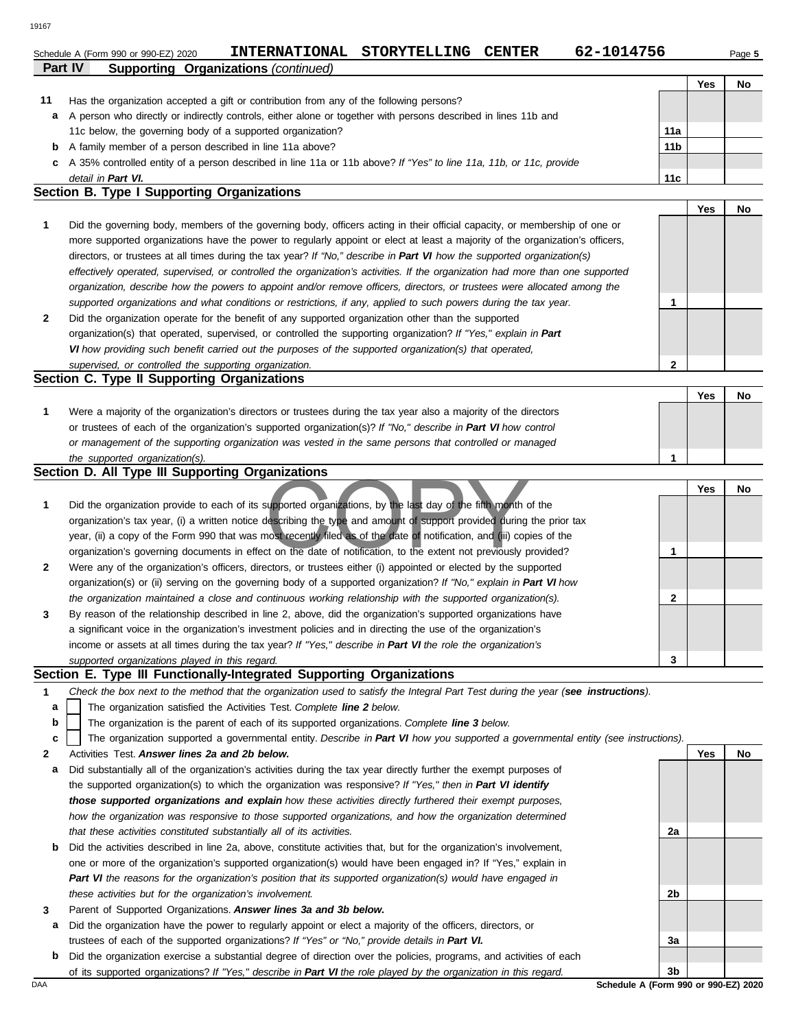Schedule A (Form 990 or 990-EZ) 2020 **INTERNATIONAL STORYTELLING CENTER** 62-1014756 Page 5

|    | Part IV<br><b>Supporting Organizations (continued)</b>                                                                        |                 |            |     |
|----|-------------------------------------------------------------------------------------------------------------------------------|-----------------|------------|-----|
|    |                                                                                                                               |                 | Yes        | No. |
| 11 | Has the organization accepted a gift or contribution from any of the following persons?                                       |                 |            |     |
| a  | A person who directly or indirectly controls, either alone or together with persons described in lines 11b and                |                 |            |     |
|    | 11c below, the governing body of a supported organization?                                                                    | 11a             |            |     |
| b  | A family member of a person described in line 11a above?                                                                      | 11 <sub>b</sub> |            |     |
| c  | A 35% controlled entity of a person described in line 11a or 11b above? If "Yes" to line 11a, 11b, or 11c, provide            |                 |            |     |
|    | detail in Part VI.                                                                                                            | 11c             |            |     |
|    | Section B. Type I Supporting Organizations                                                                                    |                 |            |     |
|    |                                                                                                                               |                 | <b>Yes</b> | No  |
|    | Did the governing body, members of the governing body, officers acting in their official capacity, or membership of one or    |                 |            |     |
|    | more supported organizations have the power to regularly appoint or elect at least a majority of the organization's officers, |                 |            |     |
|    | directors, or trustees at all times during the tax year? If "No," describe in Part VI how the supported organization(s)       |                 |            |     |

| supported organizations and what conditions or restrictions, if any, applied to such powers during the tax year. |   |     |  |
|------------------------------------------------------------------------------------------------------------------|---|-----|--|
| Did the organization operate for the benefit of any supported organization other than the supported              |   |     |  |
| organization(s) that operated, supervised, or controlled the supporting organization? If "Yes," explain in Part  |   |     |  |
| VI how providing such benefit carried out the purposes of the supported organization(s) that operated,           |   |     |  |
| supervised, or controlled the supporting organization.                                                           | ົ |     |  |
| <b>Section C. Type II Supporting Organizations</b>                                                               |   |     |  |
|                                                                                                                  |   | Yes |  |
| Were a majority of the organization's directors or trustees during the tax year also a majority of the directors |   |     |  |

*organization, describe how the powers to appoint and/or remove officers, directors, or trustees were allocated among the effectively operated, supervised, or controlled the organization's activities. If the organization had more than one supported*

| <u>vvcic a majority of the organization 3 directors of trastecs during the tax year also a majority of the directors</u> |  |  |
|--------------------------------------------------------------------------------------------------------------------------|--|--|
| or trustees of each of the organization's supported organization(s)? If "No," describe in Part VI how control            |  |  |
| or management of the supporting organization was vested in the same persons that controlled or managed                   |  |  |
| the supported organization(s).                                                                                           |  |  |

### **Section D. All Type III Supporting Organizations**

|              |                                                                                                                        |   | Yes | No. |
|--------------|------------------------------------------------------------------------------------------------------------------------|---|-----|-----|
| 1            | Did the organization provide to each of its supported organizations, by the last day of the fifth month of the         |   |     |     |
|              | organization's tax year, (i) a written notice describing the type and amount of support provided during the prior tax  |   |     |     |
|              | year, (ii) a copy of the Form 990 that was most recently filed as of the date of notification, and (iii) copies of the |   |     |     |
|              | organization's governing documents in effect on the date of notification, to the extent not previously provided?       |   |     |     |
| $\mathbf{2}$ | Were any of the organization's officers, directors, or trustees either (i) appointed or elected by the supported       |   |     |     |
|              | organization(s) or (ii) serving on the governing body of a supported organization? If "No," explain in Part VI how     |   |     |     |
|              | the organization maintained a close and continuous working relationship with the supported organization(s).            |   |     |     |
| $\mathbf{3}$ | By reason of the relationship described in line 2, above, did the organization's supported organizations have          |   |     |     |
|              | a significant voice in the organization's investment policies and in directing the use of the organization's           |   |     |     |
|              | income or assets at all times during the tax year? If "Yes," describe in Part VI the role the organization's           |   |     |     |
|              | supported organizations played in this regard.                                                                         | 3 |     |     |

### **Section E. Type III Functionally-Integrated Supporting Organizations**

- The organization satisfied the Activities Test. *Complete line 2 below.* **a**
- The organization is the parent of each of its supported organizations. *Complete line 3 below.* **b**

|  |  | c   The organization supported a governmental entity. Describe in Part VI how you supported a governmental entity (see instructions). |  |  |  |  |  |  |  |  |  |  |  |  |  |
|--|--|---------------------------------------------------------------------------------------------------------------------------------------|--|--|--|--|--|--|--|--|--|--|--|--|--|
|--|--|---------------------------------------------------------------------------------------------------------------------------------------|--|--|--|--|--|--|--|--|--|--|--|--|--|

- **2** Activities Test. *Answer lines 2a and 2b below.*
- **a** Did substantially all of the organization's activities during the tax year directly further the exempt purposes of the supported organization(s) to which the organization was responsive? *If "Yes," then in Part VI identify those supported organizations and explain how these activities directly furthered their exempt purposes,*  how the organization was responsive to those supported organizations, and how the organization determined *that these activities constituted substantially all of its activities.*
- **b** Did the activities described in line 2a, above, constitute activities that, but for the organization's involvement, one or more of the organization's supported organization(s) would have been engaged in? If "Yes," explain in *Part VI the reasons for the organization's position that its supported organization(s) would have engaged in these activities but for the organization's involvement.*
- **3** Parent of Supported Organizations. *Answer lines 3a and 3b below.*
- **a** Did the organization have the power to regularly appoint or elect a majority of the officers, directors, or trustees of each of the supported organizations? *If "Yes" or "No," provide details in Part VI.*
- **b** Did the organization exercise a substantial degree of direction over the policies, programs, and activities of each of its supported organizations? *If "Yes," describe in Part VI the role played by the organization in this regard.*

**2a**

**2b**

**3a**

**Yes No**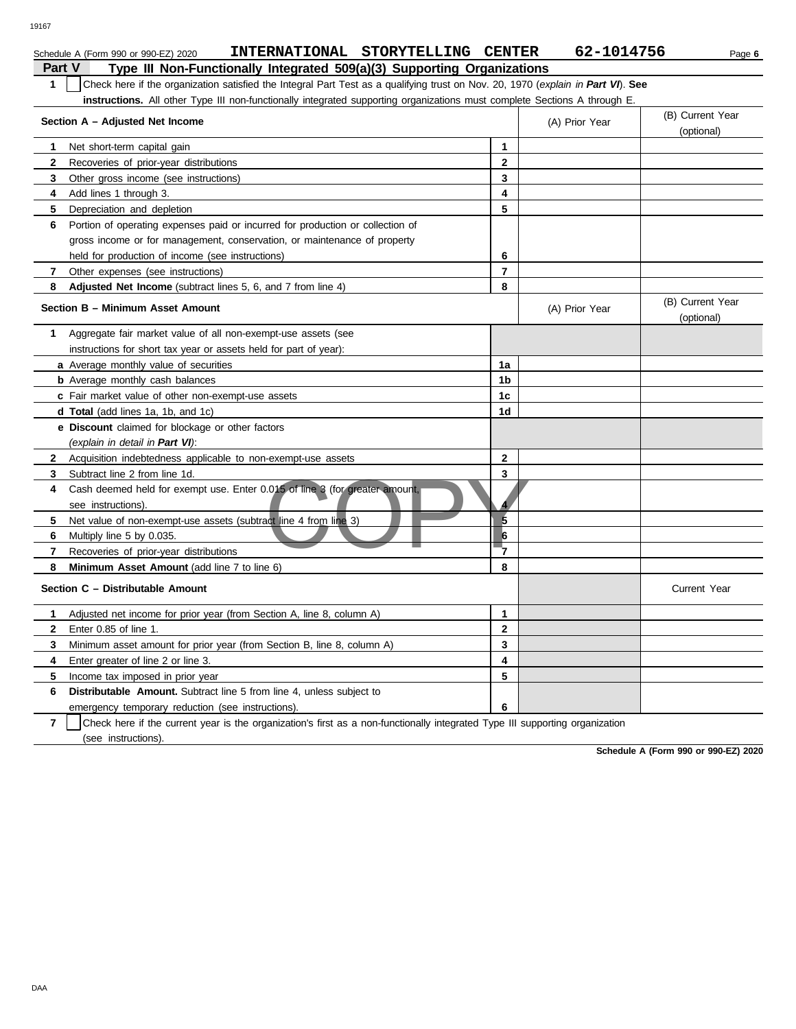|                | INTERNATIONAL STORYTELLING CENTER<br>Schedule A (Form 990 or 990-EZ) 2020                                                        |                | 62-1014756     | Page 6                         |  |  |  |  |
|----------------|----------------------------------------------------------------------------------------------------------------------------------|----------------|----------------|--------------------------------|--|--|--|--|
| Part V         | Type III Non-Functionally Integrated 509(a)(3) Supporting Organizations                                                          |                |                |                                |  |  |  |  |
| $\mathbf{1}$   | Check here if the organization satisfied the Integral Part Test as a qualifying trust on Nov. 20, 1970 (explain in Part VI). See |                |                |                                |  |  |  |  |
|                | instructions. All other Type III non-functionally integrated supporting organizations must complete Sections A through E.        |                |                |                                |  |  |  |  |
|                |                                                                                                                                  |                |                | (B) Current Year               |  |  |  |  |
|                | Section A – Adjusted Net Income                                                                                                  |                | (A) Prior Year | (optional)                     |  |  |  |  |
| 1              | Net short-term capital gain                                                                                                      | $\mathbf{1}$   |                |                                |  |  |  |  |
| $\mathbf{2}$   | Recoveries of prior-year distributions                                                                                           | $\mathbf{2}$   |                |                                |  |  |  |  |
| 3              | Other gross income (see instructions)                                                                                            | 3              |                |                                |  |  |  |  |
| 4              | Add lines 1 through 3.                                                                                                           | 4              |                |                                |  |  |  |  |
| 5              | Depreciation and depletion                                                                                                       | 5              |                |                                |  |  |  |  |
| 6              | Portion of operating expenses paid or incurred for production or collection of                                                   |                |                |                                |  |  |  |  |
|                | gross income or for management, conservation, or maintenance of property                                                         |                |                |                                |  |  |  |  |
|                | held for production of income (see instructions)                                                                                 | 6              |                |                                |  |  |  |  |
| 7              | Other expenses (see instructions)                                                                                                | $\overline{7}$ |                |                                |  |  |  |  |
| 8              | <b>Adjusted Net Income</b> (subtract lines 5, 6, and 7 from line 4)                                                              | 8              |                |                                |  |  |  |  |
|                | Section B - Minimum Asset Amount                                                                                                 |                | (A) Prior Year | (B) Current Year<br>(optional) |  |  |  |  |
| 1              | Aggregate fair market value of all non-exempt-use assets (see                                                                    |                |                |                                |  |  |  |  |
|                | instructions for short tax year or assets held for part of year):                                                                |                |                |                                |  |  |  |  |
|                | a Average monthly value of securities                                                                                            | 1a             |                |                                |  |  |  |  |
|                | <b>b</b> Average monthly cash balances                                                                                           | 1b             |                |                                |  |  |  |  |
|                | c Fair market value of other non-exempt-use assets                                                                               | 1c             |                |                                |  |  |  |  |
|                | <b>d Total</b> (add lines 1a, 1b, and 1c)                                                                                        | 1d             |                |                                |  |  |  |  |
|                | <b>e Discount</b> claimed for blockage or other factors                                                                          |                |                |                                |  |  |  |  |
|                | (explain in detail in Part VI):                                                                                                  |                |                |                                |  |  |  |  |
| $\mathbf{2}$   | Acquisition indebtedness applicable to non-exempt-use assets                                                                     | $\mathbf{2}$   |                |                                |  |  |  |  |
| 3              | Subtract line 2 from line 1d.                                                                                                    | 3              |                |                                |  |  |  |  |
| 4              | Cash deemed held for exempt use. Enter 0.015 of line 3 (for greater amount,<br>see instructions).                                |                |                |                                |  |  |  |  |
| 5              | Net value of non-exempt-use assets (subtract line 4 from line 3)                                                                 | $\overline{5}$ |                |                                |  |  |  |  |
| 6              | Multiply line 5 by 0.035.                                                                                                        | $6\phantom{a}$ |                |                                |  |  |  |  |
| $\overline{7}$ | Recoveries of prior-year distributions                                                                                           | 7              |                |                                |  |  |  |  |
| 8              | Minimum Asset Amount (add line 7 to line 6)                                                                                      | 8              |                |                                |  |  |  |  |
|                | Section C - Distributable Amount                                                                                                 |                |                | <b>Current Year</b>            |  |  |  |  |
| 1              | Adjusted net income for prior year (from Section A, line 8, column A)                                                            | 1              |                |                                |  |  |  |  |
| $\mathbf{2}$   | Enter 0.85 of line 1.                                                                                                            | $\mathbf{2}$   |                |                                |  |  |  |  |
| 3              | Minimum asset amount for prior year (from Section B, line 8, column A)                                                           | 3              |                |                                |  |  |  |  |
| 4              | Enter greater of line 2 or line 3.                                                                                               | 4              |                |                                |  |  |  |  |
| 5              | Income tax imposed in prior year                                                                                                 | 5              |                |                                |  |  |  |  |
| 6              | <b>Distributable Amount.</b> Subtract line 5 from line 4, unless subject to                                                      |                |                |                                |  |  |  |  |
|                | emergency temporary reduction (see instructions).                                                                                | 6              |                |                                |  |  |  |  |

**7** (see instructions). Check here if the current year is the organization's first as a non-functionally integrated Type III supporting organization

**Schedule A (Form 990 or 990-EZ) 2020**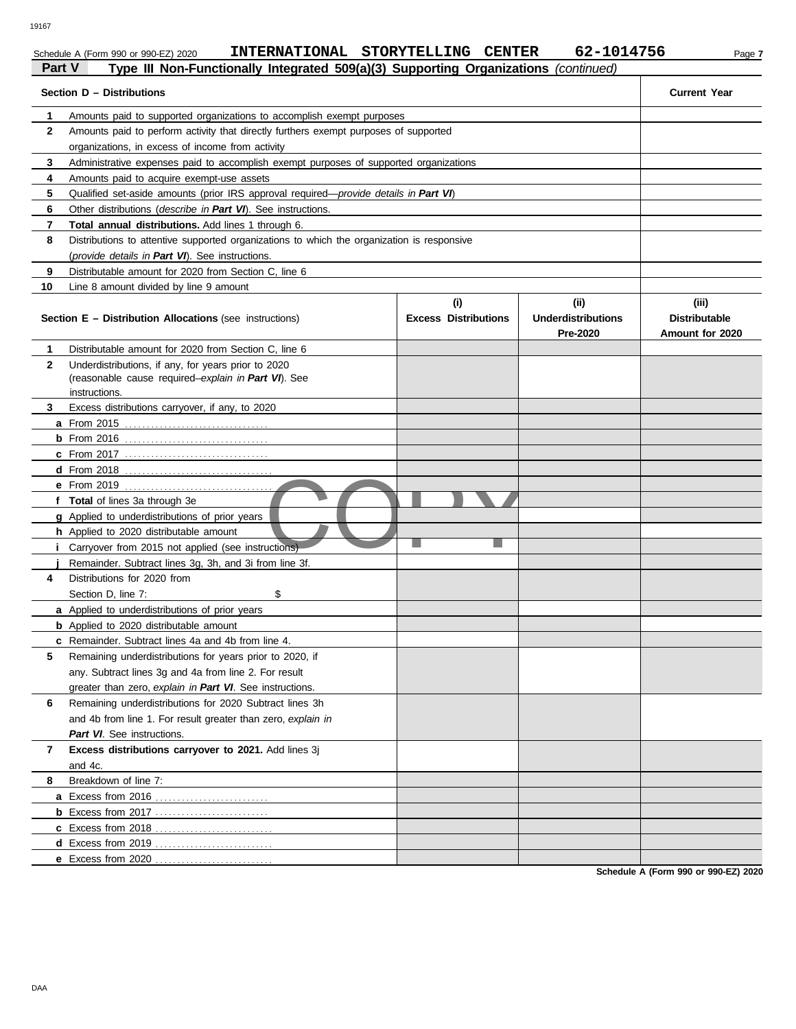Schedule A (Form 990 or 990-EZ) 2020 **INTERNATIONAL STORYTELLING CENTER** 62-1014756 Page 7

|              | Section D - Distributions                                                                     |                                    |                                               | <b>Current Year</b>                              |
|--------------|-----------------------------------------------------------------------------------------------|------------------------------------|-----------------------------------------------|--------------------------------------------------|
| 1            | Amounts paid to supported organizations to accomplish exempt purposes                         |                                    |                                               |                                                  |
| 2            | Amounts paid to perform activity that directly furthers exempt purposes of supported          |                                    |                                               |                                                  |
|              | organizations, in excess of income from activity                                              |                                    |                                               |                                                  |
| 3            | Administrative expenses paid to accomplish exempt purposes of supported organizations         |                                    |                                               |                                                  |
| 4            | Amounts paid to acquire exempt-use assets                                                     |                                    |                                               |                                                  |
| 5            | Qualified set-aside amounts (prior IRS approval required— <i>provide details in Part VI</i> ) |                                    |                                               |                                                  |
| 6            | Other distributions (describe in Part VI). See instructions.                                  |                                    |                                               |                                                  |
| 7            | <b>Total annual distributions.</b> Add lines 1 through 6.                                     |                                    |                                               |                                                  |
| 8            | Distributions to attentive supported organizations to which the organization is responsive    |                                    |                                               |                                                  |
|              | (provide details in Part VI). See instructions.                                               |                                    |                                               |                                                  |
| 9            | Distributable amount for 2020 from Section C, line 6                                          |                                    |                                               |                                                  |
| 10           | Line 8 amount divided by line 9 amount                                                        |                                    |                                               |                                                  |
|              | <b>Section E - Distribution Allocations (see instructions)</b>                                | (i)<br><b>Excess Distributions</b> | (ii)<br><b>Underdistributions</b><br>Pre-2020 | (iii)<br><b>Distributable</b><br>Amount for 2020 |
| 1            | Distributable amount for 2020 from Section C, line 6                                          |                                    |                                               |                                                  |
| $\mathbf{2}$ | Underdistributions, if any, for years prior to 2020                                           |                                    |                                               |                                                  |
|              | (reasonable cause required-explain in Part VI). See                                           |                                    |                                               |                                                  |
|              | instructions.                                                                                 |                                    |                                               |                                                  |
| 3            | Excess distributions carryover, if any, to 2020                                               |                                    |                                               |                                                  |
|              | <b>a</b> From 2015                                                                            |                                    |                                               |                                                  |
|              |                                                                                               |                                    |                                               |                                                  |
|              |                                                                                               |                                    |                                               |                                                  |
|              |                                                                                               |                                    |                                               |                                                  |
|              |                                                                                               |                                    |                                               |                                                  |
|              | f Total of lines 3a through 3e                                                                |                                    |                                               |                                                  |
|              | <b>g</b> Applied to underdistributions of prior years                                         |                                    |                                               |                                                  |
|              | <b>h</b> Applied to 2020 distributable amount                                                 |                                    |                                               |                                                  |
|              | i Carryover from 2015 not applied (see instructions)                                          |                                    |                                               |                                                  |
|              | Remainder. Subtract lines 3g, 3h, and 3i from line 3f.                                        |                                    |                                               |                                                  |
| 4            | Distributions for 2020 from                                                                   |                                    |                                               |                                                  |
|              | \$<br>Section D, line 7:                                                                      |                                    |                                               |                                                  |
|              | <b>a</b> Applied to underdistributions of prior years                                         |                                    |                                               |                                                  |
|              | <b>b</b> Applied to 2020 distributable amount                                                 |                                    |                                               |                                                  |
|              | <b>c</b> Remainder. Subtract lines 4a and 4b from line 4.                                     |                                    |                                               |                                                  |
| 5            | Remaining underdistributions for years prior to 2020, if                                      |                                    |                                               |                                                  |
|              | any. Subtract lines 3g and 4a from line 2. For result                                         |                                    |                                               |                                                  |
|              | greater than zero, explain in Part VI. See instructions.                                      |                                    |                                               |                                                  |
| 6            | Remaining underdistributions for 2020 Subtract lines 3h                                       |                                    |                                               |                                                  |
|              | and 4b from line 1. For result greater than zero, explain in                                  |                                    |                                               |                                                  |
|              | Part VI. See instructions.                                                                    |                                    |                                               |                                                  |
| 7            | Excess distributions carryover to 2021. Add lines 3j                                          |                                    |                                               |                                                  |
|              | and 4c.                                                                                       |                                    |                                               |                                                  |
| 8            | Breakdown of line 7:                                                                          |                                    |                                               |                                                  |
|              | <b>a</b> Excess from 2016                                                                     |                                    |                                               |                                                  |
|              | <b>b</b> Excess from 2017                                                                     |                                    |                                               |                                                  |
|              |                                                                                               |                                    |                                               |                                                  |
|              | d Excess from 2019                                                                            |                                    |                                               |                                                  |
|              | e Excess from 2020                                                                            |                                    |                                               |                                                  |

**Schedule A (Form 990 or 990-EZ) 2020**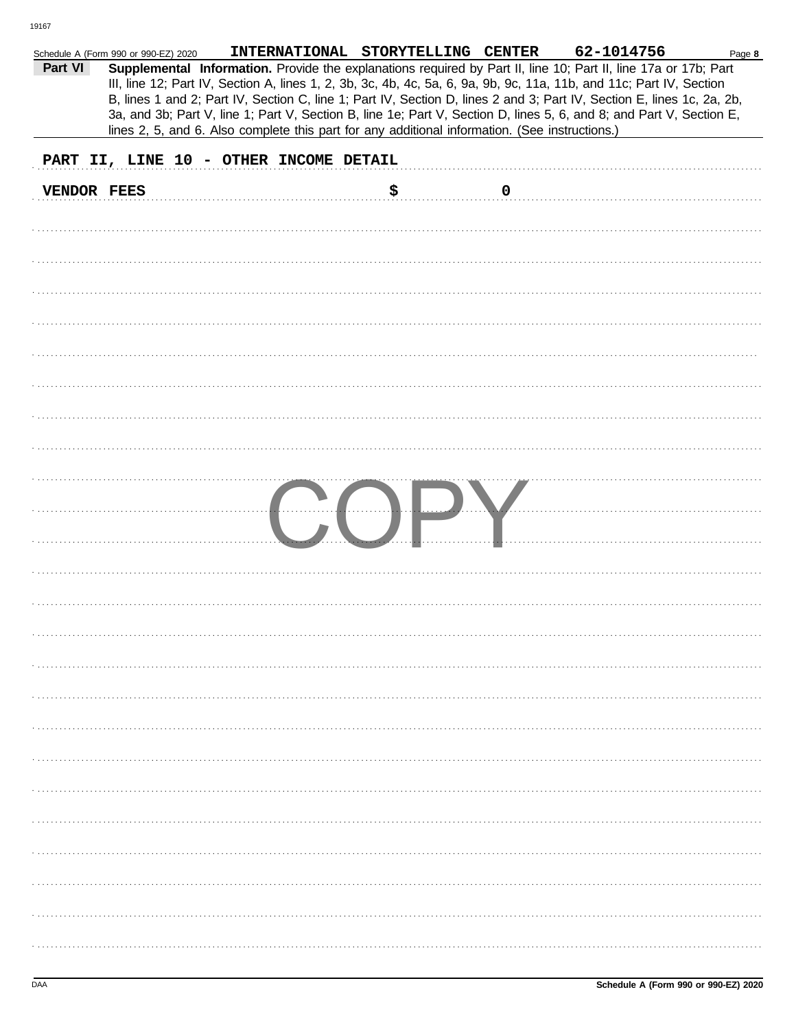|             | Schedule A (Form 990 or 990-EZ) 2020                                                           | INTERNATIONAL STORYTELLING CENTER |    |                  | 62-1014756                                                                                                                                                                                                                                                                                                                                                                                                                                                                                | Page 8 |
|-------------|------------------------------------------------------------------------------------------------|-----------------------------------|----|------------------|-------------------------------------------------------------------------------------------------------------------------------------------------------------------------------------------------------------------------------------------------------------------------------------------------------------------------------------------------------------------------------------------------------------------------------------------------------------------------------------------|--------|
| Part VI     | lines 2, 5, and 6. Also complete this part for any additional information. (See instructions.) |                                   |    |                  | Supplemental Information. Provide the explanations required by Part II, line 10; Part II, line 17a or 17b; Part<br>III, line 12; Part IV, Section A, lines 1, 2, 3b, 3c, 4b, 4c, 5a, 6, 9a, 9b, 9c, 11a, 11b, and 11c; Part IV, Section<br>B, lines 1 and 2; Part IV, Section C, line 1; Part IV, Section D, lines 2 and 3; Part IV, Section E, lines 1c, 2a, 2b,<br>3a, and 3b; Part V, line 1; Part V, Section B, line 1e; Part V, Section D, lines 5, 6, and 8; and Part V, Section E, |        |
|             |                                                                                                |                                   |    |                  |                                                                                                                                                                                                                                                                                                                                                                                                                                                                                           |        |
|             | PART II, LINE 10 - OTHER INCOME DETAIL                                                         |                                   |    |                  |                                                                                                                                                                                                                                                                                                                                                                                                                                                                                           |        |
| VENDOR FEES |                                                                                                |                                   | \$ | $\boldsymbol{0}$ |                                                                                                                                                                                                                                                                                                                                                                                                                                                                                           |        |
|             |                                                                                                |                                   |    |                  |                                                                                                                                                                                                                                                                                                                                                                                                                                                                                           |        |
|             |                                                                                                |                                   |    |                  |                                                                                                                                                                                                                                                                                                                                                                                                                                                                                           |        |
|             |                                                                                                |                                   |    |                  |                                                                                                                                                                                                                                                                                                                                                                                                                                                                                           |        |
|             |                                                                                                |                                   |    |                  |                                                                                                                                                                                                                                                                                                                                                                                                                                                                                           |        |
|             |                                                                                                |                                   |    |                  |                                                                                                                                                                                                                                                                                                                                                                                                                                                                                           |        |
|             |                                                                                                |                                   |    |                  |                                                                                                                                                                                                                                                                                                                                                                                                                                                                                           |        |
|             |                                                                                                |                                   |    |                  |                                                                                                                                                                                                                                                                                                                                                                                                                                                                                           |        |
|             |                                                                                                |                                   |    |                  |                                                                                                                                                                                                                                                                                                                                                                                                                                                                                           |        |
|             |                                                                                                |                                   |    |                  |                                                                                                                                                                                                                                                                                                                                                                                                                                                                                           |        |
|             |                                                                                                |                                   |    |                  |                                                                                                                                                                                                                                                                                                                                                                                                                                                                                           |        |
|             |                                                                                                |                                   |    |                  |                                                                                                                                                                                                                                                                                                                                                                                                                                                                                           |        |
|             |                                                                                                |                                   |    |                  |                                                                                                                                                                                                                                                                                                                                                                                                                                                                                           |        |
|             |                                                                                                |                                   |    |                  |                                                                                                                                                                                                                                                                                                                                                                                                                                                                                           |        |
|             |                                                                                                |                                   |    |                  |                                                                                                                                                                                                                                                                                                                                                                                                                                                                                           |        |
|             |                                                                                                |                                   |    |                  |                                                                                                                                                                                                                                                                                                                                                                                                                                                                                           |        |
|             |                                                                                                |                                   |    |                  |                                                                                                                                                                                                                                                                                                                                                                                                                                                                                           |        |
|             |                                                                                                |                                   |    |                  |                                                                                                                                                                                                                                                                                                                                                                                                                                                                                           |        |
|             |                                                                                                |                                   |    |                  |                                                                                                                                                                                                                                                                                                                                                                                                                                                                                           |        |
|             |                                                                                                |                                   |    |                  |                                                                                                                                                                                                                                                                                                                                                                                                                                                                                           |        |
|             |                                                                                                |                                   |    |                  |                                                                                                                                                                                                                                                                                                                                                                                                                                                                                           |        |
|             |                                                                                                |                                   |    |                  |                                                                                                                                                                                                                                                                                                                                                                                                                                                                                           |        |
|             |                                                                                                |                                   |    |                  |                                                                                                                                                                                                                                                                                                                                                                                                                                                                                           |        |
|             |                                                                                                |                                   |    |                  |                                                                                                                                                                                                                                                                                                                                                                                                                                                                                           |        |
|             |                                                                                                |                                   |    |                  |                                                                                                                                                                                                                                                                                                                                                                                                                                                                                           |        |
|             |                                                                                                |                                   |    |                  |                                                                                                                                                                                                                                                                                                                                                                                                                                                                                           |        |
|             |                                                                                                |                                   |    |                  |                                                                                                                                                                                                                                                                                                                                                                                                                                                                                           |        |
|             |                                                                                                |                                   |    |                  |                                                                                                                                                                                                                                                                                                                                                                                                                                                                                           |        |
|             |                                                                                                |                                   |    |                  |                                                                                                                                                                                                                                                                                                                                                                                                                                                                                           |        |
|             |                                                                                                |                                   |    |                  |                                                                                                                                                                                                                                                                                                                                                                                                                                                                                           |        |
|             |                                                                                                |                                   |    |                  |                                                                                                                                                                                                                                                                                                                                                                                                                                                                                           |        |
|             |                                                                                                |                                   |    |                  |                                                                                                                                                                                                                                                                                                                                                                                                                                                                                           |        |
|             |                                                                                                |                                   |    |                  |                                                                                                                                                                                                                                                                                                                                                                                                                                                                                           |        |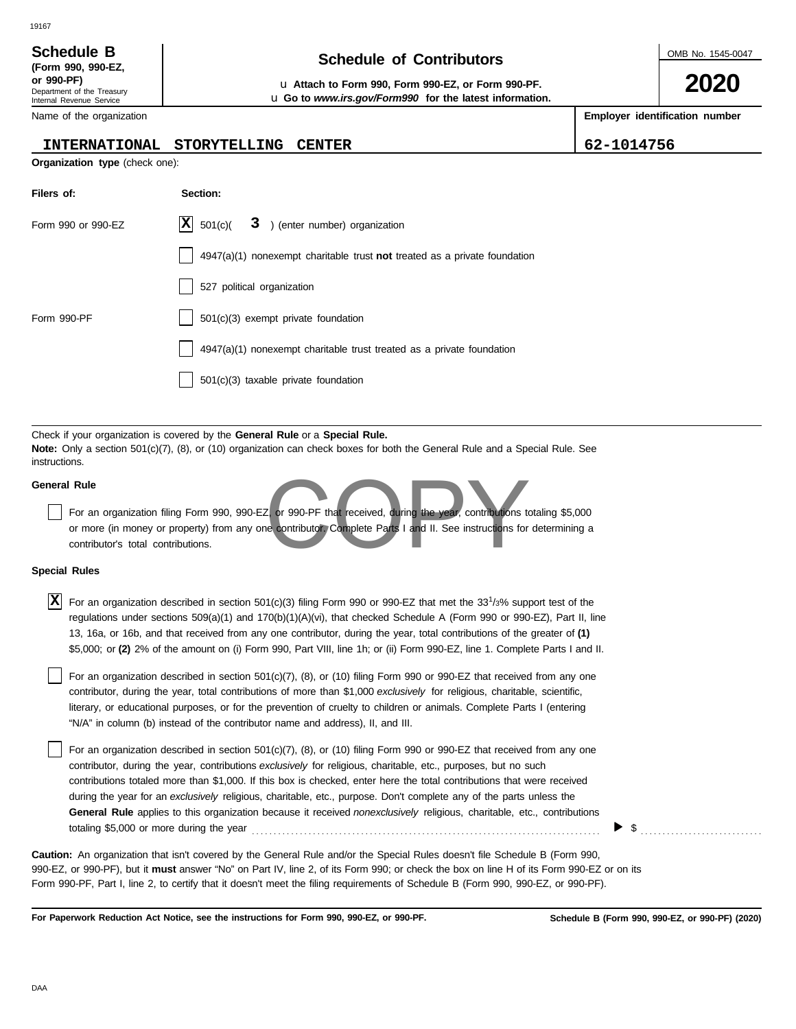19167

| (Form 990, 990-EZ,         |
|----------------------------|
| or 990-PF)                 |
| Department of the Treasury |
| Internal Revenue Service   |

# **Schedule of Contributors Schedule B**

**or 990-PF)** u **Attach to Form 990, Form 990-EZ, or Form 990-PF.** u **Go to** *www.irs.gov/Form990* **for the latest information.** OMB No. 1545-0047

**2020**

**Employer identification number**

| Name of the organization |  |
|--------------------------|--|
|--------------------------|--|

### **INTERNATIONAL STORYTELLING CENTER 62-1014756**

| <b>Organization type</b> (check one): |
|---------------------------------------|
|                                       |

| Filers of:         | Section:                                                                           |
|--------------------|------------------------------------------------------------------------------------|
| Form 990 or 990-EZ | $ \mathbf{X} $ 501(c)( 3 ) (enter number) organization                             |
|                    | $4947(a)(1)$ nonexempt charitable trust <b>not</b> treated as a private foundation |
|                    | 527 political organization                                                         |
| Form 990-PF        | $501(c)(3)$ exempt private foundation                                              |
|                    | 4947(a)(1) nonexempt charitable trust treated as a private foundation              |
|                    | 501(c)(3) taxable private foundation                                               |

Check if your organization is covered by the **General Rule** or a **Special Rule. Note:** Only a section 501(c)(7), (8), or (10) organization can check boxes for both the General Rule and a Special Rule. See instructions.

### **General Rule**

Et or 990-PF that received, during the year, contributions to For an organization filing Form 990, 990-EZ, or 990-PF that received, during the year, contributions totaling \$5,000 or more (in money or property) from any one contributor. Complete Parts I and II. See instructions for determining a contributor's total contributions.

### **Special Rules**

| X For an organization described in section 501(c)(3) filing Form 990 or 990-EZ that met the 33 <sup>1/3%</sup> support test of the |
|------------------------------------------------------------------------------------------------------------------------------------|
| regulations under sections $509(a)(1)$ and $170(b)(1)(A)(vi)$ , that checked Schedule A (Form 990 or 990-EZ), Part II, line        |
| 13, 16a, or 16b, and that received from any one contributor, during the year, total contributions of the greater of (1)            |
| \$5,000; or (2) 2% of the amount on (i) Form 990, Part VIII, line 1h; or (ii) Form 990-EZ, line 1. Complete Parts I and II.        |

literary, or educational purposes, or for the prevention of cruelty to children or animals. Complete Parts I (entering For an organization described in section 501(c)(7), (8), or (10) filing Form 990 or 990-EZ that received from any one contributor, during the year, total contributions of more than \$1,000 *exclusively* for religious, charitable, scientific, "N/A" in column (b) instead of the contributor name and address), II, and III.

For an organization described in section 501(c)(7), (8), or (10) filing Form 990 or 990-EZ that received from any one contributor, during the year, contributions *exclusively* for religious, charitable, etc., purposes, but no such contributions totaled more than \$1,000. If this box is checked, enter here the total contributions that were received during the year for an *exclusively* religious, charitable, etc., purpose. Don't complete any of the parts unless the **General Rule** applies to this organization because it received *nonexclusively* religious, charitable, etc., contributions totaling \$5,000 or more during the year . . . . . . . . . . . . . . . . . . . . . . . . . . . . . . . . . . . . . . . . . . . . . . . . . . . . . . . . . . . . . . . . . . . . . . . . . . . . . . . .

990-EZ, or 990-PF), but it **must** answer "No" on Part IV, line 2, of its Form 990; or check the box on line H of its Form 990-EZ or on its Form 990-PF, Part I, line 2, to certify that it doesn't meet the filing requirements of Schedule B (Form 990, 990-EZ, or 990-PF). **Caution:** An organization that isn't covered by the General Rule and/or the Special Rules doesn't file Schedule B (Form 990,

**For Paperwork Reduction Act Notice, see the instructions for Form 990, 990-EZ, or 990-PF.**

\$ . . . . . . . . . . . . . . . . . . . . . . . . . . . .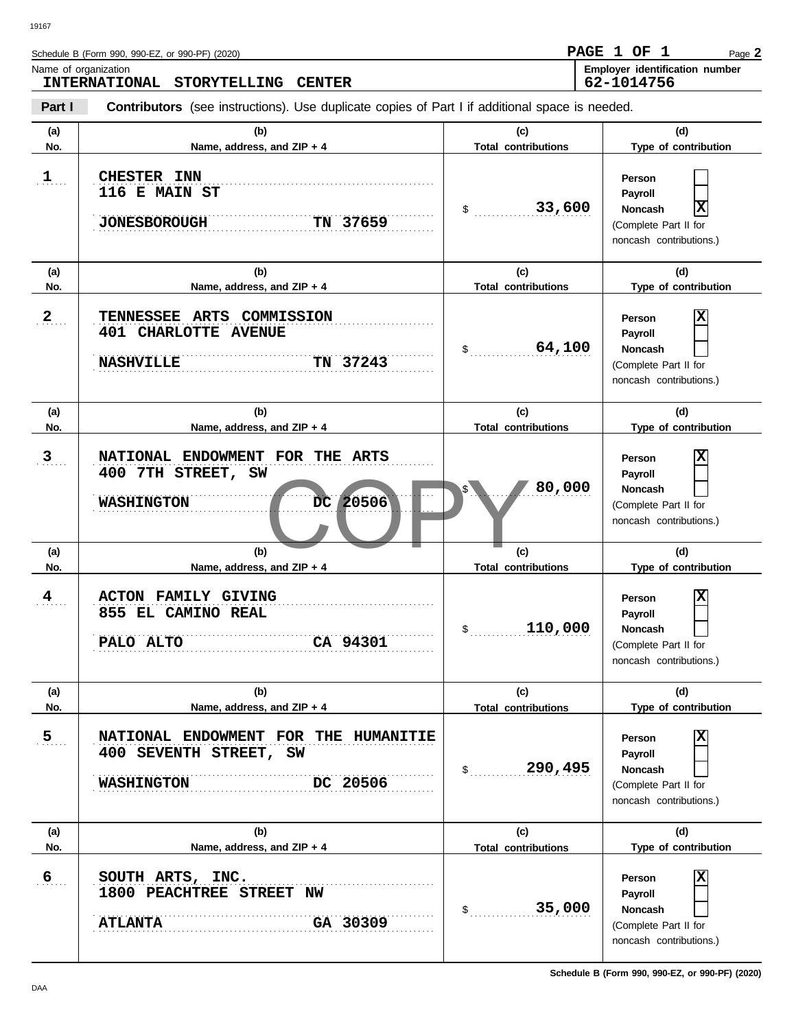| Name of organization | Schedule B (Form 990, 990-EZ, or 990-PF) (2020)<br><b>INTERNATIONAL</b><br><b>STORYTELLING</b><br><b>CENTER</b> |                                                        | PAGE 1 OF<br>-1<br>Page 2<br>Employer identification number<br>62-1014756                                          |
|----------------------|-----------------------------------------------------------------------------------------------------------------|--------------------------------------------------------|--------------------------------------------------------------------------------------------------------------------|
| Part I               | <b>Contributors</b> (see instructions). Use duplicate copies of Part I if additional space is needed.           |                                                        |                                                                                                                    |
| (a)<br>No.           | (b)<br>Name, address, and ZIP + 4                                                                               | (c)<br><b>Total contributions</b>                      | (d)<br>Type of contribution                                                                                        |
| $\mathbf{1}$ .       | <b>CHESTER INN</b><br><b>116 E MAIN ST</b><br><b>JONESBOROUGH</b><br>TN 37659                                   | 33,600<br>\$                                           | Person<br>Payroll<br>$\overline{\mathbf{x}}$<br><b>Noncash</b><br>(Complete Part II for<br>noncash contributions.) |
| (a)<br>No.           | (b)<br>Name, address, and ZIP + 4                                                                               | (c)<br><b>Total contributions</b>                      | (d)<br>Type of contribution                                                                                        |
| $2_{\ldots}$         | TENNESSEE ARTS<br>COMMISSION<br><b>401 CHARLOTTE AVENUE</b><br><b>NASHVILLE</b><br>TN 37243                     | 64,100<br>\$                                           | х<br>Person<br>Payroll<br><b>Noncash</b><br>(Complete Part II for<br>noncash contributions.)                       |
| (a)<br>No.           | (b)<br>Name, address, and ZIP + 4                                                                               | (c)<br><b>Total contributions</b>                      | (d)<br>Type of contribution                                                                                        |
| 3 <sub>1</sub>       | NATIONAL ENDOWMENT FOR THE<br>ARTS<br>400 7TH STREET, SW<br>20506<br><b>WASHINGTON</b><br>DC                    | 80,000                                                 | X<br>Person<br>Payroll<br><b>Noncash</b><br>(Complete Part II for<br>noncash contributions.)                       |
| (a)<br>No.           | (b)<br>Name, address, and ZIP + 4                                                                               | (c)<br><b>Total contributions</b>                      | (d)<br>Type of contribution                                                                                        |
| 4                    | <b>FAMILY GIVING</b><br><b>ACTON</b><br>855 EL CAMINO REAL<br>PALO ALTO<br>CA 94301                             | 110,000<br>$$_{\ldots}$                                | X<br>Person<br>Payroll<br>Noncash<br>(Complete Part II for<br>noncash contributions.)                              |
| (a)<br>No.           | (b)<br>Name, address, and ZIP + 4                                                                               | (c)                                                    | (d)<br>Type of contribution                                                                                        |
| $\overline{5}$       | NATIONAL ENDOWMENT FOR THE HUMANITIE<br>400 SEVENTH STREET, SW<br>DC 20506<br><b>WASHINGTON</b>                 | <b>Total contributions</b><br>290,495<br>$\mathsf{\$}$ | $\overline{\mathbf{x}}$<br>Person<br>Payroll<br><b>Noncash</b><br>(Complete Part II for                            |

**(a) (b) (c) (d)** No. Name, address, and ZIP + 4 **Total contributions** Type of contribution

. . . . . . . . . . . . . . . . . . . . . . . . . . . . . . . . . . . . . . . . . . . . . . . . . . . . . . . . . . . . . . . . . . . . . . . . . . . . . . . . . . . . . . . . . . . . . . . . . . . . . . . . . . . . . . . . . . . . . . . . . . . . . . . . . . . . . . . . . . . . . . . . . . . . . . . . . . . . **ATLANTA GA 30309**

. . . . . . . . . . . . . . . . . . . . . . . . . . . . . . . . . . . . . . . . . . . . . . . . . . . . . . . . . . . . . . . . . . . . . . . . . . . . . . **6 SOUTH ARTS, INC.**

**1800 PEACHTREE STREET NW**

(Complete Part II for noncash contributions.)

**X**

**Person Payroll Noncash**

\$ . . . . . . . . . . . . . . . . . . . . . . . . . . . . **35,000**

**Total contributions**

noncash contributions.)

 $.6...$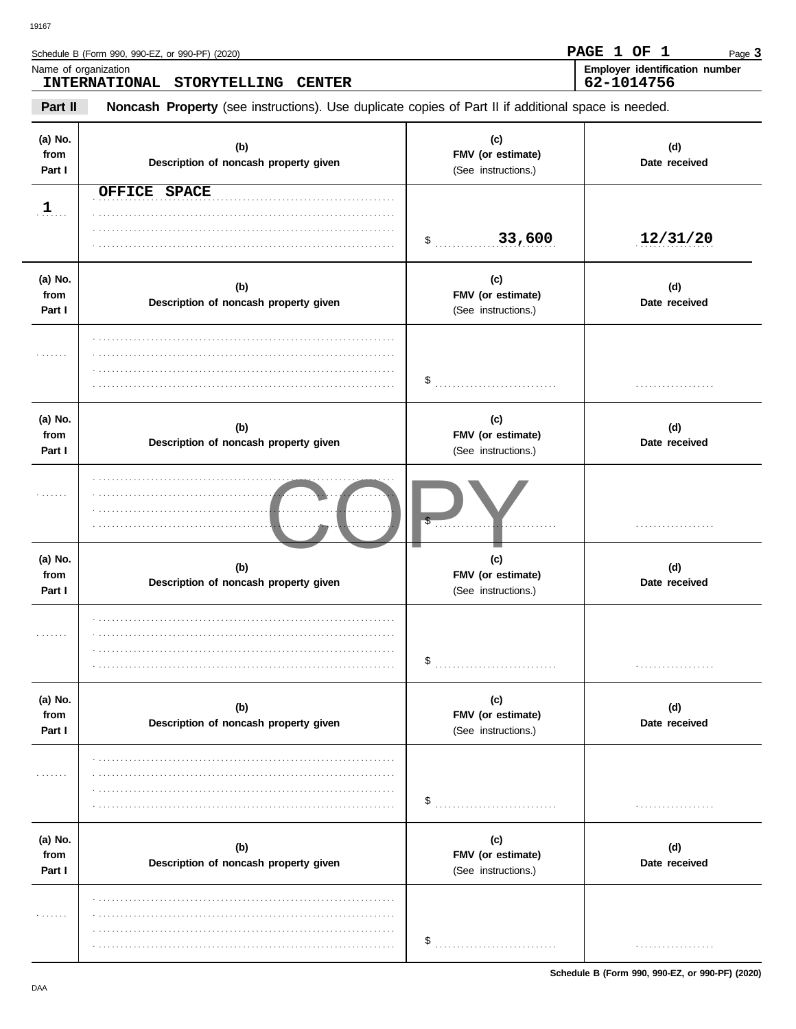Schedule B (Form 990, 990-EZ, or 990-PF) (2020)

| Name of organization      | <b>INTERNATIONAL</b><br>STORYTELLING CENTER                                                         |                                                 | Employer identification number<br>62-1014756 |
|---------------------------|-----------------------------------------------------------------------------------------------------|-------------------------------------------------|----------------------------------------------|
| Part II                   | Noncash Property (see instructions). Use duplicate copies of Part II if additional space is needed. |                                                 |                                              |
| (a) No.<br>from<br>Part I | (b)<br>Description of noncash property given                                                        | (c)<br>FMV (or estimate)<br>(See instructions.) | (d)<br>Date received                         |
| $\mathbf{1}$              | OFFICE SPACE                                                                                        |                                                 |                                              |
|                           |                                                                                                     | 33,600<br>$\ddot{\textbf{\$}}$                  | 12/31/20                                     |
| (a) No.<br>from<br>Part I | (b)<br>Description of noncash property given                                                        | (c)<br>FMV (or estimate)<br>(See instructions.) | (d)<br>Date received                         |
| .                         |                                                                                                     | \$                                              | .                                            |
| (a) No.<br>from<br>Part I | (b)<br>Description of noncash property given                                                        | (c)<br>FMV (or estimate)<br>(See instructions.) | (d)<br>Date received                         |
| .                         |                                                                                                     |                                                 | .                                            |
| (a) No.<br>from<br>Part I | (b)<br>Description of noncash property given                                                        | (c)<br>FMV (or estimate)<br>(See instructions.) | (d)<br>Date received                         |
| .                         |                                                                                                     | \$                                              |                                              |
| (a) No.<br>from<br>Part I | (b)<br>Description of noncash property given                                                        | (c)<br>FMV (or estimate)<br>(See instructions.) | (d)<br>Date received                         |
| .                         |                                                                                                     | \$                                              |                                              |
| (a) No.<br>from<br>Part I | (b)<br>Description of noncash property given                                                        | (c)<br>FMV (or estimate)<br>(See instructions.) | (d)<br>Date received                         |
|                           |                                                                                                     | \$                                              | .                                            |

Schedule B (Form 990, 990-EZ, or 990-PF) (2020)

PAGE 1 OF 1

Page 3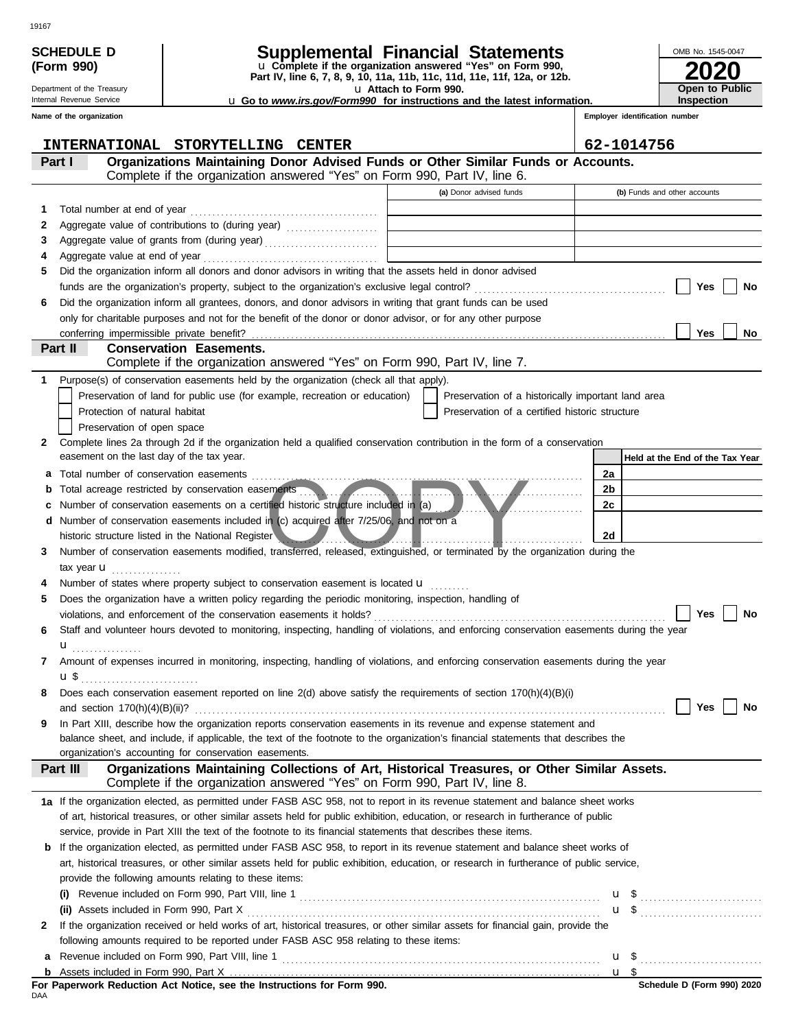|    | <b>SCHEDULE D</b><br>(Form 990)                        | Supplemental Financial Statements<br>u Complete if the organization answered "Yes" on Form 990,                                                                                            |                       |                                                                                                                                                                                                                                      |                                | OMB No. 1545-0047                   |
|----|--------------------------------------------------------|--------------------------------------------------------------------------------------------------------------------------------------------------------------------------------------------|-----------------------|--------------------------------------------------------------------------------------------------------------------------------------------------------------------------------------------------------------------------------------|--------------------------------|-------------------------------------|
|    |                                                        | Part IV, line 6, 7, 8, 9, 10, 11a, 11b, 11c, 11d, 11e, 11f, 12a, or 12b.                                                                                                                   |                       |                                                                                                                                                                                                                                      |                                |                                     |
|    | Department of the Treasury<br>Internal Revenue Service | <b>u</b> Go to www.irs.gov/Form990 for instructions and the latest information.                                                                                                            | u Attach to Form 990. |                                                                                                                                                                                                                                      |                                | Open to Public<br><b>Inspection</b> |
|    | Name of the organization                               |                                                                                                                                                                                            |                       |                                                                                                                                                                                                                                      | Employer identification number |                                     |
|    |                                                        |                                                                                                                                                                                            |                       |                                                                                                                                                                                                                                      |                                |                                     |
|    | <b>INTERNATIONAL</b>                                   | STORYTELLING CENTER                                                                                                                                                                        |                       |                                                                                                                                                                                                                                      | 62-1014756                     |                                     |
|    | Part I                                                 | Organizations Maintaining Donor Advised Funds or Other Similar Funds or Accounts.                                                                                                          |                       |                                                                                                                                                                                                                                      |                                |                                     |
|    |                                                        | Complete if the organization answered "Yes" on Form 990, Part IV, line 6.                                                                                                                  |                       |                                                                                                                                                                                                                                      |                                |                                     |
|    |                                                        |                                                                                                                                                                                            |                       | (a) Donor advised funds                                                                                                                                                                                                              |                                | (b) Funds and other accounts        |
| 1. |                                                        |                                                                                                                                                                                            |                       |                                                                                                                                                                                                                                      |                                |                                     |
| 2  |                                                        | Aggregate value of contributions to (during year) [11] Aggregate value of contributions to (during year)                                                                                   |                       |                                                                                                                                                                                                                                      |                                |                                     |
| 3  |                                                        | Aggregate value of grants from (during year)                                                                                                                                               |                       |                                                                                                                                                                                                                                      |                                |                                     |
| 4  |                                                        |                                                                                                                                                                                            |                       |                                                                                                                                                                                                                                      |                                |                                     |
| 5  |                                                        | Did the organization inform all donors and donor advisors in writing that the assets held in donor advised                                                                                 |                       |                                                                                                                                                                                                                                      |                                |                                     |
| 6  |                                                        | Did the organization inform all grantees, donors, and donor advisors in writing that grant funds can be used                                                                               |                       |                                                                                                                                                                                                                                      |                                | Yes<br>No                           |
|    |                                                        | only for charitable purposes and not for the benefit of the donor or donor advisor, or for any other purpose                                                                               |                       |                                                                                                                                                                                                                                      |                                |                                     |
|    |                                                        |                                                                                                                                                                                            |                       |                                                                                                                                                                                                                                      |                                | Yes<br><b>No</b>                    |
|    | Part II                                                | <b>Conservation Easements.</b>                                                                                                                                                             |                       |                                                                                                                                                                                                                                      |                                |                                     |
|    |                                                        | Complete if the organization answered "Yes" on Form 990, Part IV, line 7.                                                                                                                  |                       |                                                                                                                                                                                                                                      |                                |                                     |
| 1. |                                                        | Purpose(s) of conservation easements held by the organization (check all that apply).                                                                                                      |                       |                                                                                                                                                                                                                                      |                                |                                     |
|    |                                                        | Preservation of land for public use (for example, recreation or education)                                                                                                                 |                       | Preservation of a historically important land area                                                                                                                                                                                   |                                |                                     |
|    | Protection of natural habitat                          |                                                                                                                                                                                            |                       | Preservation of a certified historic structure                                                                                                                                                                                       |                                |                                     |
|    | Preservation of open space                             |                                                                                                                                                                                            |                       |                                                                                                                                                                                                                                      |                                |                                     |
| 2  |                                                        | Complete lines 2a through 2d if the organization held a qualified conservation contribution in the form of a conservation                                                                  |                       |                                                                                                                                                                                                                                      |                                |                                     |
|    | easement on the last day of the tax year.              |                                                                                                                                                                                            |                       |                                                                                                                                                                                                                                      |                                | Held at the End of the Tax Year     |
| а  | Total number of conservation easements                 |                                                                                                                                                                                            |                       |                                                                                                                                                                                                                                      | 2a                             |                                     |
| b  |                                                        | Total acreage restricted by conservation easements                                                                                                                                         |                       | <u> Andrew Marshall and American State of the Community of the Community of the Community of the Community of the Community of the Community of the Community of the Community of the Community of the Community of the Communit</u> | 2b                             |                                     |
|    |                                                        | Number of conservation easements on a certified historic structure included in (a)                                                                                                         |                       |                                                                                                                                                                                                                                      | 2c                             |                                     |
| d  |                                                        | Number of conservation easements included in (c) acquired after 7/25/06, and not on a                                                                                                      |                       |                                                                                                                                                                                                                                      |                                |                                     |
| 3  |                                                        | historic structure listed in the National Register<br>Number of conservation easements modified, transferred, released, extinguished, or terminated by the organization during the         |                       |                                                                                                                                                                                                                                      | 2d                             |                                     |
|    | tax year $\mathbf u$                                   |                                                                                                                                                                                            |                       |                                                                                                                                                                                                                                      |                                |                                     |
|    |                                                        | Number of states where property subject to conservation easement is located $\mathbf{u}$                                                                                                   |                       |                                                                                                                                                                                                                                      |                                |                                     |
| 5  |                                                        | Does the organization have a written policy regarding the periodic monitoring, inspection, handling of                                                                                     |                       |                                                                                                                                                                                                                                      |                                |                                     |
|    |                                                        |                                                                                                                                                                                            |                       |                                                                                                                                                                                                                                      |                                | No<br>Yes                           |
| 6  |                                                        | Staff and volunteer hours devoted to monitoring, inspecting, handling of violations, and enforcing conservation easements during the year                                                  |                       |                                                                                                                                                                                                                                      |                                |                                     |
|    | ${\bf u}$                                              |                                                                                                                                                                                            |                       |                                                                                                                                                                                                                                      |                                |                                     |
| 7  |                                                        | Amount of expenses incurred in monitoring, inspecting, handling of violations, and enforcing conservation easements during the year                                                        |                       |                                                                                                                                                                                                                                      |                                |                                     |
|    |                                                        |                                                                                                                                                                                            |                       |                                                                                                                                                                                                                                      |                                |                                     |
| 8  |                                                        | Does each conservation easement reported on line 2(d) above satisfy the requirements of section 170(h)(4)(B)(i)                                                                            |                       |                                                                                                                                                                                                                                      |                                |                                     |
|    |                                                        |                                                                                                                                                                                            |                       |                                                                                                                                                                                                                                      |                                | Yes<br>No                           |
| 9  |                                                        | In Part XIII, describe how the organization reports conservation easements in its revenue and expense statement and                                                                        |                       |                                                                                                                                                                                                                                      |                                |                                     |
|    |                                                        | balance sheet, and include, if applicable, the text of the footnote to the organization's financial statements that describes the<br>organization's accounting for conservation easements. |                       |                                                                                                                                                                                                                                      |                                |                                     |
|    | Part III                                               | Organizations Maintaining Collections of Art, Historical Treasures, or Other Similar Assets.                                                                                               |                       |                                                                                                                                                                                                                                      |                                |                                     |
|    |                                                        | Complete if the organization answered "Yes" on Form 990, Part IV, line 8.                                                                                                                  |                       |                                                                                                                                                                                                                                      |                                |                                     |
|    |                                                        | 1a If the organization elected, as permitted under FASB ASC 958, not to report in its revenue statement and balance sheet works                                                            |                       |                                                                                                                                                                                                                                      |                                |                                     |
|    |                                                        | of art, historical treasures, or other similar assets held for public exhibition, education, or research in furtherance of public                                                          |                       |                                                                                                                                                                                                                                      |                                |                                     |
|    |                                                        | service, provide in Part XIII the text of the footnote to its financial statements that describes these items.                                                                             |                       |                                                                                                                                                                                                                                      |                                |                                     |
|    |                                                        | <b>b</b> If the organization elected, as permitted under FASB ASC 958, to report in its revenue statement and balance sheet works of                                                       |                       |                                                                                                                                                                                                                                      |                                |                                     |
|    |                                                        | art, historical treasures, or other similar assets held for public exhibition, education, or research in furtherance of public service,                                                    |                       |                                                                                                                                                                                                                                      |                                |                                     |
|    |                                                        | provide the following amounts relating to these items:                                                                                                                                     |                       |                                                                                                                                                                                                                                      |                                |                                     |
|    |                                                        |                                                                                                                                                                                            |                       |                                                                                                                                                                                                                                      |                                |                                     |
|    |                                                        |                                                                                                                                                                                            |                       |                                                                                                                                                                                                                                      |                                |                                     |
| 2  |                                                        | If the organization received or held works of art, historical treasures, or other similar assets for financial gain, provide the                                                           |                       |                                                                                                                                                                                                                                      |                                |                                     |
|    |                                                        | following amounts required to be reported under FASB ASC 958 relating to these items:                                                                                                      |                       |                                                                                                                                                                                                                                      |                                |                                     |
|    |                                                        |                                                                                                                                                                                            |                       |                                                                                                                                                                                                                                      |                                |                                     |
|    |                                                        |                                                                                                                                                                                            |                       |                                                                                                                                                                                                                                      |                                | $\mathbf{u}$ s                      |

| For Paperwork Reduction Act Notice, see the Instructions for Form 990. |  |  |  |
|------------------------------------------------------------------------|--|--|--|
| DAA                                                                    |  |  |  |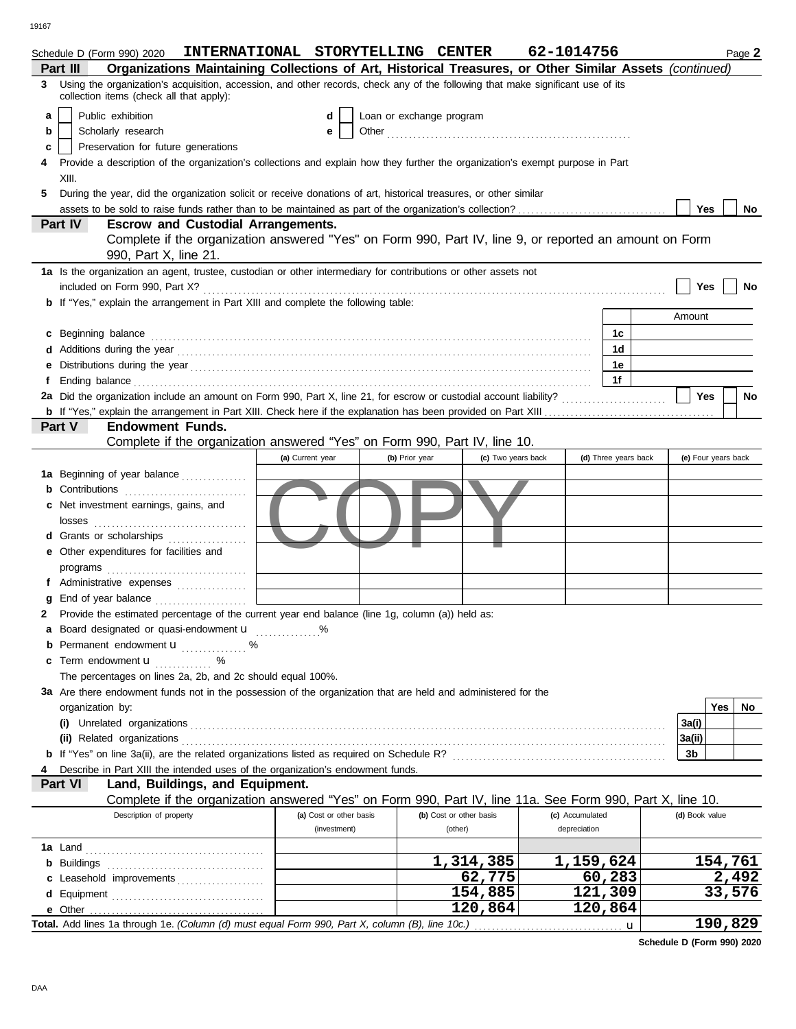|   | INTERNATIONAL STORYTELLING CENTER<br>Schedule D (Form 990) 2020                                                                                                                                                                     |                  |                         |                          |                         |                      | 62-1014756      |                      |                | Page 2              |
|---|-------------------------------------------------------------------------------------------------------------------------------------------------------------------------------------------------------------------------------------|------------------|-------------------------|--------------------------|-------------------------|----------------------|-----------------|----------------------|----------------|---------------------|
|   | Organizations Maintaining Collections of Art, Historical Treasures, or Other Similar Assets (continued)<br>Part III                                                                                                                 |                  |                         |                          |                         |                      |                 |                      |                |                     |
| 3 | Using the organization's acquisition, accession, and other records, check any of the following that make significant use of its<br>collection items (check all that apply):                                                         |                  |                         |                          |                         |                      |                 |                      |                |                     |
| a | Public exhibition                                                                                                                                                                                                                   |                  | d                       | Loan or exchange program |                         |                      |                 |                      |                |                     |
| b | Scholarly research                                                                                                                                                                                                                  |                  | е                       |                          |                         |                      |                 |                      |                |                     |
| c | Preservation for future generations                                                                                                                                                                                                 |                  |                         |                          |                         |                      |                 |                      |                |                     |
|   | Provide a description of the organization's collections and explain how they further the organization's exempt purpose in Part                                                                                                      |                  |                         |                          |                         |                      |                 |                      |                |                     |
|   | XIII.                                                                                                                                                                                                                               |                  |                         |                          |                         |                      |                 |                      |                |                     |
|   | During the year, did the organization solicit or receive donations of art, historical treasures, or other similar                                                                                                                   |                  |                         |                          |                         |                      |                 |                      |                |                     |
|   |                                                                                                                                                                                                                                     |                  |                         |                          |                         |                      |                 |                      | Yes            | No                  |
|   | Part IV<br><b>Escrow and Custodial Arrangements.</b>                                                                                                                                                                                |                  |                         |                          |                         |                      |                 |                      |                |                     |
|   | Complete if the organization answered "Yes" on Form 990, Part IV, line 9, or reported an amount on Form                                                                                                                             |                  |                         |                          |                         |                      |                 |                      |                |                     |
|   | 990, Part X, line 21.                                                                                                                                                                                                               |                  |                         |                          |                         |                      |                 |                      |                |                     |
|   | 1a Is the organization an agent, trustee, custodian or other intermediary for contributions or other assets not                                                                                                                     |                  |                         |                          |                         |                      |                 |                      |                |                     |
|   | included on Form 990, Part X?                                                                                                                                                                                                       |                  |                         |                          |                         |                      |                 |                      | Yes            | No                  |
|   | <b>b</b> If "Yes," explain the arrangement in Part XIII and complete the following table:                                                                                                                                           |                  |                         |                          |                         |                      |                 |                      |                |                     |
|   |                                                                                                                                                                                                                                     |                  |                         |                          |                         |                      |                 |                      | Amount         |                     |
|   |                                                                                                                                                                                                                                     |                  |                         |                          |                         |                      |                 |                      |                |                     |
|   | c Beginning balance expressions and contact the state of the state of the state of the state of the state of the state of the state of the state of the state of the state of the state of the state of the state of the state      |                  |                         |                          |                         |                      |                 | 1c<br>1 <sub>d</sub> |                |                     |
|   |                                                                                                                                                                                                                                     |                  |                         |                          |                         |                      |                 |                      |                |                     |
|   |                                                                                                                                                                                                                                     |                  |                         |                          |                         |                      |                 | 1e                   |                |                     |
|   | Ending balance <b>constructs</b> and constructs and constructs and constructs and constructs and constructs and constructs and constructs and constructs and constructs and constructs and constructs and constructs and constructs |                  |                         |                          |                         |                      |                 | 1f                   |                |                     |
|   |                                                                                                                                                                                                                                     |                  |                         |                          |                         |                      |                 |                      | Yes            | <b>No</b>           |
|   | <b>Endowment Funds.</b><br>Part V                                                                                                                                                                                                   |                  |                         |                          |                         |                      |                 |                      |                |                     |
|   | Complete if the organization answered "Yes" on Form 990, Part IV, line 10.                                                                                                                                                          |                  |                         |                          |                         |                      |                 |                      |                |                     |
|   |                                                                                                                                                                                                                                     |                  |                         |                          |                         |                      |                 |                      |                |                     |
|   |                                                                                                                                                                                                                                     | (a) Current year |                         | (b) Prior year           |                         | (c) Two years back   |                 | (d) Three years back |                | (e) Four years back |
|   | 1a Beginning of year balance                                                                                                                                                                                                        |                  |                         |                          |                         |                      |                 |                      |                |                     |
|   | <b>b</b> Contributions <b>contributions</b>                                                                                                                                                                                         |                  |                         |                          |                         |                      |                 |                      |                |                     |
|   | <b>c</b> Net investment earnings, gains, and                                                                                                                                                                                        |                  |                         |                          |                         |                      |                 |                      |                |                     |
|   | losses                                                                                                                                                                                                                              |                  |                         |                          |                         |                      |                 |                      |                |                     |
|   | d Grants or scholarships                                                                                                                                                                                                            |                  |                         |                          |                         |                      |                 |                      |                |                     |
|   | e Other expenditures for facilities and                                                                                                                                                                                             |                  |                         |                          |                         |                      |                 |                      |                |                     |
|   |                                                                                                                                                                                                                                     |                  |                         |                          |                         |                      |                 |                      |                |                     |
|   | f Administrative expenses                                                                                                                                                                                                           |                  |                         |                          |                         |                      |                 |                      |                |                     |
|   | g End of year balance                                                                                                                                                                                                               |                  |                         |                          |                         |                      |                 |                      |                |                     |
|   | Provide the estimated percentage of the current year end balance (line 1g, column (a)) held as:                                                                                                                                     |                  |                         |                          |                         |                      |                 |                      |                |                     |
|   | Board designated or quasi-endowment u                                                                                                                                                                                               |                  |                         |                          |                         |                      |                 |                      |                |                     |
|   | <b>b</b> Permanent endowment $\mathbf{u}$ %                                                                                                                                                                                         |                  |                         |                          |                         |                      |                 |                      |                |                     |
|   | Term endowment <b>u</b><br>℅<br>a a a a an Como                                                                                                                                                                                     |                  |                         |                          |                         |                      |                 |                      |                |                     |
|   | The percentages on lines 2a, 2b, and 2c should equal 100%.                                                                                                                                                                          |                  |                         |                          |                         |                      |                 |                      |                |                     |
|   | 3a Are there endowment funds not in the possession of the organization that are held and administered for the                                                                                                                       |                  |                         |                          |                         |                      |                 |                      |                |                     |
|   | organization by:                                                                                                                                                                                                                    |                  |                         |                          |                         |                      |                 |                      |                | Yes<br>No.          |
|   |                                                                                                                                                                                                                                     |                  |                         |                          |                         |                      |                 |                      | 3a(i)          |                     |
|   | (ii) Related organizations                                                                                                                                                                                                          |                  |                         |                          |                         |                      |                 |                      | 3a(ii)         |                     |
|   | <b>b</b> If "Yes" on line 3a(ii), are the related organizations listed as required on Schedule R?                                                                                                                                   |                  |                         |                          |                         |                      |                 |                      | 3b             |                     |
|   | Describe in Part XIII the intended uses of the organization's endowment funds.                                                                                                                                                      |                  |                         |                          |                         |                      |                 |                      |                |                     |
|   | Land, Buildings, and Equipment.<br>Part VI                                                                                                                                                                                          |                  |                         |                          |                         |                      |                 |                      |                |                     |
|   | Complete if the organization answered "Yes" on Form 990, Part IV, line 11a. See Form 990, Part X, line 10.                                                                                                                          |                  |                         |                          |                         |                      |                 |                      |                |                     |
|   | Description of property                                                                                                                                                                                                             |                  | (a) Cost or other basis |                          | (b) Cost or other basis |                      | (c) Accumulated |                      | (d) Book value |                     |
|   |                                                                                                                                                                                                                                     |                  | (investment)            |                          | (other)                 |                      | depreciation    |                      |                |                     |
|   |                                                                                                                                                                                                                                     |                  |                         |                          |                         |                      |                 |                      |                |                     |
|   | <b>b</b> Buildings <b>contained b</b> Buildings <b>contained b</b> Buildings <b>contained by Buildings</b>                                                                                                                          |                  |                         |                          |                         | 1,314,385            | 1,159,624       |                      |                | 154,761             |
|   | c Leasehold improvements                                                                                                                                                                                                            |                  |                         |                          |                         | 62,775               |                 | 60,283               |                | 2,492               |
|   |                                                                                                                                                                                                                                     |                  |                         |                          |                         | 154,885              |                 | 121,309              |                | 33,576              |
|   |                                                                                                                                                                                                                                     |                  |                         |                          |                         | $\overline{120,864}$ |                 | 120,864              |                |                     |
|   |                                                                                                                                                                                                                                     |                  |                         |                          |                         |                      |                 | $\mathbf u$          |                | 190,829             |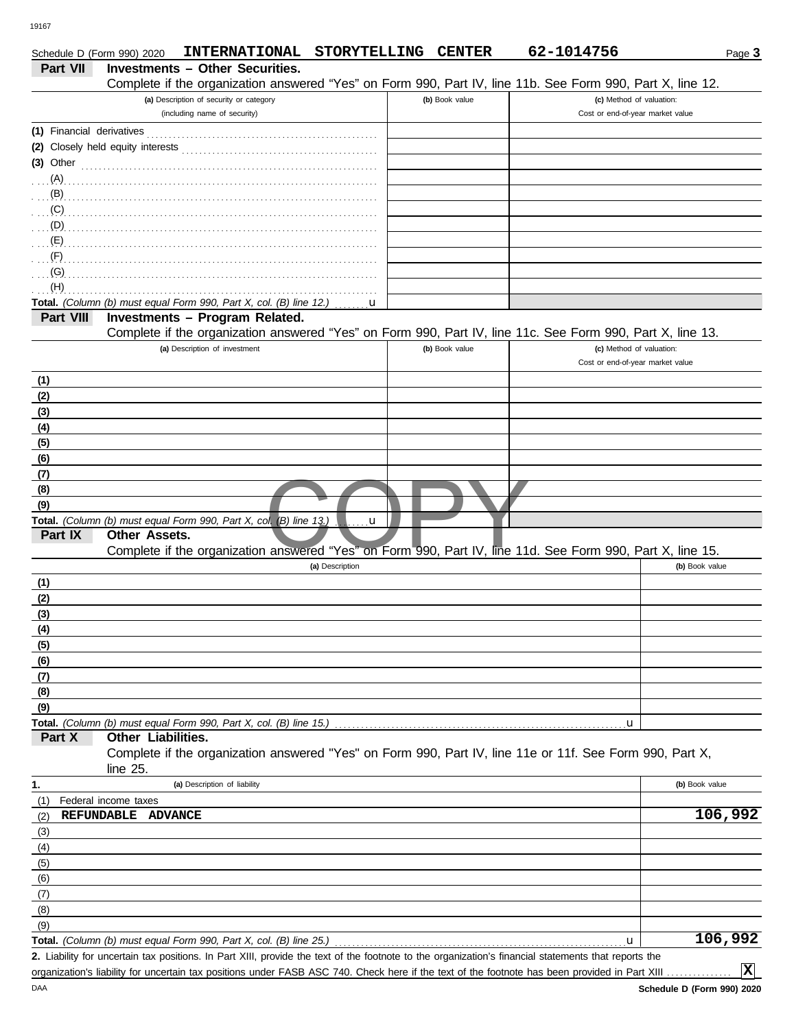DAA

| Schedule D (Form 990) 2020 |                                   | INTERNATIONAL STORYTELLING CENTER                                                                            |                          |                | 62-1014756                                                                                                                                           | Page 3         |
|----------------------------|-----------------------------------|--------------------------------------------------------------------------------------------------------------|--------------------------|----------------|------------------------------------------------------------------------------------------------------------------------------------------------------|----------------|
| <b>Part VII</b>            |                                   | <b>Investments - Other Securities.</b>                                                                       |                          |                |                                                                                                                                                      |                |
|                            |                                   |                                                                                                              |                          |                | Complete if the organization answered "Yes" on Form 990, Part IV, line 11b. See Form 990, Part X, line 12.                                           |                |
|                            |                                   | (a) Description of security or category<br>(including name of security)                                      |                          | (b) Book value | (c) Method of valuation:<br>Cost or end-of-year market value                                                                                         |                |
|                            |                                   |                                                                                                              |                          |                |                                                                                                                                                      |                |
|                            | (2) Closely held equity interests |                                                                                                              |                          |                |                                                                                                                                                      |                |
|                            |                                   | (3) Other $\ldots$ $\ldots$ $\ldots$ $\ldots$ $\ldots$ $\ldots$ $\ldots$ $\ldots$ $\ldots$ $\ldots$ $\ldots$ |                          |                |                                                                                                                                                      |                |
|                            |                                   |                                                                                                              |                          |                |                                                                                                                                                      |                |
| (B)                        |                                   |                                                                                                              |                          |                |                                                                                                                                                      |                |
| (C)                        |                                   |                                                                                                              |                          |                |                                                                                                                                                      |                |
| (D)                        |                                   |                                                                                                              |                          |                |                                                                                                                                                      |                |
| (E)                        |                                   |                                                                                                              |                          |                |                                                                                                                                                      |                |
| (F)                        |                                   |                                                                                                              |                          |                |                                                                                                                                                      |                |
| (G)<br>(H)                 |                                   |                                                                                                              |                          |                |                                                                                                                                                      |                |
|                            |                                   | Total. (Column (b) must equal Form 990, Part X, col. (B) line 12.)                                           | $\dots \dots \mathbf{u}$ |                |                                                                                                                                                      |                |
| Part VIII                  |                                   | Investments - Program Related.                                                                               |                          |                |                                                                                                                                                      |                |
|                            |                                   |                                                                                                              |                          |                | Complete if the organization answered "Yes" on Form 990, Part IV, line 11c. See Form 990, Part X, line 13.                                           |                |
|                            |                                   | (a) Description of investment                                                                                |                          | (b) Book value | (c) Method of valuation:                                                                                                                             |                |
|                            |                                   |                                                                                                              |                          |                | Cost or end-of-year market value                                                                                                                     |                |
| (1)                        |                                   |                                                                                                              |                          |                |                                                                                                                                                      |                |
| (2)                        |                                   |                                                                                                              |                          |                |                                                                                                                                                      |                |
| (3)                        |                                   |                                                                                                              |                          |                |                                                                                                                                                      |                |
| (4)                        |                                   |                                                                                                              |                          |                |                                                                                                                                                      |                |
| (5)                        |                                   |                                                                                                              |                          |                |                                                                                                                                                      |                |
| (6)<br>(7)                 |                                   |                                                                                                              |                          |                |                                                                                                                                                      |                |
| (8)                        |                                   |                                                                                                              |                          |                |                                                                                                                                                      |                |
| (9)                        |                                   |                                                                                                              |                          |                |                                                                                                                                                      |                |
|                            |                                   | Total. (Column (b) must equal Form 990, Part X, col. (B) line 13.)                                           | u                        |                |                                                                                                                                                      |                |
| Part IX                    | Other Assets.                     |                                                                                                              |                          |                |                                                                                                                                                      |                |
|                            |                                   |                                                                                                              |                          |                | Complete if the organization answered "Yes" on Form 990, Part IV, line 11d. See Form 990, Part X, line 15.                                           |                |
|                            |                                   |                                                                                                              | (a) Description          |                |                                                                                                                                                      | (b) Book value |
| (1)                        |                                   |                                                                                                              |                          |                |                                                                                                                                                      |                |
| (2)                        |                                   |                                                                                                              |                          |                |                                                                                                                                                      |                |
| (3)                        |                                   |                                                                                                              |                          |                |                                                                                                                                                      |                |
| <u>(4)</u><br>(5)          |                                   |                                                                                                              |                          |                |                                                                                                                                                      |                |
| (6)                        |                                   |                                                                                                              |                          |                |                                                                                                                                                      |                |
| (7)                        |                                   |                                                                                                              |                          |                |                                                                                                                                                      |                |
| (8)                        |                                   |                                                                                                              |                          |                |                                                                                                                                                      |                |
| (9)                        |                                   |                                                                                                              |                          |                |                                                                                                                                                      |                |
|                            |                                   | <b>Total.</b> (Column (b) must equal Form 990, Part X, col. (B) line 15.)                                    |                          |                | u                                                                                                                                                    |                |
| Part X                     | Other Liabilities.                |                                                                                                              |                          |                |                                                                                                                                                      |                |
|                            | line 25.                          |                                                                                                              |                          |                | Complete if the organization answered "Yes" on Form 990, Part IV, line 11e or 11f. See Form 990, Part X,                                             |                |
| 1.                         |                                   | (a) Description of liability                                                                                 |                          |                |                                                                                                                                                      | (b) Book value |
| (1)                        | Federal income taxes              |                                                                                                              |                          |                |                                                                                                                                                      |                |
| (2)                        | REFUNDABLE ADVANCE                |                                                                                                              |                          |                |                                                                                                                                                      | 106,992        |
| (3)<br>(4)                 |                                   |                                                                                                              |                          |                |                                                                                                                                                      |                |
| (5)                        |                                   |                                                                                                              |                          |                |                                                                                                                                                      |                |
| (6)                        |                                   |                                                                                                              |                          |                |                                                                                                                                                      |                |
| (7)                        |                                   |                                                                                                              |                          |                |                                                                                                                                                      |                |
| (8)                        |                                   |                                                                                                              |                          |                |                                                                                                                                                      |                |
| (9)                        |                                   |                                                                                                              |                          |                |                                                                                                                                                      |                |
|                            |                                   | Total. (Column (b) must equal Form 990, Part X, col. (B) line 25.)                                           |                          |                | u                                                                                                                                                    | 106,992        |
|                            |                                   |                                                                                                              |                          |                | 2. Liability for uncertain tax positions. In Part XIII, provide the text of the footnote to the organization's financial statements that reports the |                |

**X**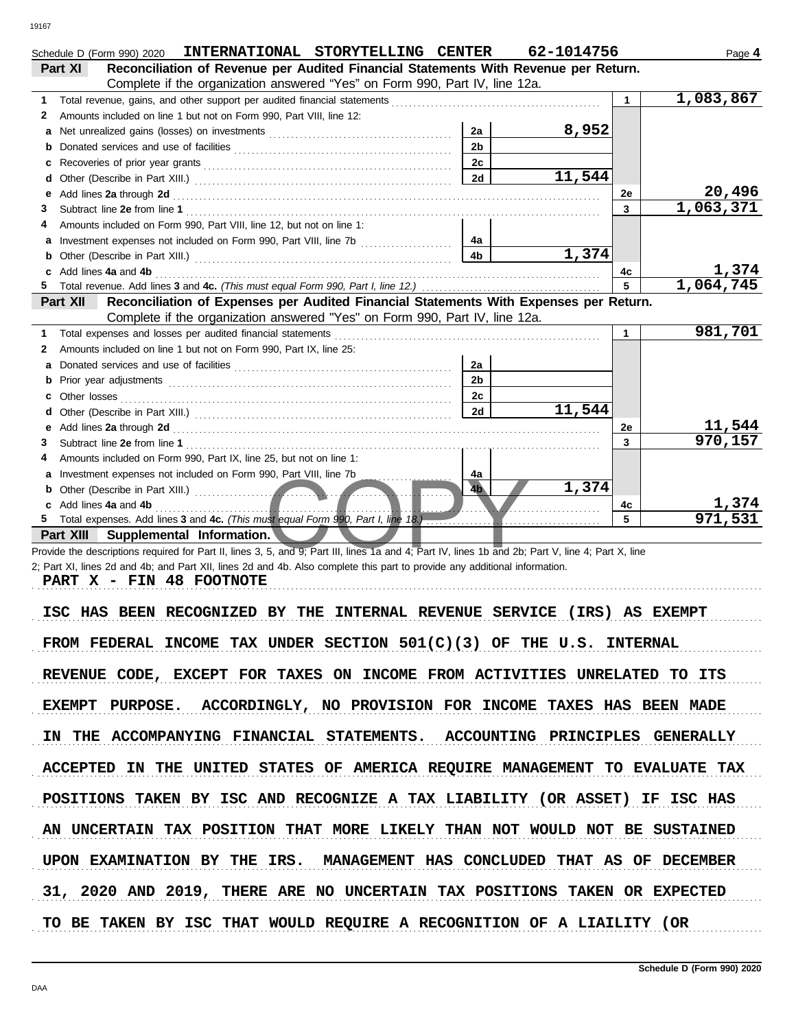|              | INTERNATIONAL STORYTELLING CENTER<br>Schedule D (Form 990) 2020                                                                                                                                                                | 62-1014756 |                | Page 4    |
|--------------|--------------------------------------------------------------------------------------------------------------------------------------------------------------------------------------------------------------------------------|------------|----------------|-----------|
|              | Reconciliation of Revenue per Audited Financial Statements With Revenue per Return.<br>Part XI                                                                                                                                 |            |                |           |
|              | Complete if the organization answered "Yes" on Form 990, Part IV, line 12a.                                                                                                                                                    |            |                |           |
| 1            |                                                                                                                                                                                                                                |            | $\mathbf{1}$   | 1,083,867 |
| $\mathbf{2}$ | Amounts included on line 1 but not on Form 990, Part VIII, line 12:                                                                                                                                                            |            |                |           |
|              | 2a                                                                                                                                                                                                                             | 8,952      |                |           |
|              | 2 <sub>b</sub>                                                                                                                                                                                                                 |            |                |           |
|              | 2c                                                                                                                                                                                                                             |            |                |           |
| d            | 2d                                                                                                                                                                                                                             | 11,544     |                |           |
| е            | Add lines 2a through 2d [11] March 2014 [12] March 2014 [12] March 2014 [12] March 2014 [12] March 2014 [12] March 2015 [12] March 2014 [12] March 2014 [12] March 2014 [12] March 2014 [12] March 2014 [12] March 2014 [12] M |            | 2e             | 20,496    |
| 3            |                                                                                                                                                                                                                                |            | $\overline{3}$ | 1,063,371 |
| 4            | Amounts included on Form 990, Part VIII, line 12, but not on line 1:                                                                                                                                                           |            |                |           |
| a            | 4a                                                                                                                                                                                                                             |            |                |           |
| b            | 4 <sub>b</sub>                                                                                                                                                                                                                 | 1,374      |                |           |
|              | c Add lines 4a and 4b                                                                                                                                                                                                          |            | 4c             | 1,374     |
|              |                                                                                                                                                                                                                                |            | 5              | 1,064,745 |
|              | Reconciliation of Expenses per Audited Financial Statements With Expenses per Return.<br>Part XII                                                                                                                              |            |                |           |
|              | Complete if the organization answered "Yes" on Form 990, Part IV, line 12a.                                                                                                                                                    |            |                |           |
| 1            |                                                                                                                                                                                                                                |            | $\mathbf 1$    | 981,701   |
| 2            | Amounts included on line 1 but not on Form 990, Part IX, line 25:                                                                                                                                                              |            |                |           |
|              | 2a                                                                                                                                                                                                                             |            |                |           |
|              | 2 <sub>b</sub>                                                                                                                                                                                                                 |            |                |           |
|              | 2c                                                                                                                                                                                                                             |            |                |           |
| d            | 2d                                                                                                                                                                                                                             | 11,544     |                |           |
|              |                                                                                                                                                                                                                                |            | 2e             | 11,544    |
| 3            |                                                                                                                                                                                                                                |            | 3              | 970, 157  |
| 4            | Amounts included on Form 990, Part IX, line 25, but not on line 1:                                                                                                                                                             |            |                |           |
|              | a Investment expenses not included on Form 990, Part VIII, line 7b<br>4a                                                                                                                                                       |            |                |           |
|              | 4 <sub>b</sub><br><b>b</b> Other (Describe in Part XIII.) <b>contract of the COVID-100</b>                                                                                                                                     | 1,374      |                |           |
|              | c Add lines 4a and 4b                                                                                                                                                                                                          |            | 4c             | 1,374     |
| 5.           |                                                                                                                                                                                                                                |            | 5              | 971,531   |
|              | Part XIII Supplemental Information.                                                                                                                                                                                            |            |                |           |
|              | Provide the descriptions required for Part II, lines 3, 5, and 9; Part III, lines 1a and 4; Part IV, lines 1b and 2b; Part V, line 4; Part X, line                                                                             |            |                |           |
|              | 2; Part XI, lines 2d and 4b; and Part XII, lines 2d and 4b. Also complete this part to provide any additional information.                                                                                                     |            |                |           |
|              | PART X - FIN 48 FOOTNOTE                                                                                                                                                                                                       |            |                |           |
|              |                                                                                                                                                                                                                                |            |                |           |

ISC HAS BEEN RECOGNIZED BY THE INTERNAL REVENUE SERVICE (IRS) AS EXEMPT FROM FEDERAL INCOME TAX UNDER SECTION  $501(C)(3)$  OF THE U.S. INTERNAL REVENUE CODE, EXCEPT FOR TAXES ON INCOME FROM ACTIVITIES UNRELATED TO ITS EXEMPT PURPOSE. ACCORDINGLY, NO PROVISION FOR INCOME TAXES HAS BEEN MADE IN THE ACCOMPANYING FINANCIAL STATEMENTS. ACCOUNTING PRINCIPLES GENERALLY ACCEPTED IN THE UNITED STATES OF AMERICA REQUIRE MANAGEMENT TO EVALUATE TAX UPON EXAMINATION BY THE IRS. MANAGEMENT HAS CONCLUDED THAT AS OF DECEMBER POSITIONS TAKEN BY ISC AND RECOGNIZE A TAX LIABILITY (OR ASSET) IF ISC HAS AN UNCERTAIN TAX POSITION THAT MORE LIKELY THAN NOT WOULD NOT BE SUSTAINED 31, 2020 AND 2019, THERE ARE NO UNCERTAIN TAX POSITIONS TAKEN OR EXPECTED TO BE TAKEN BY ISC THAT WOULD REQUIRE A RECOGNITION OF A LIAILITY (OR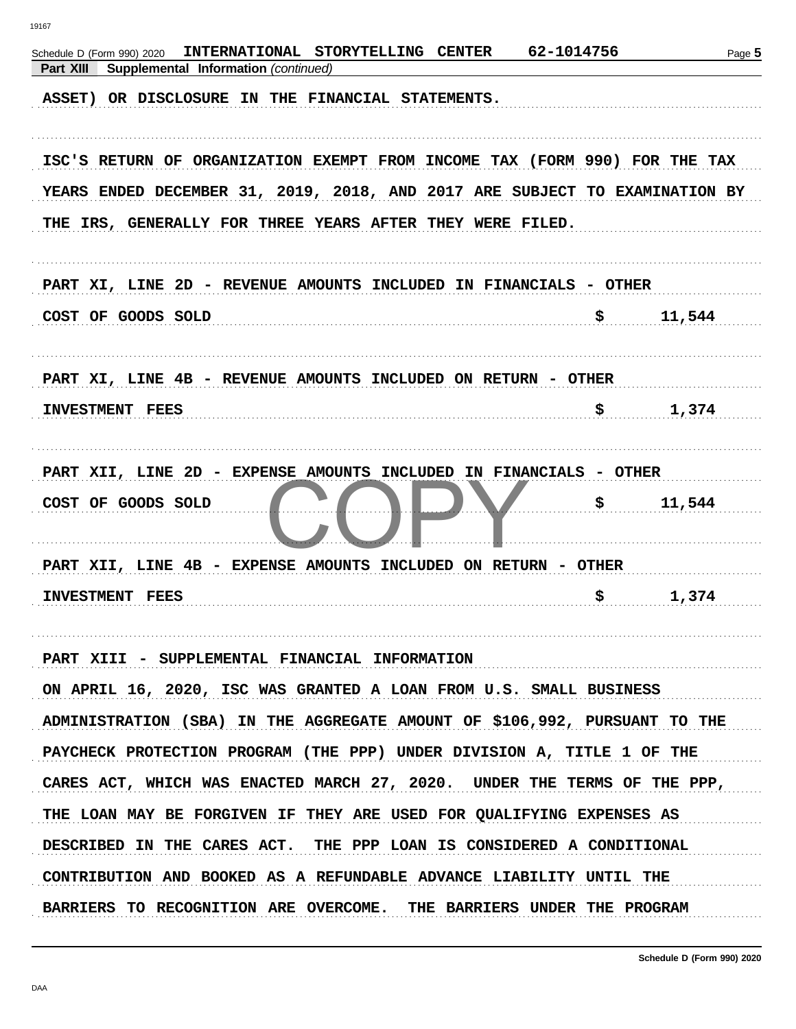| INTERNATIONAL STORYTELLING CENTER<br>Schedule D (Form 990) 2020<br>Part XIII<br>Supplemental Information (continued)                                                                                                   | 62-1014756 | Page 5 |
|------------------------------------------------------------------------------------------------------------------------------------------------------------------------------------------------------------------------|------------|--------|
| ASSET) OR DISCLOSURE IN THE FINANCIAL STATEMENTS.                                                                                                                                                                      |            |        |
| ISC'S RETURN OF ORGANIZATION EXEMPT FROM INCOME TAX (FORM 990) FOR THE TAX<br>YEARS ENDED DECEMBER 31, 2019, 2018, AND 2017 ARE SUBJECT TO EXAMINATION BY<br>THE IRS, GENERALLY FOR THREE YEARS AFTER THEY WERE FILED. |            |        |
| PART XI, LINE 2D - REVENUE AMOUNTS INCLUDED IN FINANCIALS - OTHER                                                                                                                                                      |            |        |
| COST OF GOODS SOLD                                                                                                                                                                                                     | \$         | 11,544 |
| PART XI, LINE 4B - REVENUE AMOUNTS INCLUDED ON RETURN - OTHER                                                                                                                                                          |            |        |
| <b>INVESTMENT FEES</b>                                                                                                                                                                                                 | \$         | 1,374  |
| PART XII, LINE 2D - EXPENSE AMOUNTS INCLUDED IN FINANCIALS - OTHER<br>COST OF GOODS SOLD                                                                                                                               | \$         | 11,544 |
| PART XII, LINE 4B - EXPENSE AMOUNTS INCLUDED ON RETURN - OTHER<br>INVESTMENT FEES                                                                                                                                      | \$         | 1,374  |
| PART XIII - SUPPLEMENTAL FINANCIAL INFORMATION<br>ON APRIL 16, 2020, ISC WAS GRANTED A LOAN FROM U.S. SMALL BUSINESS                                                                                                   |            |        |
| ADMINISTRATION (SBA) IN THE AGGREGATE AMOUNT OF \$106,992, PURSUANT TO THE                                                                                                                                             |            |        |
| PAYCHECK PROTECTION PROGRAM (THE PPP) UNDER DIVISION A, TITLE 1 OF THE                                                                                                                                                 |            |        |
| CARES ACT, WHICH WAS ENACTED MARCH 27, 2020. UNDER THE TERMS OF THE PPP,                                                                                                                                               |            |        |
| THE LOAN MAY BE FORGIVEN IF THEY ARE USED FOR QUALIFYING EXPENSES AS                                                                                                                                                   |            |        |
| DESCRIBED IN THE CARES ACT. THE PPP LOAN IS CONSIDERED A CONDITIONAL<br>CONTRIBUTION AND BOOKED AS A REFUNDABLE ADVANCE LIABILITY UNTIL THE                                                                            |            |        |
| BARRIERS TO RECOGNITION ARE OVERCOME. THE BARRIERS UNDER THE PROGRAM                                                                                                                                                   |            |        |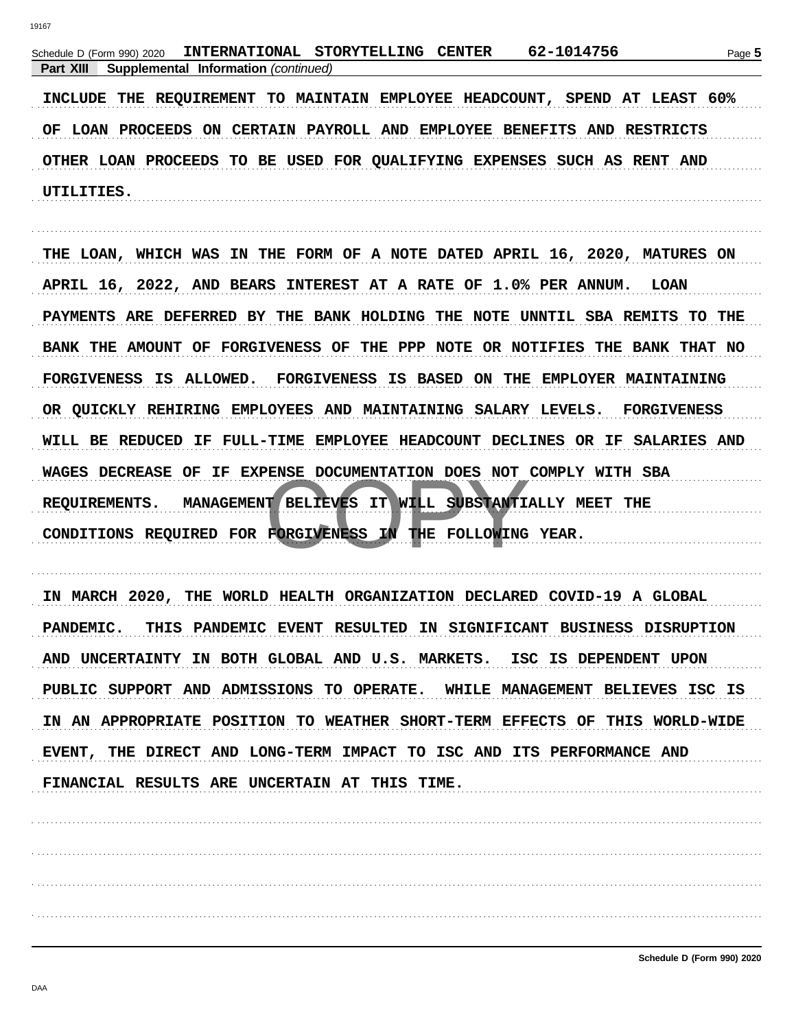| INTERNATIONAL STORYTELLING CENTER 62-1014756<br>Schedule D (Form 990) 2020<br>Supplemental Information (continued)<br>Part XIII | Page 5 |
|---------------------------------------------------------------------------------------------------------------------------------|--------|
| INCLUDE THE REQUIREMENT TO MAINTAIN EMPLOYEE HEADCOUNT, SPEND AT LEAST 60%                                                      |        |
| OF LOAN PROCEEDS ON CERTAIN PAYROLL AND EMPLOYEE BENEFITS AND RESTRICTS                                                         |        |
| OTHER LOAN PROCEEDS TO BE USED FOR QUALIFYING EXPENSES SUCH AS RENT AND                                                         |        |
| UTILITIES.                                                                                                                      |        |
|                                                                                                                                 |        |
| THE LOAN, WHICH WAS IN THE FORM OF A NOTE DATED APRIL 16, 2020, MATURES ON                                                      |        |
| APRIL 16, 2022, AND BEARS INTEREST AT A RATE OF 1.0% PER ANNUM. LOAN                                                            |        |
| PAYMENTS ARE DEFERRED BY THE BANK HOLDING THE NOTE UNNTIL SBA REMITS TO THE                                                     |        |
| BANK THE AMOUNT OF FORGIVENESS OF THE PPP NOTE OR NOTIFIES THE BANK THAT NO                                                     |        |
| FORGIVENESS IS ALLOWED. FORGIVENESS IS BASED ON THE EMPLOYER MAINTAINING                                                        |        |
| OR QUICKLY REHIRING EMPLOYEES AND MAINTAINING SALARY LEVELS. FORGIVENESS                                                        |        |
| WILL BE REDUCED IF FULL-TIME EMPLOYEE HEADCOUNT DECLINES OR IF SALARIES AND                                                     |        |
| WAGES DECREASE OF IF EXPENSE DOCUMENTATION DOES NOT COMPLY WITH SBA                                                             |        |
| MANAGEMENT BELIEVES IT WILL SUBSTANTIALLY MEET THE<br><b>REQUIREMENTS.</b>                                                      |        |
| CONDITIONS REQUIRED FOR FORGIVENESS IN THE FOLLOWING YEAR.                                                                      |        |
|                                                                                                                                 |        |
| IN MARCH 2020, THE WORLD HEALTH ORGANIZATION DECLARED COVID-19 A GLOBAL                                                         |        |
| PANDEMIC. THIS PANDEMIC EVENT RESULTED IN SIGNIFICANT BUSINESS DISRUPTION                                                       |        |
| AND UNCERTAINTY IN BOTH GLOBAL AND U.S. MARKETS. ISC IS DEPENDENT UPON                                                          |        |
| PUBLIC SUPPORT AND ADMISSIONS TO OPERATE. WHILE MANAGEMENT BELIEVES ISC IS                                                      |        |
| IN AN APPROPRIATE POSITION TO WEATHER SHORT-TERM EFFECTS OF THIS WORLD-WIDE                                                     |        |
| EVENT, THE DIRECT AND LONG-TERM IMPACT TO ISC AND ITS PERFORMANCE AND                                                           |        |

FINANCIAL RESULTS ARE UNCERTAIN AT THIS TIME.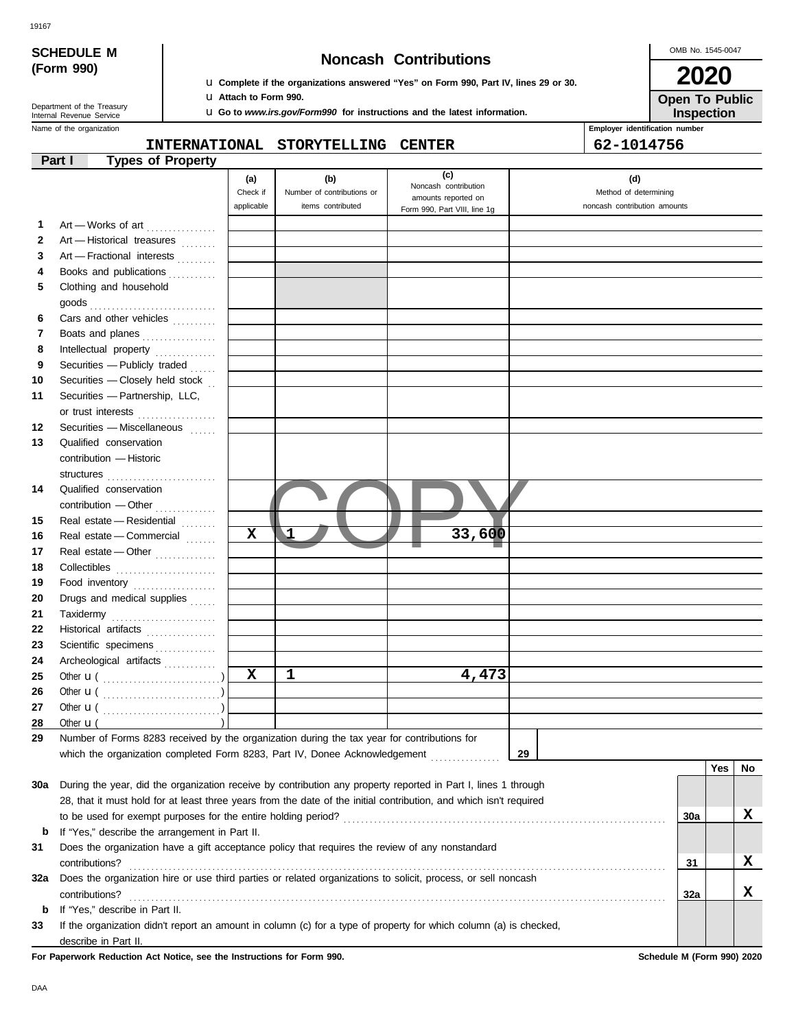| <b>SCHEDULE M</b> |  |
|-------------------|--|
| (Form 990)        |  |

19167

### **Noncash Contributions**

OMB No. 1545-0047 **2020**

**Open To Public**

| Department of the Treasury |  |
|----------------------------|--|
| Internal Revenue Service   |  |
|                            |  |

u **Complete if the organizations answered "Yes" on Form 990, Part IV, lines 29 or 30.** u **Attach to Form 990.**

u **Go to** *www.irs.gov/Form990* **for instructions and the latest information.**

Name of the organization **Employer identification number Employer identification number Inspection**

### **INTERNATIONAL STORYTELLING CENTER 62-1014756**

|                                                                                                       | <b>Types of Property</b><br>Part I                                                                                 |            |                            |                                             |                              |     |     |    |
|-------------------------------------------------------------------------------------------------------|--------------------------------------------------------------------------------------------------------------------|------------|----------------------------|---------------------------------------------|------------------------------|-----|-----|----|
|                                                                                                       |                                                                                                                    | (a)        | (b)                        | (c)                                         | (d)                          |     |     |    |
|                                                                                                       |                                                                                                                    | Check if   | Number of contributions or | Noncash contribution<br>amounts reported on | Method of determining        |     |     |    |
|                                                                                                       |                                                                                                                    | applicable | items contributed          | Form 990, Part VIII, line 1g                | noncash contribution amounts |     |     |    |
| 1                                                                                                     | Art - Works of art                                                                                                 |            |                            |                                             |                              |     |     |    |
| $\mathbf{2}$                                                                                          | Art - Historical treasures                                                                                         |            |                            |                                             |                              |     |     |    |
| 3                                                                                                     | Art - Fractional interests                                                                                         |            |                            |                                             |                              |     |     |    |
| 4                                                                                                     | Books and publications                                                                                             |            |                            |                                             |                              |     |     |    |
| 5                                                                                                     | Clothing and household                                                                                             |            |                            |                                             |                              |     |     |    |
|                                                                                                       |                                                                                                                    |            |                            |                                             |                              |     |     |    |
| 6                                                                                                     | Cars and other vehicles                                                                                            |            |                            |                                             |                              |     |     |    |
| 7                                                                                                     | Boats and planes                                                                                                   |            |                            |                                             |                              |     |     |    |
| 8                                                                                                     | Intellectual property                                                                                              |            |                            |                                             |                              |     |     |    |
| 9                                                                                                     | Securities - Publicly traded                                                                                       |            |                            |                                             |                              |     |     |    |
| 10                                                                                                    | Securities - Closely held stock                                                                                    |            |                            |                                             |                              |     |     |    |
| 11                                                                                                    | Securities - Partnership, LLC,                                                                                     |            |                            |                                             |                              |     |     |    |
|                                                                                                       | or trust interests                                                                                                 |            |                            |                                             |                              |     |     |    |
| 12                                                                                                    | Securities - Miscellaneous                                                                                         |            |                            |                                             |                              |     |     |    |
| 13                                                                                                    | Qualified conservation                                                                                             |            |                            |                                             |                              |     |     |    |
|                                                                                                       | contribution - Historic                                                                                            |            |                            |                                             |                              |     |     |    |
|                                                                                                       | structures                                                                                                         |            |                            |                                             |                              |     |     |    |
| 14                                                                                                    | Qualified conservation                                                                                             |            |                            |                                             |                              |     |     |    |
|                                                                                                       |                                                                                                                    |            |                            |                                             |                              |     |     |    |
| 15                                                                                                    | Real estate - Residential                                                                                          |            |                            |                                             |                              |     |     |    |
| 16                                                                                                    | Real estate - Commercial                                                                                           | X          |                            | 33,600                                      |                              |     |     |    |
| 17                                                                                                    | Real estate - Other                                                                                                |            |                            |                                             |                              |     |     |    |
| 18                                                                                                    |                                                                                                                    |            |                            |                                             |                              |     |     |    |
| 19                                                                                                    | Food inventory                                                                                                     |            |                            |                                             |                              |     |     |    |
| 20                                                                                                    | Drugs and medical supplies                                                                                         |            |                            |                                             |                              |     |     |    |
| 21                                                                                                    | Taxidermy                                                                                                          |            |                            |                                             |                              |     |     |    |
| 22<br>23                                                                                              | Historical artifacts                                                                                               |            |                            |                                             |                              |     |     |    |
| 24                                                                                                    | Scientific specimens<br>Archeological artifacts                                                                    |            |                            |                                             |                              |     |     |    |
| 25                                                                                                    |                                                                                                                    | X          | 1                          | 4,473                                       |                              |     |     |    |
| 26                                                                                                    |                                                                                                                    |            |                            |                                             |                              |     |     |    |
| 27                                                                                                    |                                                                                                                    |            |                            |                                             |                              |     |     |    |
| 28                                                                                                    | Other $\mathbf{u}$ (                                                                                               |            |                            |                                             |                              |     |     |    |
| 29                                                                                                    | Number of Forms 8283 received by the organization during the tax year for contributions for                        |            |                            |                                             |                              |     |     |    |
|                                                                                                       | which the organization completed Form 8283, Part IV, Donee Acknowledgement [ [ [ [ [ ] ] ]                         |            |                            |                                             | 29                           |     |     |    |
|                                                                                                       |                                                                                                                    |            |                            |                                             |                              |     | Yes | No |
| 30a                                                                                                   | During the year, did the organization receive by contribution any property reported in Part I, lines 1 through     |            |                            |                                             |                              |     |     |    |
|                                                                                                       | 28, that it must hold for at least three years from the date of the initial contribution, and which isn't required |            |                            |                                             |                              |     |     |    |
|                                                                                                       |                                                                                                                    |            |                            |                                             |                              | 30a |     | x  |
| b                                                                                                     | If "Yes," describe the arrangement in Part II.                                                                     |            |                            |                                             |                              |     |     |    |
| 31<br>Does the organization have a gift acceptance policy that requires the review of any nonstandard |                                                                                                                    |            |                            |                                             |                              |     |     |    |
| contributions?                                                                                        |                                                                                                                    |            |                            |                                             |                              | 31  |     | X  |
| 32a                                                                                                   | Does the organization hire or use third parties or related organizations to solicit, process, or sell noncash      |            |                            |                                             |                              |     |     |    |
|                                                                                                       | contributions?                                                                                                     |            |                            |                                             |                              |     |     | x  |
| b                                                                                                     | If "Yes," describe in Part II.                                                                                     |            |                            |                                             |                              |     |     |    |
| 33                                                                                                    | If the organization didn't report an amount in column (c) for a type of property for which column (a) is checked,  |            |                            |                                             |                              |     |     |    |
|                                                                                                       | describe in Part II.                                                                                               |            |                            |                                             |                              |     |     |    |

**For Paperwork Reduction Act Notice, see the Instructions for Form 990. Schedule M (Form 990) 2020**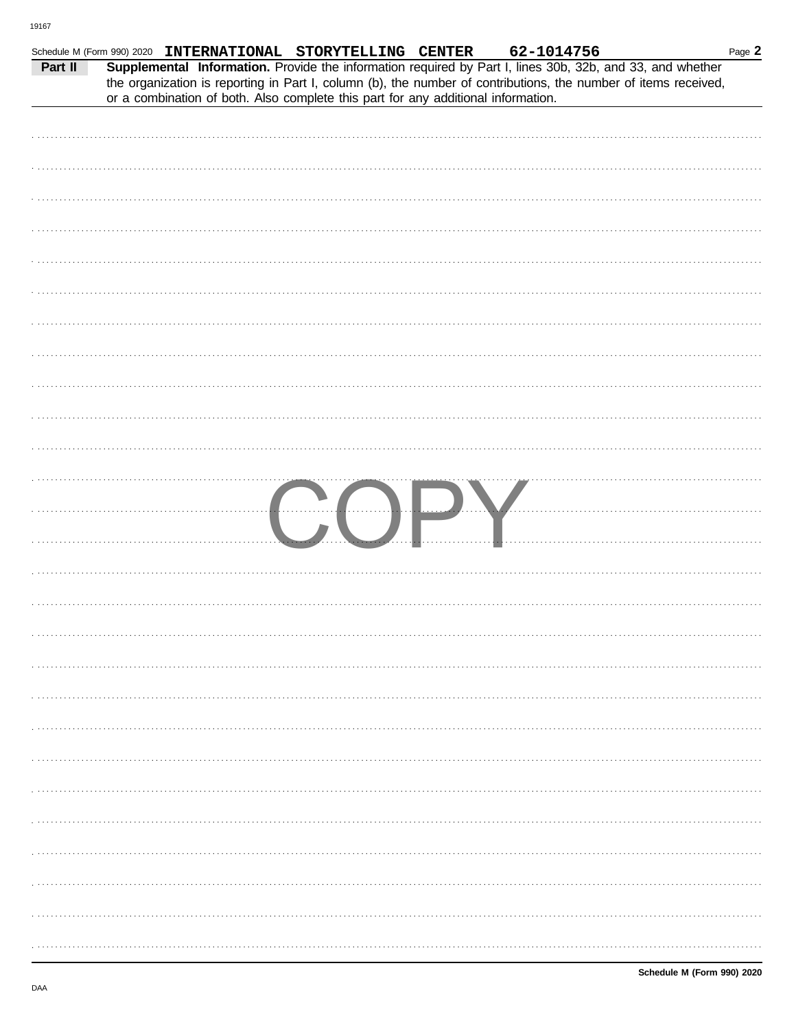| Part II | Schedule M (Form 990) 2020 INTERNATIONAL STORYTELLING CENTER |                                                                                   |     |  | 62-1014756<br>Supplemental Information. Provide the information required by Part I, lines 30b, 32b, and 33, and whether<br>the organization is reporting in Part I, column (b), the number of contributions, the number of items received, | Page 2 |
|---------|--------------------------------------------------------------|-----------------------------------------------------------------------------------|-----|--|--------------------------------------------------------------------------------------------------------------------------------------------------------------------------------------------------------------------------------------------|--------|
|         |                                                              | or a combination of both. Also complete this part for any additional information. |     |  |                                                                                                                                                                                                                                            |        |
|         |                                                              |                                                                                   |     |  |                                                                                                                                                                                                                                            |        |
|         |                                                              |                                                                                   |     |  |                                                                                                                                                                                                                                            |        |
|         |                                                              |                                                                                   |     |  |                                                                                                                                                                                                                                            |        |
|         |                                                              |                                                                                   |     |  |                                                                                                                                                                                                                                            |        |
|         |                                                              |                                                                                   |     |  |                                                                                                                                                                                                                                            |        |
|         |                                                              |                                                                                   |     |  |                                                                                                                                                                                                                                            |        |
|         |                                                              |                                                                                   |     |  |                                                                                                                                                                                                                                            |        |
|         |                                                              |                                                                                   |     |  |                                                                                                                                                                                                                                            |        |
|         |                                                              |                                                                                   |     |  |                                                                                                                                                                                                                                            |        |
|         |                                                              |                                                                                   |     |  |                                                                                                                                                                                                                                            |        |
|         |                                                              |                                                                                   |     |  |                                                                                                                                                                                                                                            |        |
|         |                                                              |                                                                                   |     |  |                                                                                                                                                                                                                                            |        |
|         |                                                              |                                                                                   |     |  |                                                                                                                                                                                                                                            |        |
|         |                                                              |                                                                                   |     |  |                                                                                                                                                                                                                                            |        |
|         |                                                              |                                                                                   |     |  |                                                                                                                                                                                                                                            |        |
|         |                                                              |                                                                                   |     |  |                                                                                                                                                                                                                                            |        |
|         |                                                              |                                                                                   |     |  |                                                                                                                                                                                                                                            |        |
|         |                                                              |                                                                                   |     |  |                                                                                                                                                                                                                                            |        |
|         |                                                              |                                                                                   | COP |  |                                                                                                                                                                                                                                            |        |
|         |                                                              |                                                                                   |     |  |                                                                                                                                                                                                                                            |        |
|         |                                                              |                                                                                   |     |  |                                                                                                                                                                                                                                            |        |
|         |                                                              |                                                                                   |     |  |                                                                                                                                                                                                                                            |        |
|         |                                                              |                                                                                   |     |  |                                                                                                                                                                                                                                            |        |
|         |                                                              |                                                                                   |     |  |                                                                                                                                                                                                                                            |        |
|         |                                                              |                                                                                   |     |  |                                                                                                                                                                                                                                            |        |
|         |                                                              |                                                                                   |     |  |                                                                                                                                                                                                                                            |        |
|         |                                                              |                                                                                   |     |  |                                                                                                                                                                                                                                            |        |
|         |                                                              |                                                                                   |     |  |                                                                                                                                                                                                                                            |        |
|         |                                                              |                                                                                   |     |  |                                                                                                                                                                                                                                            |        |
|         |                                                              |                                                                                   |     |  |                                                                                                                                                                                                                                            |        |
|         |                                                              |                                                                                   |     |  |                                                                                                                                                                                                                                            |        |
|         |                                                              |                                                                                   |     |  |                                                                                                                                                                                                                                            |        |
|         |                                                              |                                                                                   |     |  |                                                                                                                                                                                                                                            |        |
|         |                                                              |                                                                                   |     |  |                                                                                                                                                                                                                                            |        |
|         |                                                              |                                                                                   |     |  |                                                                                                                                                                                                                                            |        |
|         |                                                              |                                                                                   |     |  |                                                                                                                                                                                                                                            |        |
|         |                                                              |                                                                                   |     |  |                                                                                                                                                                                                                                            |        |
|         |                                                              |                                                                                   |     |  |                                                                                                                                                                                                                                            |        |
|         |                                                              |                                                                                   |     |  |                                                                                                                                                                                                                                            |        |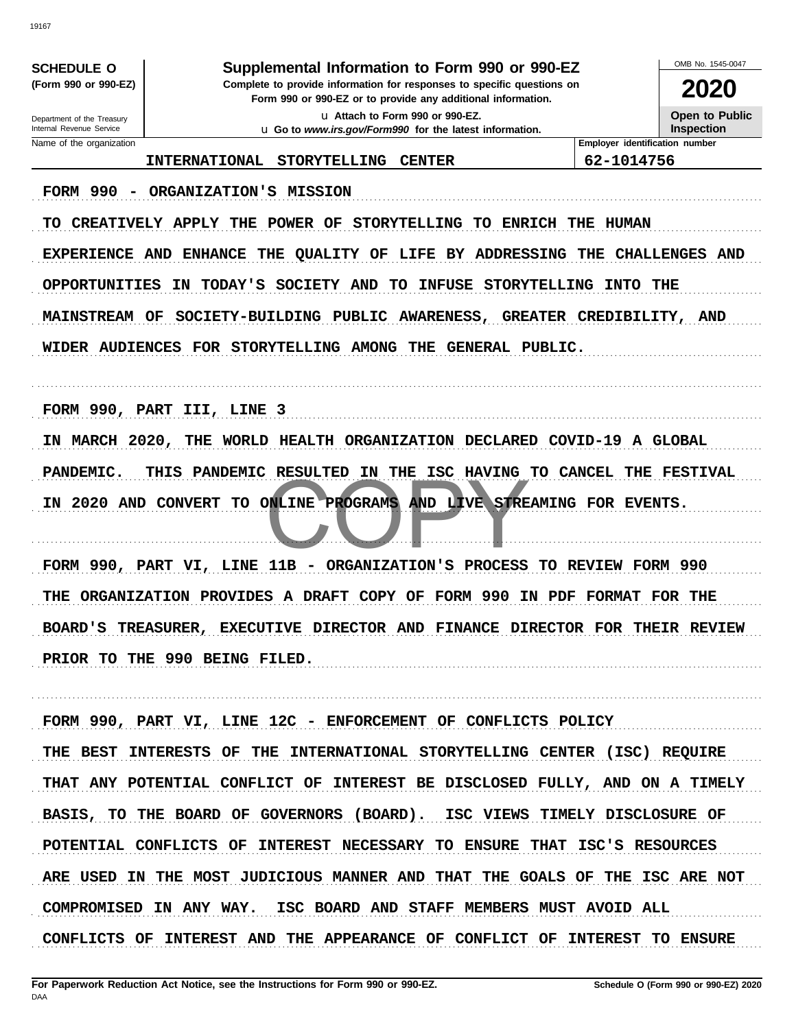| <b>SCHEDULE O</b>                                                                                                                                              | Supplemental Information to Form 990 or 990-EZ                                                   |                                | OMB No. 1545-0047     |
|----------------------------------------------------------------------------------------------------------------------------------------------------------------|--------------------------------------------------------------------------------------------------|--------------------------------|-----------------------|
| (Form 990 or 990-EZ)<br>Complete to provide information for responses to specific questions on<br>Form 990 or 990-EZ or to provide any additional information. |                                                                                                  |                                | <b>2020</b>           |
| Department of the Treasury<br>Internal Revenue Service                                                                                                         | La Attach to Form 990 or 990-EZ.                                                                 |                                | <b>Open to Public</b> |
| Name of the organization                                                                                                                                       | <b>u</b> Go to www.irs.gov/Form990 for the latest information.                                   | Employer identification number | <b>Inspection</b>     |
|                                                                                                                                                                | <b>INTERNATIONAL</b><br><b>STORYTELLING</b><br><b>CENTER</b>                                     | 62-1014756                     |                       |
| <b>FORM 990</b>                                                                                                                                                | ORGANIZATION'S MISSION                                                                           |                                |                       |
| TO                                                                                                                                                             | CREATIVELY APPLY<br><b>POWER</b><br><b>STORYTELLING</b><br><b>ENRICH THE</b><br>THE<br>OF<br>TO. | HUMAN                          |                       |
| EXPERIENCE AND                                                                                                                                                 | <b>ENHANCE</b><br>BY ADDRESSING<br>THE<br>QUALITY OF<br>LIFE                                     | THE                            | <b>CHALLENGES AND</b> |
| OPPORTUNITIES                                                                                                                                                  | SOCIETY AND<br><b>STORYTELLING</b><br><b>TODAY'S</b><br><b>INFUSE</b><br>ΙN<br>TО                | <b>INTO</b>                    | THE                   |
| <b>MAINSTREAM OF</b>                                                                                                                                           | SOCIETY-BUILDING PUBLIC<br>AWARENESS,<br><b>GREATER</b>                                          | CREDIBILITY,                   | AND                   |
|                                                                                                                                                                | WIDER AUDIENCES FOR STORYTELLING AMONG<br>THE<br>GENERAL PUBLIC.                                 |                                |                       |
|                                                                                                                                                                |                                                                                                  |                                |                       |
|                                                                                                                                                                | FORM 990, PART III, LINE 3                                                                       |                                |                       |
| IN MARCH 2020,                                                                                                                                                 | WORLD<br>HEALTH ORGANIZATION DECLARED COVID-19 A GLOBAL<br>THE                                   |                                |                       |
| <b>PANDEMIC.</b>                                                                                                                                               | <b>RESULTED</b><br>THIS<br>PANDEMIC<br>IN<br>THE<br>ISC<br><b>HAVING</b>                         | <b>TO CANCEL</b><br>THE        | <b>FESTIVAL</b>       |
| IN.                                                                                                                                                            | TO ONLINE PROGRAMS<br><b>2020 AND CONVERT</b><br>AND LIVE STREAMING FOR EVENTS.                  |                                |                       |
|                                                                                                                                                                |                                                                                                  |                                |                       |
|                                                                                                                                                                | 11B<br>ORGANIZATION'S<br>PROCESS<br>FORM 990, PART VI, LINE<br>-                                 | <b>TO REVIEW FORM 990</b>      |                       |
| THE                                                                                                                                                            | FORM 990<br>ORGANIZATION PROVIDES A DRAFT COPY OF<br>IN PDF                                      | <b>FORMAT</b>                  | <b>FOR THE</b>        |
| <b>BOARD'S</b>                                                                                                                                                 | TREASURER,<br>EXECUTIVE DIRECTOR AND FINANCE DIRECTOR FOR                                        |                                | THEIR REVIEW          |
|                                                                                                                                                                | PRIOR TO THE 990 BEING FILED.                                                                    |                                |                       |
|                                                                                                                                                                |                                                                                                  |                                |                       |
|                                                                                                                                                                | FORM 990, PART VI, LINE 12C - ENFORCEMENT OF CONFLICTS POLICY                                    |                                |                       |
|                                                                                                                                                                | THE BEST INTERESTS OF THE INTERNATIONAL STORYTELLING CENTER (ISC) REQUIRE                        |                                |                       |
|                                                                                                                                                                | THAT ANY POTENTIAL CONFLICT OF INTEREST BE DISCLOSED FULLY, AND ON A TIMELY                      |                                |                       |
|                                                                                                                                                                | BASIS, TO THE BOARD OF GOVERNORS (BOARD). ISC VIEWS TIMELY DISCLOSURE OF                         |                                |                       |
|                                                                                                                                                                | POTENTIAL CONFLICTS OF INTEREST NECESSARY TO ENSURE THAT ISC'S RESOURCES                         |                                |                       |
|                                                                                                                                                                | ARE USED IN THE MOST JUDICIOUS MANNER AND THAT THE GOALS OF THE ISC ARE NOT                      |                                |                       |
|                                                                                                                                                                | COMPROMISED IN ANY WAY. ISC BOARD AND STAFF MEMBERS MUST AVOID ALL                               |                                |                       |
|                                                                                                                                                                | CONFLICTS OF INTEREST AND THE APPEARANCE OF CONFLICT OF INTEREST TO ENSURE                       |                                |                       |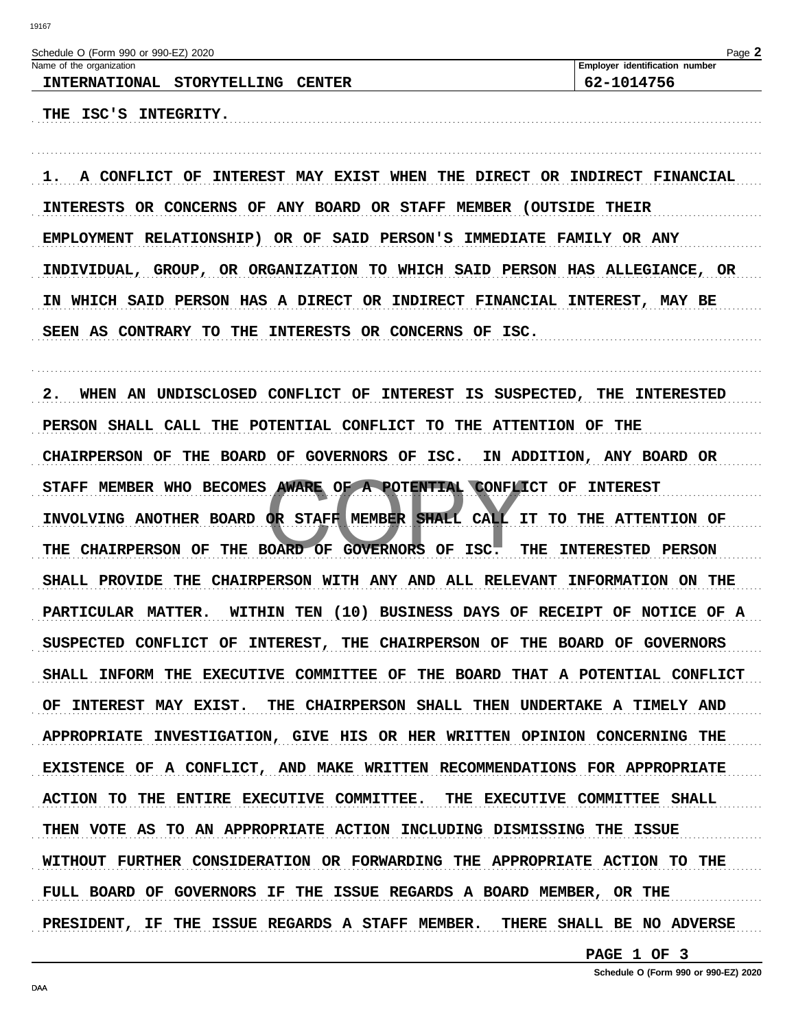| Schedule O (Form 990 or 990-EZ) 2020                                            | Page 2                         |
|---------------------------------------------------------------------------------|--------------------------------|
| Name of the organization                                                        | Employer identification number |
| INTERNATIONAL STORYTELLING CENTER                                               | 62-1014756                     |
| THE ISC'S INTEGRITY.                                                            |                                |
|                                                                                 |                                |
|                                                                                 |                                |
| INTEREST MAY EXIST WHEN THE DIRECT OR INDIRECT FINANCIAL<br>A CONFLICT OF<br>ı. |                                |
| INTERESTS OR CONCERNS OF ANY BOARD OR STAFF MEMBER (OUTSIDE THEIR               |                                |
| EMPLOYMENT RELATIONSHIP) OR OF SAID PERSON'S IMMEDIATE FAMILY OR ANY            |                                |
| INDIVIDUAL, GROUP, OR ORGANIZATION TO WHICH SAID PERSON HAS ALLEGIANCE, OR      |                                |
| IN WHICH SAID PERSON HAS A DIRECT OR INDIRECT FINANCIAL INTEREST, MAY BE        |                                |
| SEEN AS CONTRARY TO THE INTERESTS OR CONCERNS OF ISC.                           |                                |
|                                                                                 |                                |
|                                                                                 |                                |
| 2.<br>WHEN AN UNDISCLOSED CONFLICT OF INTEREST IS SUSPECTED, THE INTERESTED     |                                |
| PERSON SHALL CALL THE POTENTIAL CONFLICT TO THE ATTENTION OF THE                |                                |
| CHAIRPERSON OF THE BOARD OF GOVERNORS OF ISC.                                   | IN ADDITION, ANY BOARD OR      |
| STAFF MEMBER WHO BECOMES AWARE OF A POTENTIAL CONFLICT OF INTEREST              |                                |
| INVOLVING ANOTHER BOARD OR STAFF MEMBER SHALL CALL IT TO THE ATTENTION OF       |                                |
|                                                                                 | <b>INTERESTED PERSON</b>       |
| THE CHAIRPERSON OF THE BOARD OF GOVERNORS OF ISC.                               | THE                            |
| SHALL PROVIDE THE CHAIRPERSON WITH ANY AND ALL RELEVANT INFORMATION ON THE      |                                |
| PARTICULAR MATTER. WITHIN TEN (10) BUSINESS DAYS OF RECEIPT OF NOTICE OF A      |                                |
| SUSPECTED CONFLICT OF INTEREST, THE CHAIRPERSON OF THE BOARD OF GOVERNORS       |                                |
| SHALL INFORM THE EXECUTIVE COMMITTEE OF THE BOARD THAT A POTENTIAL CONFLICT     |                                |
| OF INTEREST MAY EXIST. THE CHAIRPERSON SHALL THEN UNDERTAKE A TIMELY AND        |                                |
| APPROPRIATE INVESTIGATION, GIVE HIS OR HER WRITTEN OPINION CONCERNING THE       |                                |
| EXISTENCE OF A CONFLICT, AND MAKE WRITTEN RECOMMENDATIONS FOR APPROPRIATE       |                                |
| ACTION TO THE ENTIRE EXECUTIVE COMMITTEE. THE EXECUTIVE COMMITTEE SHALL         |                                |
| THEN VOTE AS TO AN APPROPRIATE ACTION INCLUDING DISMISSING THE ISSUE            |                                |
| WITHOUT FURTHER CONSIDERATION OR FORWARDING THE APPROPRIATE ACTION TO THE       |                                |
|                                                                                 |                                |

PRESIDENT, IF THE ISSUE REGARDS A STAFF MEMBER. THERE SHALL BE NO ADVERSE

FULL BOARD OF GOVERNORS IF THE ISSUE REGARDS A BOARD MEMBER, OR THE

PAGE 1 OF 3

Schedule O (Form 990 or 990-EZ) 2020

. . . . . . . . . . . . . . . . .

DAA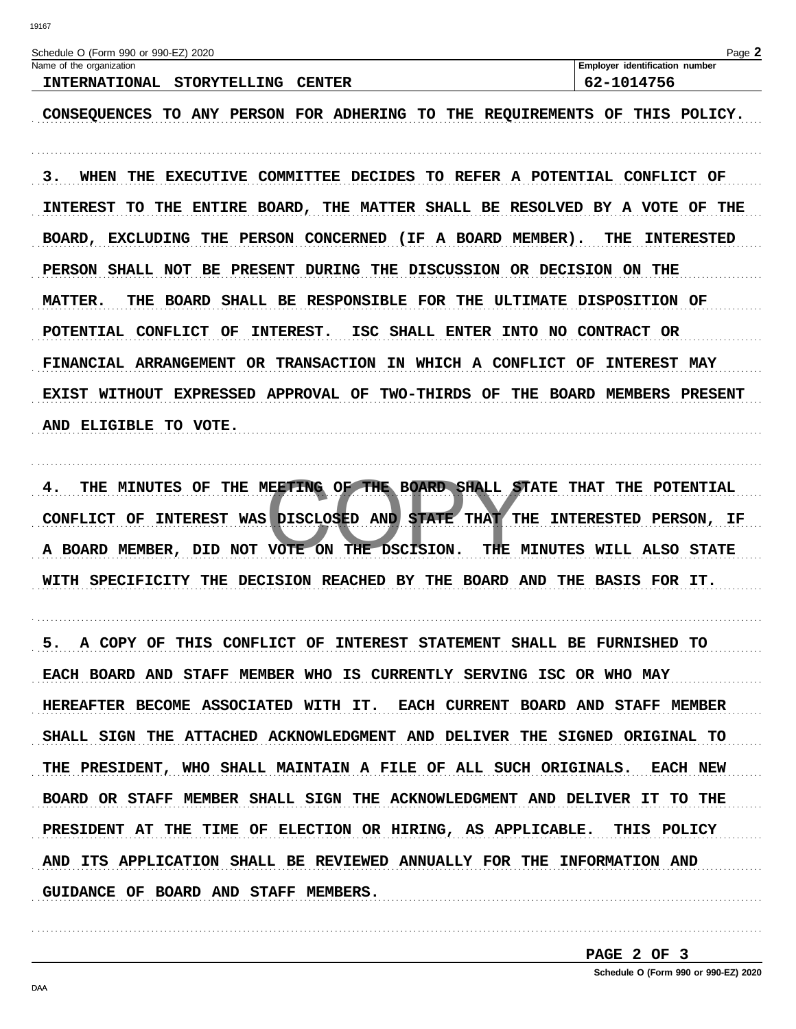| Page 2<br>Schedule O (Form 990 or 990-EZ) 2020     |                                                                             |                                       |  |  |  |  |
|----------------------------------------------------|-----------------------------------------------------------------------------|---------------------------------------|--|--|--|--|
| Name of the organization                           |                                                                             | <b>Employer identification number</b> |  |  |  |  |
| <b>INTERNATIONAL</b><br><b>STORYTELLING CENTER</b> |                                                                             | 62-1014756                            |  |  |  |  |
|                                                    |                                                                             |                                       |  |  |  |  |
|                                                    | CONSEQUENCES TO ANY PERSON FOR ADHERING TO THE REQUIREMENTS OF THIS POLICY. |                                       |  |  |  |  |

3. WHEN THE EXECUTIVE COMMITTEE DECIDES TO REFER A POTENTIAL CONFLICT OF INTEREST TO THE ENTIRE BOARD, THE MATTER SHALL BE RESOLVED BY A VOTE OF THE BOARD, EXCLUDING THE PERSON CONCERNED (IF A BOARD MEMBER). **THE INTERESTED** PERSON SHALL NOT BE PRESENT DURING THE DISCUSSION OR DECISION ON THE THE BOARD SHALL BE RESPONSIBLE FOR THE ULTIMATE DISPOSITION OF **MATTER.** POTENTIAL CONFLICT OF INTEREST. ISC SHALL ENTER INTO NO CONTRACT OR FINANCIAL ARRANGEMENT OR TRANSACTION IN WHICH A CONFLICT OF INTEREST MAY EXIST WITHOUT EXPRESSED APPROVAL OF TWO-THIRDS OF THE BOARD MEMBERS PRESENT AND ELIGIBLE TO VOTE.

THE MINUTES OF THE MEETING OF THE BOARD SHALL STATE THAT THE POTENTIAL CONFLICT OF INTEREST WAS DISCLOSED AND STATE THAT THE INTERESTED PERSON, IF A BOARD MEMBER, DID NOT VOTE ON THE DSCISION. THE MINUTES WILL ALSO STATE WITH SPECIFICITY THE DECISION REACHED BY THE BOARD AND THE BASIS FOR IT.

5. A COPY OF THIS CONFLICT OF INTEREST STATEMENT SHALL BE FURNISHED TO EACH BOARD AND STAFF MEMBER WHO IS CURRENTLY SERVING ISC OR WHO MAY HEREAFTER BECOME ASSOCIATED WITH IT. EACH CURRENT BOARD AND STAFF MEMBER SHALL SIGN THE ATTACHED ACKNOWLEDGMENT AND DELIVER THE SIGNED ORIGINAL TO THE PRESIDENT, WHO SHALL MAINTAIN A FILE OF ALL SUCH ORIGINALS. EACH NEW BOARD OR STAFF MEMBER SHALL SIGN THE ACKNOWLEDGMENT AND DELIVER IT TO THE PRESIDENT AT THE TIME OF ELECTION OR HIRING, AS APPLICABLE. THIS POLICY AND ITS APPLICATION SHALL BE REVIEWED ANNUALLY FOR THE INFORMATION AND GUIDANCE OF BOARD AND STAFF MEMBERS.

PAGE 2 OF 3